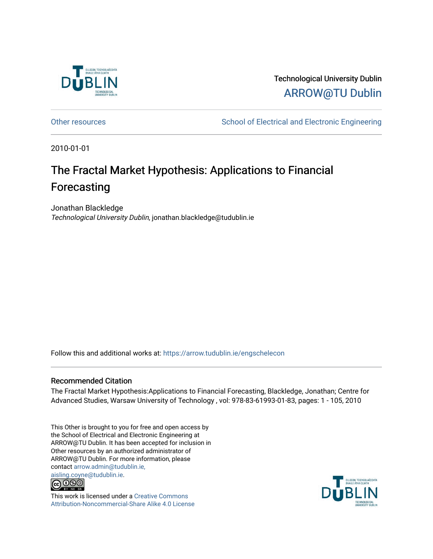

# Technological University Dublin [ARROW@TU Dublin](https://arrow.tudublin.ie/)

[Other resources](https://arrow.tudublin.ie/engschelecon) **School of Electrical and Electronic Engineering** 

2010-01-01

# The Fractal Market Hypothesis: Applications to Financial Forecasting

Jonathan Blackledge Technological University Dublin, jonathan.blackledge@tudublin.ie

Follow this and additional works at: [https://arrow.tudublin.ie/engschelecon](https://arrow.tudublin.ie/engschelecon?utm_source=arrow.tudublin.ie%2Fengschelecon%2F1&utm_medium=PDF&utm_campaign=PDFCoverPages) 

### Recommended Citation

The Fractal Market Hypothesis:Applications to Financial Forecasting, Blackledge, Jonathan; Centre for Advanced Studies, Warsaw University of Technology , vol: 978-83-61993-01-83, pages: 1 - 105, 2010

This Other is brought to you for free and open access by the School of Electrical and Electronic Engineering at ARROW@TU Dublin. It has been accepted for inclusion in Other resources by an authorized administrator of ARROW@TU Dublin. For more information, please contact [arrow.admin@tudublin.ie,](mailto:arrow.admin@tudublin.ie,%20aisling.coyne@tudublin.ie)  [aisling.coyne@tudublin.ie.](mailto:arrow.admin@tudublin.ie,%20aisling.coyne@tudublin.ie)



This work is licensed under a [Creative Commons](http://creativecommons.org/licenses/by-nc-sa/4.0/) [Attribution-Noncommercial-Share Alike 4.0 License](http://creativecommons.org/licenses/by-nc-sa/4.0/)

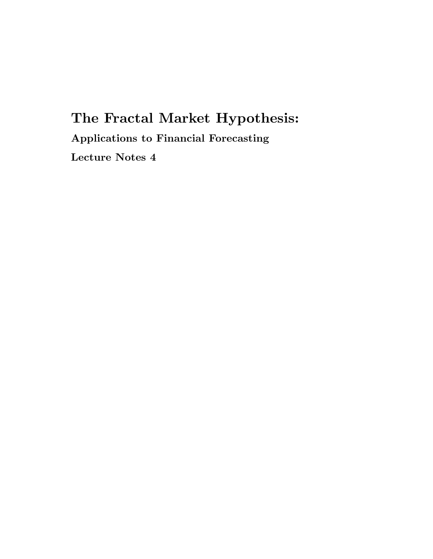# The Fractal Market Hypothesis: Applications to Financial Forecasting Lecture Notes 4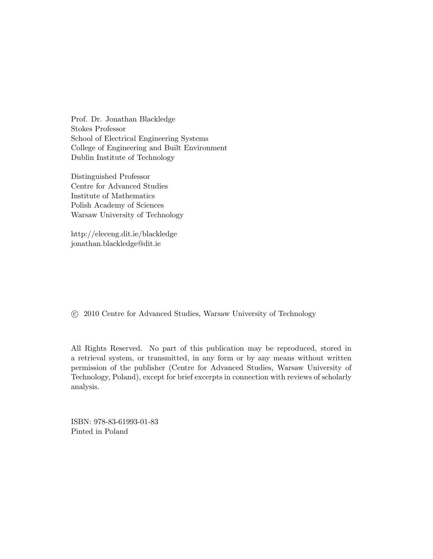Prof. Dr. Jonathan Blackledge Stokes Professor School of Electrical Engineering Systems College of Engineering and Built Environment Dublin Institute of Technology

Distinguished Professor Centre for Advanced Studies Institute of Mathematics Polish Academy of Sciences Warsaw University of Technology

http://eleceng.dit.ie/blackledge jonathan.blackledge@dit.ie

c 2010 Centre for Advanced Studies, Warsaw University of Technology

All Rights Reserved. No part of this publication may be reproduced, stored in a retrieval system, or transmitted, in any form or by any means without written permission of the publisher (Centre for Advanced Studies, Warsaw University of Technology, Poland), except for brief excerpts in connection with reviews of scholarly analysis.

ISBN: 978-83-61993-01-83 Pinted in Poland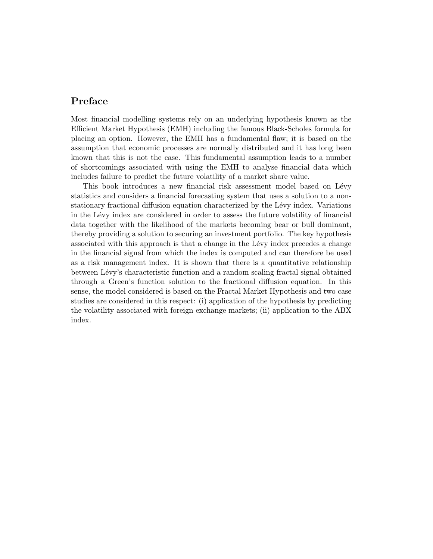# Preface

Most financial modelling systems rely on an underlying hypothesis known as the Efficient Market Hypothesis (EMH) including the famous Black-Scholes formula for placing an option. However, the EMH has a fundamental flaw; it is based on the assumption that economic processes are normally distributed and it has long been known that this is not the case. This fundamental assumption leads to a number of shortcomings associated with using the EMH to analyse financial data which includes failure to predict the future volatility of a market share value.

This book introduces a new financial risk assessment model based on Lévy statistics and considers a financial forecasting system that uses a solution to a nonstationary fractional diffusion equation characterized by the Lévy index. Variations in the Lévy index are considered in order to assess the future volatility of financial data together with the likelihood of the markets becoming bear or bull dominant, thereby providing a solution to securing an investment portfolio. The key hypothesis associated with this approach is that a change in the Lévy index precedes a change in the financial signal from which the index is computed and can therefore be used as a risk management index. It is shown that there is a quantitative relationship between Lévy's characteristic function and a random scaling fractal signal obtained through a Green's function solution to the fractional diffusion equation. In this sense, the model considered is based on the Fractal Market Hypothesis and two case studies are considered in this respect: (i) application of the hypothesis by predicting the volatility associated with foreign exchange markets; (ii) application to the ABX index.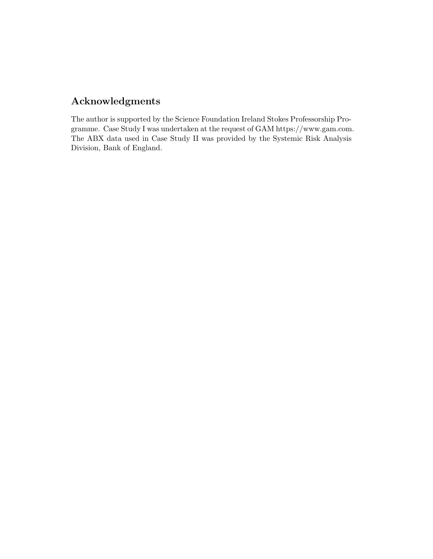# Acknowledgments

The author is supported by the Science Foundation Ireland Stokes Professorship Programme. Case Study I was undertaken at the request of GAM https://www.gam.com. The ABX data used in Case Study II was provided by the Systemic Risk Analysis Division, Bank of England.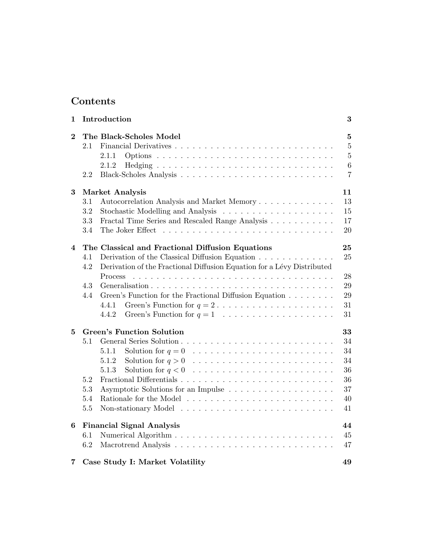# Contents

| 1              |                        | Introduction                                                                                                                                                                                                                                                                                                                                                                                                                                                                                 | $\bf{3}$                |  |
|----------------|------------------------|----------------------------------------------------------------------------------------------------------------------------------------------------------------------------------------------------------------------------------------------------------------------------------------------------------------------------------------------------------------------------------------------------------------------------------------------------------------------------------------------|-------------------------|--|
| $\bf{2}$       | 2.1                    | The Black-Scholes Model                                                                                                                                                                                                                                                                                                                                                                                                                                                                      | $\mathbf{5}$<br>$\bf 5$ |  |
|                |                        | 2.1.1                                                                                                                                                                                                                                                                                                                                                                                                                                                                                        | $\overline{5}$          |  |
|                |                        | 2.1.2<br>$Hedging \dots \dots \dots \dots \dots \dots \dots \dots \dots \dots \dots \dots$                                                                                                                                                                                                                                                                                                                                                                                                   | $\boldsymbol{6}$        |  |
|                | 2.2                    |                                                                                                                                                                                                                                                                                                                                                                                                                                                                                              | $\overline{7}$          |  |
| 3              | <b>Market Analysis</b> |                                                                                                                                                                                                                                                                                                                                                                                                                                                                                              |                         |  |
|                | 3.1                    | Autocorrelation Analysis and Market Memory                                                                                                                                                                                                                                                                                                                                                                                                                                                   | 13                      |  |
|                | 3.2                    |                                                                                                                                                                                                                                                                                                                                                                                                                                                                                              | 15                      |  |
|                | 3.3                    | Fractal Time Series and Rescaled Range Analysis                                                                                                                                                                                                                                                                                                                                                                                                                                              | 17                      |  |
|                | 3.4                    | The Joker Effect                                                                                                                                                                                                                                                                                                                                                                                                                                                                             | 20                      |  |
| $\overline{4}$ |                        | The Classical and Fractional Diffusion Equations                                                                                                                                                                                                                                                                                                                                                                                                                                             | 25                      |  |
|                | 4.1                    | Derivation of the Classical Diffusion Equation                                                                                                                                                                                                                                                                                                                                                                                                                                               | 25                      |  |
|                | 4.2                    | Derivation of the Fractional Diffusion Equation for a Lévy Distributed                                                                                                                                                                                                                                                                                                                                                                                                                       |                         |  |
|                |                        | Process                                                                                                                                                                                                                                                                                                                                                                                                                                                                                      | 28                      |  |
|                | 4.3                    |                                                                                                                                                                                                                                                                                                                                                                                                                                                                                              | 29                      |  |
|                | 4.4                    | Green's Function for the Fractional Diffusion Equation                                                                                                                                                                                                                                                                                                                                                                                                                                       | 29                      |  |
|                |                        | 4.4.1                                                                                                                                                                                                                                                                                                                                                                                                                                                                                        | 31                      |  |
|                |                        | 4.4.2                                                                                                                                                                                                                                                                                                                                                                                                                                                                                        | 31                      |  |
| 5              |                        | <b>Green's Function Solution</b>                                                                                                                                                                                                                                                                                                                                                                                                                                                             | 33                      |  |
|                | 5.1                    |                                                                                                                                                                                                                                                                                                                                                                                                                                                                                              | 34                      |  |
|                |                        | 5.1.1                                                                                                                                                                                                                                                                                                                                                                                                                                                                                        | 34                      |  |
|                |                        | 5.1.2                                                                                                                                                                                                                                                                                                                                                                                                                                                                                        | 34                      |  |
|                |                        | Solution for $q < 0$<br>5.1.3<br>$\mathcal{L}(\mathcal{L}(\mathcal{L},\mathcal{L},\mathcal{L},\mathcal{L},\mathcal{L},\mathcal{L},\mathcal{L},\mathcal{L},\mathcal{L},\mathcal{L},\mathcal{L},\mathcal{L},\mathcal{L},\mathcal{L},\mathcal{L},\mathcal{L},\mathcal{L},\mathcal{L},\mathcal{L},\mathcal{L},\mathcal{L},\mathcal{L},\mathcal{L},\mathcal{L},\mathcal{L},\mathcal{L},\mathcal{L},\mathcal{L},\mathcal{L},\mathcal{L},\mathcal{L},\mathcal{L},\mathcal{L},\mathcal{L},\mathcal{$ | 36                      |  |
|                | 5.2                    |                                                                                                                                                                                                                                                                                                                                                                                                                                                                                              | 36                      |  |
|                | 5.3                    | Asymptotic Solutions for an Impulse                                                                                                                                                                                                                                                                                                                                                                                                                                                          | 37                      |  |
|                | 5.4                    |                                                                                                                                                                                                                                                                                                                                                                                                                                                                                              | 40                      |  |
|                | 5.5                    |                                                                                                                                                                                                                                                                                                                                                                                                                                                                                              | 41                      |  |
| 6              |                        | <b>Financial Signal Analysis</b>                                                                                                                                                                                                                                                                                                                                                                                                                                                             | 44                      |  |
|                | 6.1                    |                                                                                                                                                                                                                                                                                                                                                                                                                                                                                              | 45                      |  |
|                | 6.2                    |                                                                                                                                                                                                                                                                                                                                                                                                                                                                                              | 47                      |  |
| 7              |                        | Case Study I: Market Volatility                                                                                                                                                                                                                                                                                                                                                                                                                                                              | 49                      |  |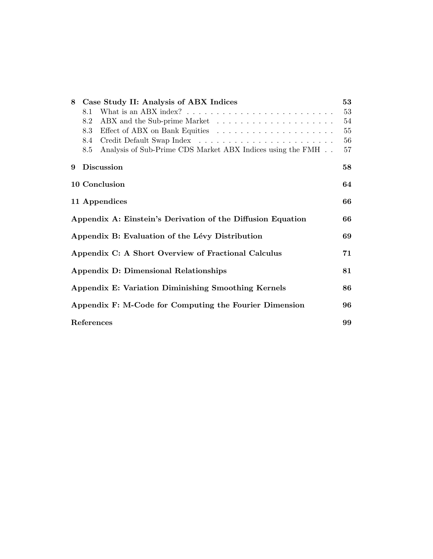| 8                                                   | Case Study II: Analysis of ABX Indices                      |                                                            |    |  |
|-----------------------------------------------------|-------------------------------------------------------------|------------------------------------------------------------|----|--|
|                                                     | 8.1                                                         |                                                            | 53 |  |
|                                                     | 8.2                                                         |                                                            | 54 |  |
|                                                     | 8.3                                                         |                                                            | 55 |  |
|                                                     | 8.4                                                         |                                                            | 56 |  |
|                                                     | 8.5                                                         | Analysis of Sub-Prime CDS Market ABX Indices using the FMH | 57 |  |
| 9                                                   |                                                             | <b>Discussion</b>                                          | 58 |  |
|                                                     | 10 Conclusion                                               |                                                            |    |  |
|                                                     | 11 Appendices                                               |                                                            |    |  |
|                                                     | Appendix A: Einstein's Derivation of the Diffusion Equation |                                                            |    |  |
| Appendix B: Evaluation of the Lévy Distribution     |                                                             |                                                            | 69 |  |
| Appendix C: A Short Overview of Fractional Calculus |                                                             |                                                            |    |  |
|                                                     | Appendix D: Dimensional Relationships                       |                                                            |    |  |
|                                                     | Appendix E: Variation Diminishing Smoothing Kernels         |                                                            |    |  |
|                                                     | Appendix F: M-Code for Computing the Fourier Dimension      |                                                            |    |  |
|                                                     | References                                                  |                                                            |    |  |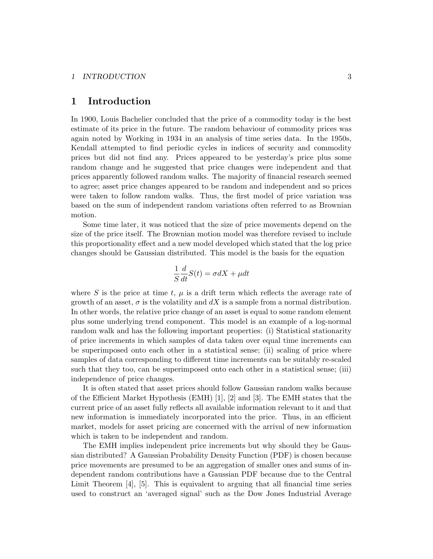#### 1 INTRODUCTION 3

## 1 Introduction

In 1900, Louis Bachelier concluded that the price of a commodity today is the best estimate of its price in the future. The random behaviour of commodity prices was again noted by Working in 1934 in an analysis of time series data. In the 1950s, Kendall attempted to find periodic cycles in indices of security and commodity prices but did not find any. Prices appeared to be yesterday's price plus some random change and he suggested that price changes were independent and that prices apparently followed random walks. The majority of financial research seemed to agree; asset price changes appeared to be random and independent and so prices were taken to follow random walks. Thus, the first model of price variation was based on the sum of independent random variations often referred to as Brownian motion.

Some time later, it was noticed that the size of price movements depend on the size of the price itself. The Brownian motion model was therefore revised to include this proportionality effect and a new model developed which stated that the log price changes should be Gaussian distributed. This model is the basis for the equation

$$
\frac{1}{S}\frac{d}{dt}S(t) = \sigma dX + \mu dt
$$

where S is the price at time t,  $\mu$  is a drift term which reflects the average rate of growth of an asset,  $\sigma$  is the volatility and dX is a sample from a normal distribution. In other words, the relative price change of an asset is equal to some random element plus some underlying trend component. This model is an example of a log-normal random walk and has the following important properties: (i) Statistical stationarity of price increments in which samples of data taken over equal time increments can be superimposed onto each other in a statistical sense; (ii) scaling of price where samples of data corresponding to different time increments can be suitably re-scaled such that they too, can be superimposed onto each other in a statistical sense; (iii) independence of price changes.

It is often stated that asset prices should follow Gaussian random walks because of the Efficient Market Hypothesis (EMH) [1], [2] and [3]. The EMH states that the current price of an asset fully reflects all available information relevant to it and that new information is immediately incorporated into the price. Thus, in an efficient market, models for asset pricing are concerned with the arrival of new information which is taken to be independent and random.

The EMH implies independent price increments but why should they be Gaussian distributed? A Gaussian Probability Density Function (PDF) is chosen because price movements are presumed to be an aggregation of smaller ones and sums of independent random contributions have a Gaussian PDF because due to the Central Limit Theorem [4], [5]. This is equivalent to arguing that all financial time series used to construct an 'averaged signal' such as the Dow Jones Industrial Average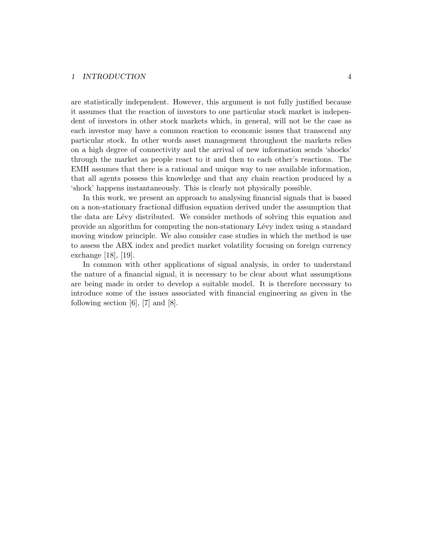#### 1 INTRODUCTION 4

are statistically independent. However, this argument is not fully justified because it assumes that the reaction of investors to one particular stock market is independent of investors in other stock markets which, in general, will not be the case as each investor may have a common reaction to economic issues that transcend any particular stock. In other words asset management throughout the markets relies on a high degree of connectivity and the arrival of new information sends 'shocks' through the market as people react to it and then to each other's reactions. The EMH assumes that there is a rational and unique way to use available information, that all agents possess this knowledge and that any chain reaction produced by a 'shock' happens instantaneously. This is clearly not physically possible.

In this work, we present an approach to analysing financial signals that is based on a non-stationary fractional diffusion equation derived under the assumption that the data are Lévy distributed. We consider methods of solving this equation and provide an algorithm for computing the non-stationary L´evy index using a standard moving window principle. We also consider case studies in which the method is use to assess the ABX index and predict market volatility focusing on foreign currency exchange [18], [19].

In common with other applications of signal analysis, in order to understand the nature of a financial signal, it is necessary to be clear about what assumptions are being made in order to develop a suitable model. It is therefore necessary to introduce some of the issues associated with financial engineering as given in the following section  $[6]$ ,  $[7]$  and  $[8]$ .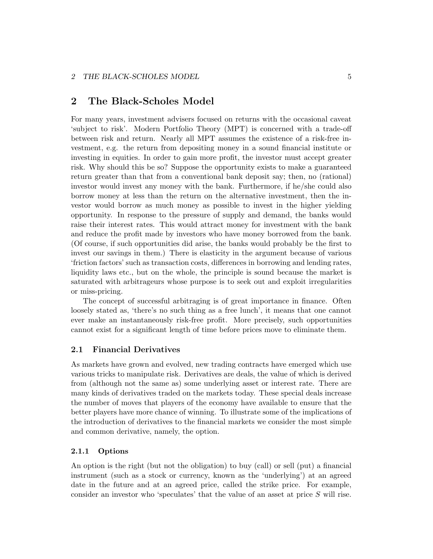## 2 The Black-Scholes Model

For many years, investment advisers focused on returns with the occasional caveat 'subject to risk'. Modern Portfolio Theory (MPT) is concerned with a trade-off between risk and return. Nearly all MPT assumes the existence of a risk-free investment, e.g. the return from depositing money in a sound financial institute or investing in equities. In order to gain more profit, the investor must accept greater risk. Why should this be so? Suppose the opportunity exists to make a guaranteed return greater than that from a conventional bank deposit say; then, no (rational) investor would invest any money with the bank. Furthermore, if he/she could also borrow money at less than the return on the alternative investment, then the investor would borrow as much money as possible to invest in the higher yielding opportunity. In response to the pressure of supply and demand, the banks would raise their interest rates. This would attract money for investment with the bank and reduce the profit made by investors who have money borrowed from the bank. (Of course, if such opportunities did arise, the banks would probably be the first to invest our savings in them.) There is elasticity in the argument because of various 'friction factors' such as transaction costs, differences in borrowing and lending rates, liquidity laws etc., but on the whole, the principle is sound because the market is saturated with arbitrageurs whose purpose is to seek out and exploit irregularities or miss-pricing.

The concept of successful arbitraging is of great importance in finance. Often loosely stated as, 'there's no such thing as a free lunch', it means that one cannot ever make an instantaneously risk-free profit. More precisely, such opportunities cannot exist for a significant length of time before prices move to eliminate them.

#### 2.1 Financial Derivatives

As markets have grown and evolved, new trading contracts have emerged which use various tricks to manipulate risk. Derivatives are deals, the value of which is derived from (although not the same as) some underlying asset or interest rate. There are many kinds of derivatives traded on the markets today. These special deals increase the number of moves that players of the economy have available to ensure that the better players have more chance of winning. To illustrate some of the implications of the introduction of derivatives to the financial markets we consider the most simple and common derivative, namely, the option.

#### 2.1.1 Options

An option is the right (but not the obligation) to buy (call) or sell (put) a financial instrument (such as a stock or currency, known as the 'underlying') at an agreed date in the future and at an agreed price, called the strike price. For example, consider an investor who 'speculates' that the value of an asset at price  $S$  will rise.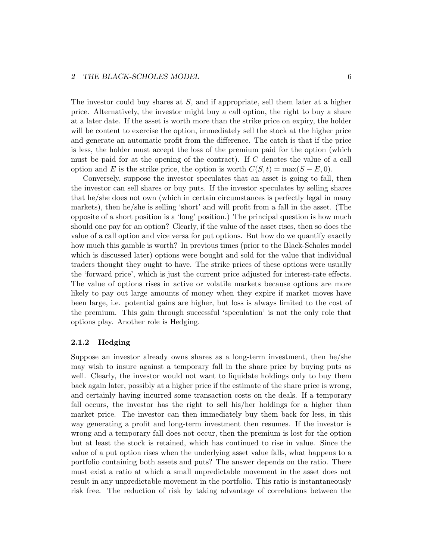#### 2 THE BLACK-SCHOLES MODEL 6

The investor could buy shares at S, and if appropriate, sell them later at a higher price. Alternatively, the investor might buy a call option, the right to buy a share at a later date. If the asset is worth more than the strike price on expiry, the holder will be content to exercise the option, immediately sell the stock at the higher price and generate an automatic profit from the difference. The catch is that if the price is less, the holder must accept the loss of the premium paid for the option (which must be paid for at the opening of the contract). If  $C$  denotes the value of a call option and E is the strike price, the option is worth  $C(S, t) = \max(S - E, 0)$ .

Conversely, suppose the investor speculates that an asset is going to fall, then the investor can sell shares or buy puts. If the investor speculates by selling shares that he/she does not own (which in certain circumstances is perfectly legal in many markets), then he/she is selling 'short' and will profit from a fall in the asset. (The opposite of a short position is a 'long' position.) The principal question is how much should one pay for an option? Clearly, if the value of the asset rises, then so does the value of a call option and vice versa for put options. But how do we quantify exactly how much this gamble is worth? In previous times (prior to the Black-Scholes model which is discussed later) options were bought and sold for the value that individual traders thought they ought to have. The strike prices of these options were usually the 'forward price', which is just the current price adjusted for interest-rate effects. The value of options rises in active or volatile markets because options are more likely to pay out large amounts of money when they expire if market moves have been large, i.e. potential gains are higher, but loss is always limited to the cost of the premium. This gain through successful 'speculation' is not the only role that options play. Another role is Hedging.

#### 2.1.2 Hedging

Suppose an investor already owns shares as a long-term investment, then he/she may wish to insure against a temporary fall in the share price by buying puts as well. Clearly, the investor would not want to liquidate holdings only to buy them back again later, possibly at a higher price if the estimate of the share price is wrong, and certainly having incurred some transaction costs on the deals. If a temporary fall occurs, the investor has the right to sell his/her holdings for a higher than market price. The investor can then immediately buy them back for less, in this way generating a profit and long-term investment then resumes. If the investor is wrong and a temporary fall does not occur, then the premium is lost for the option but at least the stock is retained, which has continued to rise in value. Since the value of a put option rises when the underlying asset value falls, what happens to a portfolio containing both assets and puts? The answer depends on the ratio. There must exist a ratio at which a small unpredictable movement in the asset does not result in any unpredictable movement in the portfolio. This ratio is instantaneously risk free. The reduction of risk by taking advantage of correlations between the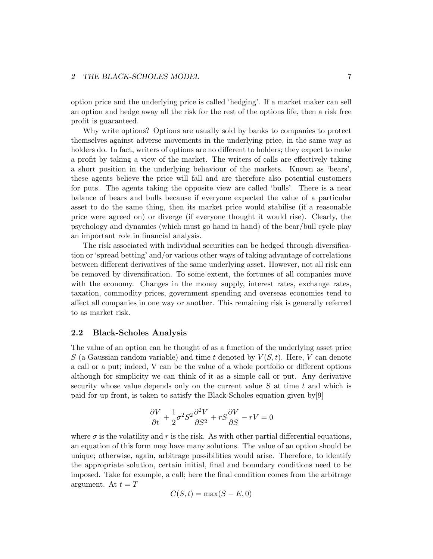option price and the underlying price is called 'hedging'. If a market maker can sell an option and hedge away all the risk for the rest of the options life, then a risk free profit is guaranteed.

Why write options? Options are usually sold by banks to companies to protect themselves against adverse movements in the underlying price, in the same way as holders do. In fact, writers of options are no different to holders; they expect to make a profit by taking a view of the market. The writers of calls are effectively taking a short position in the underlying behaviour of the markets. Known as 'bears', these agents believe the price will fall and are therefore also potential customers for puts. The agents taking the opposite view are called 'bulls'. There is a near balance of bears and bulls because if everyone expected the value of a particular asset to do the same thing, then its market price would stabilise (if a reasonable price were agreed on) or diverge (if everyone thought it would rise). Clearly, the psychology and dynamics (which must go hand in hand) of the bear/bull cycle play an important role in financial analysis.

The risk associated with individual securities can be hedged through diversification or 'spread betting' and/or various other ways of taking advantage of correlations between different derivatives of the same underlying asset. However, not all risk can be removed by diversification. To some extent, the fortunes of all companies move with the economy. Changes in the money supply, interest rates, exchange rates, taxation, commodity prices, government spending and overseas economies tend to affect all companies in one way or another. This remaining risk is generally referred to as market risk.

#### 2.2 Black-Scholes Analysis

The value of an option can be thought of as a function of the underlying asset price S (a Gaussian random variable) and time t denoted by  $V(S, t)$ . Here, V can denote a call or a put; indeed, V can be the value of a whole portfolio or different options although for simplicity we can think of it as a simple call or put. Any derivative security whose value depends only on the current value  $S$  at time  $t$  and which is paid for up front, is taken to satisfy the Black-Scholes equation given by[9]

$$
\frac{\partial V}{\partial t}+\frac{1}{2}\sigma^2 S^2\frac{\partial^2 V}{\partial S^2}+rS\frac{\partial V}{\partial S}-rV=0
$$

where  $\sigma$  is the volatility and r is the risk. As with other partial differential equations, an equation of this form may have many solutions. The value of an option should be unique; otherwise, again, arbitrage possibilities would arise. Therefore, to identify the appropriate solution, certain initial, final and boundary conditions need to be imposed. Take for example, a call; here the final condition comes from the arbitrage argument. At  $t = T$ 

$$
C(S,t) = \max(S - E, 0)
$$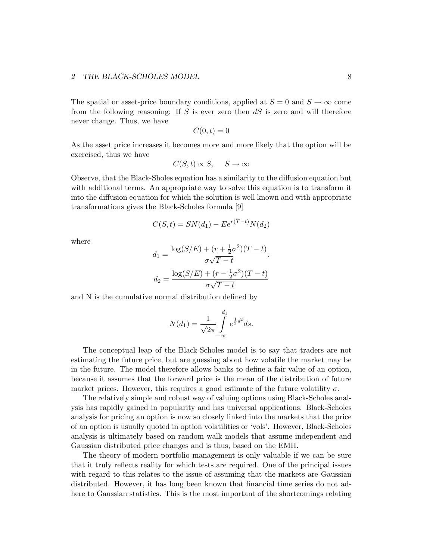The spatial or asset-price boundary conditions, applied at  $S = 0$  and  $S \to \infty$  come from the following reasoning: If  $S$  is ever zero then  $dS$  is zero and will therefore never change. Thus, we have

$$
C(0,t)=0
$$

As the asset price increases it becomes more and more likely that the option will be exercised, thus we have

$$
C(S, t) \propto S, \quad S \to \infty
$$

Observe, that the Black-Sholes equation has a similarity to the diffusion equation but with additional terms. An appropriate way to solve this equation is to transform it into the diffusion equation for which the solution is well known and with appropriate transformations gives the Black-Scholes formula [9]

$$
C(S,t) = SN(d_1) - E e^{r(T-t)} N(d_2)
$$

where

$$
d_1 = \frac{\log(S/E) + (r + \frac{1}{2}\sigma^2)(T - t)}{\sigma\sqrt{T - t}},
$$

$$
d_2 = \frac{\log(S/E) + (r - \frac{1}{2}\sigma^2)(T - t)}{\sigma\sqrt{T - t}}
$$

and N is the cumulative normal distribution defined by

$$
N(d_1) = \frac{1}{\sqrt{2\pi}} \int_{-\infty}^{d_1} e^{\frac{1}{2}s^2} ds.
$$

The conceptual leap of the Black-Scholes model is to say that traders are not estimating the future price, but are guessing about how volatile the market may be in the future. The model therefore allows banks to define a fair value of an option, because it assumes that the forward price is the mean of the distribution of future market prices. However, this requires a good estimate of the future volatility  $\sigma$ .

The relatively simple and robust way of valuing options using Black-Scholes analysis has rapidly gained in popularity and has universal applications. Black-Scholes analysis for pricing an option is now so closely linked into the markets that the price of an option is usually quoted in option volatilities or 'vols'. However, Black-Scholes analysis is ultimately based on random walk models that assume independent and Gaussian distributed price changes and is thus, based on the EMH.

The theory of modern portfolio management is only valuable if we can be sure that it truly reflects reality for which tests are required. One of the principal issues with regard to this relates to the issue of assuming that the markets are Gaussian distributed. However, it has long been known that financial time series do not adhere to Gaussian statistics. This is the most important of the shortcomings relating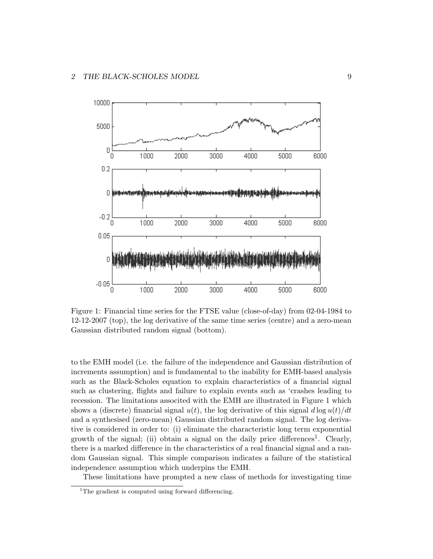

Figure 1: Financial time series for the FTSE value (close-of-day) from 02-04-1984 to 12-12-2007 (top), the log derivative of the same time series (centre) and a zero-mean Gaussian distributed random signal (bottom).

to the EMH model (i.e. the failure of the independence and Gaussian distribution of increments assumption) and is fundamental to the inability for EMH-based analysis such as the Black-Scholes equation to explain characteristics of a financial signal such as clustering, flights and failure to explain events such as 'crashes leading to recession. The limitations associted with the EMH are illustrated in Figure 1 which shows a (discrete) financial signal  $u(t)$ , the log derivative of this signal  $d \log u(t)/dt$ and a synthesised (zero-mean) Gaussian distributed random signal. The log derivative is considered in order to: (i) eliminate the characteristic long term exponential growth of the signal; (ii) obtain a signal on the daily price differences<sup>1</sup>. Clearly, there is a marked difference in the characteristics of a real financial signal and a random Gaussian signal. This simple comparison indicates a failure of the statistical independence assumption which underpins the EMH.

These limitations have prompted a new class of methods for investigating time

<sup>&</sup>lt;sup>1</sup>The gradient is computed using forward differencing.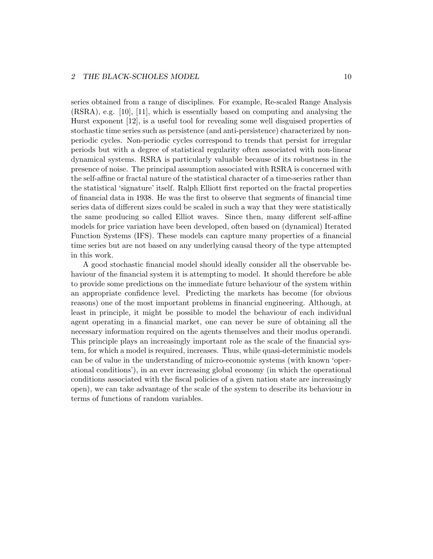#### 2 THE BLACK-SCHOLES MODEL 10

series obtained from a range of disciplines. For example, Re-scaled Range Analysis (RSRA), e.g. [10], [11], which is essentially based on computing and analysing the Hurst exponent [12], is a useful tool for revealing some well disguised properties of stochastic time series such as persistence (and anti-persistence) characterized by nonperiodic cycles. Non-periodic cycles correspond to trends that persist for irregular periods but with a degree of statistical regularity often associated with non-linear dynamical systems. RSRA is particularly valuable because of its robustness in the presence of noise. The principal assumption associated with RSRA is concerned with the self-affine or fractal nature of the statistical character of a time-series rather than the statistical 'signature' itself. Ralph Elliott first reported on the fractal properties of financial data in 1938. He was the first to observe that segments of financial time series data of different sizes could be scaled in such a way that they were statistically the same producing so called Elliot waves. Since then, many different self-affine models for price variation have been developed, often based on (dynamical) Iterated Function Systems (IFS). These models can capture many properties of a financial time series but are not based on any underlying causal theory of the type attempted in this work.

A good stochastic financial model should ideally consider all the observable behaviour of the financial system it is attempting to model. It should therefore be able to provide some predictions on the immediate future behaviour of the system within an appropriate confidence level. Predicting the markets has become (for obvious reasons) one of the most important problems in financial engineering. Although, at least in principle, it might be possible to model the behaviour of each individual agent operating in a financial market, one can never be sure of obtaining all the necessary information required on the agents themselves and their modus operandi. This principle plays an increasingly important role as the scale of the financial system, for which a model is required, increases. Thus, while quasi-deterministic models can be of value in the understanding of micro-economic systems (with known 'operational conditions'), in an ever increasing global economy (in which the operational conditions associated with the fiscal policies of a given nation state are increasingly open), we can take advantage of the scale of the system to describe its behaviour in terms of functions of random variables.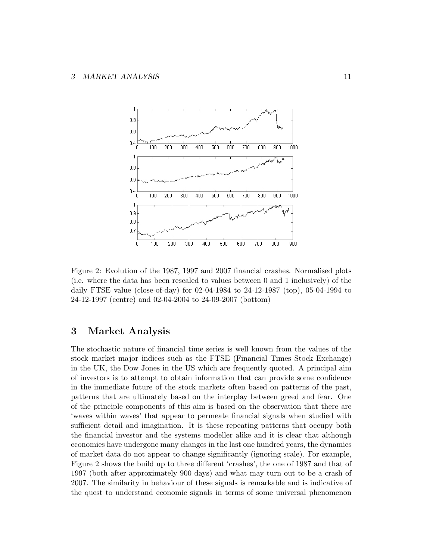

Figure 2: Evolution of the 1987, 1997 and 2007 financial crashes. Normalised plots (i.e. where the data has been rescaled to values between 0 and 1 inclusively) of the daily FTSE value (close-of-day) for 02-04-1984 to 24-12-1987 (top), 05-04-1994 to 24-12-1997 (centre) and 02-04-2004 to 24-09-2007 (bottom)

## 3 Market Analysis

The stochastic nature of financial time series is well known from the values of the stock market major indices such as the FTSE (Financial Times Stock Exchange) in the UK, the Dow Jones in the US which are frequently quoted. A principal aim of investors is to attempt to obtain information that can provide some confidence in the immediate future of the stock markets often based on patterns of the past, patterns that are ultimately based on the interplay between greed and fear. One of the principle components of this aim is based on the observation that there are 'waves within waves' that appear to permeate financial signals when studied with sufficient detail and imagination. It is these repeating patterns that occupy both the financial investor and the systems modeller alike and it is clear that although economies have undergone many changes in the last one hundred years, the dynamics of market data do not appear to change significantly (ignoring scale). For example, Figure 2 shows the build up to three different 'crashes', the one of 1987 and that of 1997 (both after approximately 900 days) and what may turn out to be a crash of 2007. The similarity in behaviour of these signals is remarkable and is indicative of the quest to understand economic signals in terms of some universal phenomenon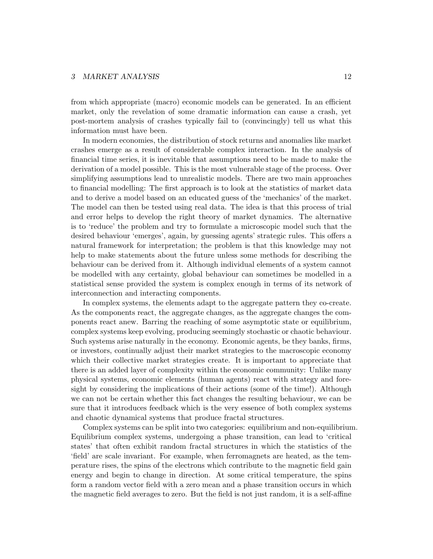from which appropriate (macro) economic models can be generated. In an efficient market, only the revelation of some dramatic information can cause a crash, yet post-mortem analysis of crashes typically fail to (convincingly) tell us what this information must have been.

In modern economies, the distribution of stock returns and anomalies like market crashes emerge as a result of considerable complex interaction. In the analysis of financial time series, it is inevitable that assumptions need to be made to make the derivation of a model possible. This is the most vulnerable stage of the process. Over simplifying assumptions lead to unrealistic models. There are two main approaches to financial modelling: The first approach is to look at the statistics of market data and to derive a model based on an educated guess of the 'mechanics' of the market. The model can then be tested using real data. The idea is that this process of trial and error helps to develop the right theory of market dynamics. The alternative is to 'reduce' the problem and try to formulate a microscopic model such that the desired behaviour 'emerges', again, by guessing agents' strategic rules. This offers a natural framework for interpretation; the problem is that this knowledge may not help to make statements about the future unless some methods for describing the behaviour can be derived from it. Although individual elements of a system cannot be modelled with any certainty, global behaviour can sometimes be modelled in a statistical sense provided the system is complex enough in terms of its network of interconnection and interacting components.

In complex systems, the elements adapt to the aggregate pattern they co-create. As the components react, the aggregate changes, as the aggregate changes the components react anew. Barring the reaching of some asymptotic state or equilibrium, complex systems keep evolving, producing seemingly stochastic or chaotic behaviour. Such systems arise naturally in the economy. Economic agents, be they banks, firms, or investors, continually adjust their market strategies to the macroscopic economy which their collective market strategies create. It is important to appreciate that there is an added layer of complexity within the economic community: Unlike many physical systems, economic elements (human agents) react with strategy and foresight by considering the implications of their actions (some of the time!). Although we can not be certain whether this fact changes the resulting behaviour, we can be sure that it introduces feedback which is the very essence of both complex systems and chaotic dynamical systems that produce fractal structures.

Complex systems can be split into two categories: equilibrium and non-equilibrium. Equilibrium complex systems, undergoing a phase transition, can lead to 'critical states' that often exhibit random fractal structures in which the statistics of the 'field' are scale invariant. For example, when ferromagnets are heated, as the temperature rises, the spins of the electrons which contribute to the magnetic field gain energy and begin to change in direction. At some critical temperature, the spins form a random vector field with a zero mean and a phase transition occurs in which the magnetic field averages to zero. But the field is not just random, it is a self-affine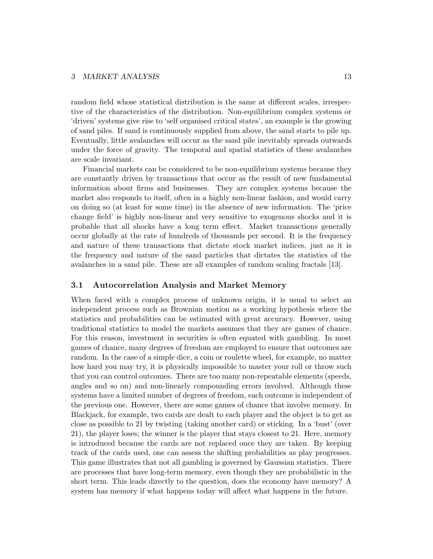random field whose statistical distribution is the same at different scales, irrespective of the characteristics of the distribution. Non-equilibrium complex systems or 'driven' systems give rise to 'self organised critical states', an example is the growing of sand piles. If sand is continuously supplied from above, the sand starts to pile up. Eventually, little avalanches will occur as the sand pile inevitably spreads outwards under the force of gravity. The temporal and spatial statistics of these avalanches are scale invariant.

Financial markets can be considered to be non-equilibrium systems because they are constantly driven by transactions that occur as the result of new fundamental information about firms and businesses. They are complex systems because the market also responds to itself, often in a highly non-linear fashion, and would carry on doing so (at least for some time) in the absence of new information. The 'price change field' is highly non-linear and very sensitive to exogenous shocks and it is probable that all shocks have a long term effect. Market transactions generally occur globally at the rate of hundreds of thousands per second. It is the frequency and nature of these transactions that dictate stock market indices, just as it is the frequency and nature of the sand particles that dictates the statistics of the avalanches in a sand pile. These are all examples of random scaling fractals [13].

#### 3.1 Autocorrelation Analysis and Market Memory

When faced with a complex process of unknown origin, it is usual to select an independent process such as Brownian motion as a working hypothesis where the statistics and probabilities can be estimated with great accuracy. However, using traditional statistics to model the markets assumes that they are games of chance. For this reason, investment in securities is often equated with gambling. In most games of chance, many degrees of freedom are employed to ensure that outcomes are random. In the case of a simple dice, a coin or roulette wheel, for example, no matter how hard you may try, it is physically impossible to master your roll or throw such that you can control outcomes. There are too many non-repeatable elements (speeds, angles and so on) and non-linearly compounding errors involved. Although these systems have a limited number of degrees of freedom, each outcome is independent of the previous one. However, there are some games of chance that involve memory. In Blackjack, for example, two cards are dealt to each player and the object is to get as close as possible to 21 by twisting (taking another card) or sticking. In a 'bust' (over 21), the player loses; the winner is the player that stays closest to 21. Here, memory is introduced because the cards are not replaced once they are taken. By keeping track of the cards used, one can assess the shifting probabilities as play progresses. This game illustrates that not all gambling is governed by Gaussian statistics. There are processes that have long-term memory, even though they are probabilistic in the short term. This leads directly to the question, does the economy have memory? A system has memory if what happens today will affect what happens in the future.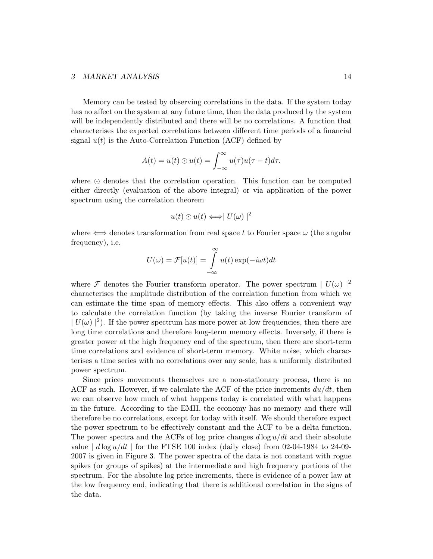Memory can be tested by observing correlations in the data. If the system today has no affect on the system at any future time, then the data produced by the system will be independently distributed and there will be no correlations. A function that characterises the expected correlations between different time periods of a financial signal  $u(t)$  is the Auto-Correlation Function (ACF) defined by

$$
A(t) = u(t) \odot u(t) = \int_{-\infty}^{\infty} u(\tau)u(\tau - t)d\tau.
$$

where  $\odot$  denotes that the correlation operation. This function can be computed either directly (evaluation of the above integral) or via application of the power spectrum using the correlation theorem

$$
u(t) \odot u(t) \Longleftrightarrow |U(\omega)|^2
$$

where  $\iff$  denotes transformation from real space t to Fourier space  $\omega$  (the angular frequency), i.e.

$$
U(\omega) = \mathcal{F}[u(t)] = \int_{-\infty}^{\infty} u(t) \exp(-i\omega t) dt
$$

where F denotes the Fourier transform operator. The power spectrum  $|U(\omega)|^2$ characterises the amplitude distribution of the correlation function from which we can estimate the time span of memory effects. This also offers a convenient way to calculate the correlation function (by taking the inverse Fourier transform of  $|U(\omega)|^2$ ). If the power spectrum has more power at low frequencies, then there are long time correlations and therefore long-term memory effects. Inversely, if there is greater power at the high frequency end of the spectrum, then there are short-term time correlations and evidence of short-term memory. White noise, which characterises a time series with no correlations over any scale, has a uniformly distributed power spectrum.

Since prices movements themselves are a non-stationary process, there is no ACF as such. However, if we calculate the ACF of the price increments  $du/dt$ , then we can observe how much of what happens today is correlated with what happens in the future. According to the EMH, the economy has no memory and there will therefore be no correlations, except for today with itself. We should therefore expect the power spectrum to be effectively constant and the ACF to be a delta function. The power spectra and the ACFs of log price changes  $d \log u/dt$  and their absolute value  $\vert d \log u/dt \vert$  for the FTSE 100 index (daily close) from 02-04-1984 to 24-09-2007 is given in Figure 3. The power spectra of the data is not constant with rogue spikes (or groups of spikes) at the intermediate and high frequency portions of the spectrum. For the absolute log price increments, there is evidence of a power law at the low frequency end, indicating that there is additional correlation in the signs of the data.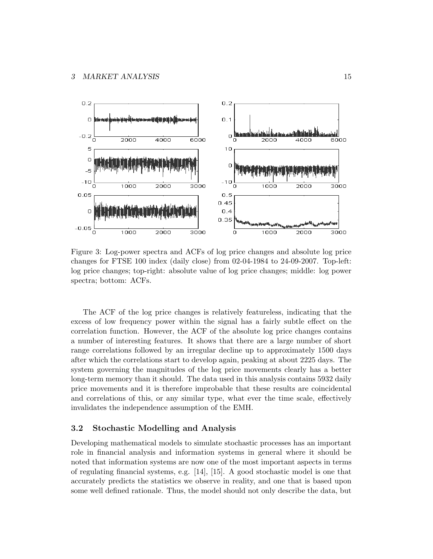

Figure 3: Log-power spectra and ACFs of log price changes and absolute log price changes for FTSE 100 index (daily close) from 02-04-1984 to 24-09-2007. Top-left: log price changes; top-right: absolute value of log price changes; middle: log power spectra; bottom: ACFs.

The ACF of the log price changes is relatively featureless, indicating that the excess of low frequency power within the signal has a fairly subtle effect on the correlation function. However, the ACF of the absolute log price changes contains a number of interesting features. It shows that there are a large number of short range correlations followed by an irregular decline up to approximately 1500 days after which the correlations start to develop again, peaking at about 2225 days. The system governing the magnitudes of the log price movements clearly has a better long-term memory than it should. The data used in this analysis contains 5932 daily price movements and it is therefore improbable that these results are coincidental and correlations of this, or any similar type, what ever the time scale, effectively invalidates the independence assumption of the EMH.

#### 3.2 Stochastic Modelling and Analysis

Developing mathematical models to simulate stochastic processes has an important role in financial analysis and information systems in general where it should be noted that information systems are now one of the most important aspects in terms of regulating financial systems, e.g. [14], [15]. A good stochastic model is one that accurately predicts the statistics we observe in reality, and one that is based upon some well defined rationale. Thus, the model should not only describe the data, but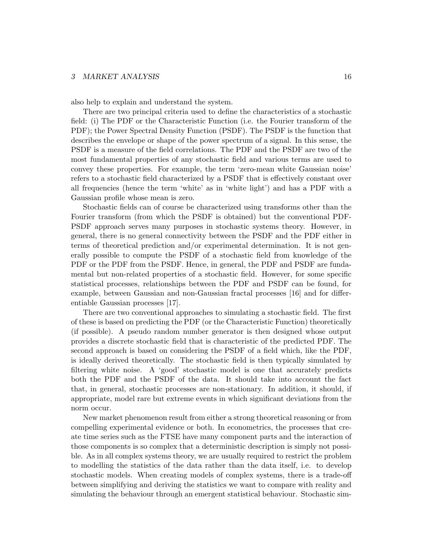also help to explain and understand the system.

There are two principal criteria used to define the characteristics of a stochastic field: (i) The PDF or the Characteristic Function (i.e. the Fourier transform of the PDF); the Power Spectral Density Function (PSDF). The PSDF is the function that describes the envelope or shape of the power spectrum of a signal. In this sense, the PSDF is a measure of the field correlations. The PDF and the PSDF are two of the most fundamental properties of any stochastic field and various terms are used to convey these properties. For example, the term 'zero-mean white Gaussian noise' refers to a stochastic field characterized by a PSDF that is effectively constant over all frequencies (hence the term 'white' as in 'white light') and has a PDF with a Gaussian profile whose mean is zero.

Stochastic fields can of course be characterized using transforms other than the Fourier transform (from which the PSDF is obtained) but the conventional PDF-PSDF approach serves many purposes in stochastic systems theory. However, in general, there is no general connectivity between the PSDF and the PDF either in terms of theoretical prediction and/or experimental determination. It is not generally possible to compute the PSDF of a stochastic field from knowledge of the PDF or the PDF from the PSDF. Hence, in general, the PDF and PSDF are fundamental but non-related properties of a stochastic field. However, for some specific statistical processes, relationships between the PDF and PSDF can be found, for example, between Gaussian and non-Gaussian fractal processes [16] and for differentiable Gaussian processes [17].

There are two conventional approaches to simulating a stochastic field. The first of these is based on predicting the PDF (or the Characteristic Function) theoretically (if possible). A pseudo random number generator is then designed whose output provides a discrete stochastic field that is characteristic of the predicted PDF. The second approach is based on considering the PSDF of a field which, like the PDF, is ideally derived theoretically. The stochastic field is then typically simulated by filtering white noise. A 'good' stochastic model is one that accurately predicts both the PDF and the PSDF of the data. It should take into account the fact that, in general, stochastic processes are non-stationary. In addition, it should, if appropriate, model rare but extreme events in which significant deviations from the norm occur.

New market phenomenon result from either a strong theoretical reasoning or from compelling experimental evidence or both. In econometrics, the processes that create time series such as the FTSE have many component parts and the interaction of those components is so complex that a deterministic description is simply not possible. As in all complex systems theory, we are usually required to restrict the problem to modelling the statistics of the data rather than the data itself, i.e. to develop stochastic models. When creating models of complex systems, there is a trade-off between simplifying and deriving the statistics we want to compare with reality and simulating the behaviour through an emergent statistical behaviour. Stochastic sim-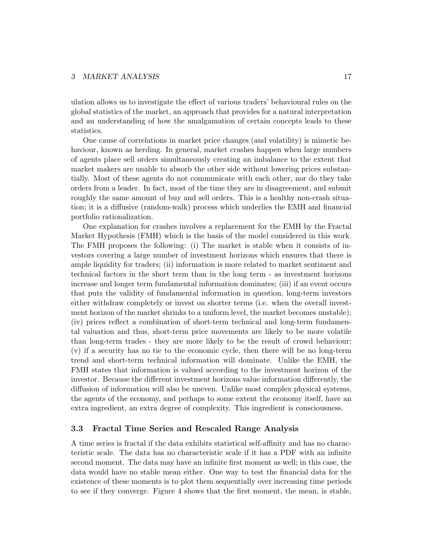ulation allows us to investigate the effect of various traders' behavioural rules on the global statistics of the market, an approach that provides for a natural interpretation and an understanding of how the amalgamation of certain concepts leads to these statistics.

One cause of correlations in market price changes (and volatility) is mimetic behaviour, known as herding. In general, market crashes happen when large numbers of agents place sell orders simultaneously creating an imbalance to the extent that market makers are unable to absorb the other side without lowering prices substantially. Most of these agents do not communicate with each other, nor do they take orders from a leader. In fact, most of the time they are in disagreement, and submit roughly the same amount of buy and sell orders. This is a healthy non-crash situation; it is a diffusive (random-walk) process which underlies the EMH and financial portfolio rationalization.

One explanation for crashes involves a replacement for the EMH by the Fractal Market Hypothesis (FMH) which is the basis of the model considered in this work. The FMH proposes the following: (i) The market is stable when it consists of investors covering a large number of investment horizons which ensures that there is ample liquidity for traders; (ii) information is more related to market sentiment and technical factors in the short term than in the long term - as investment horizons increase and longer term fundamental information dominates; (iii) if an event occurs that puts the validity of fundamental information in question, long-term investors either withdraw completely or invest on shorter terms (i.e. when the overall investment horizon of the market shrinks to a uniform level, the market becomes unstable); (iv) prices reflect a combination of short-term technical and long-term fundamental valuation and thus, short-term price movements are likely to be more volatile than long-term trades - they are more likely to be the result of crowd behaviour; (v) if a security has no tie to the economic cycle, then there will be no long-term trend and short-term technical information will dominate. Unlike the EMH, the FMH states that information is valued according to the investment horizon of the investor. Because the different investment horizons value information differently, the diffusion of information will also be uneven. Unlike most complex physical systems, the agents of the economy, and perhaps to some extent the economy itself, have an extra ingredient, an extra degree of complexity. This ingredient is consciousness.

#### 3.3 Fractal Time Series and Rescaled Range Analysis

A time series is fractal if the data exhibits statistical self-affinity and has no characteristic scale. The data has no characteristic scale if it has a PDF with an infinite second moment. The data may have an infinite first moment as well; in this case, the data would have no stable mean either. One way to test the financial data for the existence of these moments is to plot them sequentially over increasing time periods to see if they converge. Figure 4 shows that the first moment, the mean, is stable,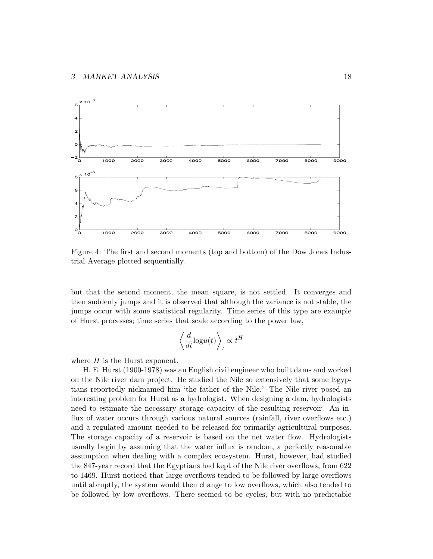

Figure 4: The first and second moments (top and bottom) of the Dow Jones Industrial Average plotted sequentially.

but that the second moment, the mean square, is not settled. It converges and then suddenly jumps and it is observed that although the variance is not stable, the jumps occur with some statistical regularity. Time series of this type are example of Hurst processes; time series that scale according to the power law,

$$
\left\langle \frac{d}{dt} \log u(t) \right\rangle_t \propto t^H
$$

where  $H$  is the Hurst exponent.

H. E. Hurst (1900-1978) was an English civil engineer who built dams and worked on the Nile river dam project. He studied the Nile so extensively that some Egyptians reportedly nicknamed him 'the father of the Nile.' The Nile river posed an interesting problem for Hurst as a hydrologist. When designing a dam, hydrologists need to estimate the necessary storage capacity of the resulting reservoir. An influx of water occurs through various natural sources (rainfall, river overflows etc.) and a regulated amount needed to be released for primarily agricultural purposes. The storage capacity of a reservoir is based on the net water flow. Hydrologists usually begin by assuming that the water influx is random, a perfectly reasonable assumption when dealing with a complex ecosystem. Hurst, however, had studied the 847-year record that the Egyptians had kept of the Nile river overflows, from 622 to 1469. Hurst noticed that large overflows tended to be followed by large overflows until abruptly, the system would then change to low overflows, which also tended to be followed by low overflows. There seemed to be cycles, but with no predictable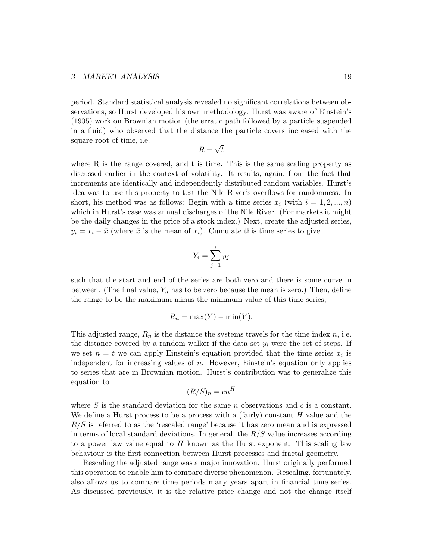period. Standard statistical analysis revealed no significant correlations between observations, so Hurst developed his own methodology. Hurst was aware of Einstein's (1905) work on Brownian motion (the erratic path followed by a particle suspended in a fluid) who observed that the distance the particle covers increased with the square root of time, i.e. √

$$
R=\sqrt{t}
$$

where R is the range covered, and t is time. This is the same scaling property as discussed earlier in the context of volatility. It results, again, from the fact that increments are identically and independently distributed random variables. Hurst's idea was to use this property to test the Nile River's overflows for randomness. In short, his method was as follows: Begin with a time series  $x_i$  (with  $i = 1, 2, ..., n$ ) which in Hurst's case was annual discharges of the Nile River. (For markets it might be the daily changes in the price of a stock index.) Next, create the adjusted series,  $y_i = x_i - \bar{x}$  (where  $\bar{x}$  is the mean of  $x_i$ ). Cumulate this time series to give

$$
Y_i = \sum_{j=1}^i y_j
$$

such that the start and end of the series are both zero and there is some curve in between. (The final value,  $Y_n$  has to be zero because the mean is zero.) Then, define the range to be the maximum minus the minimum value of this time series,

$$
R_n = \max(Y) - \min(Y).
$$

This adjusted range,  $R_n$  is the distance the systems travels for the time index n, i.e. the distance covered by a random walker if the data set  $y_i$  were the set of steps. If we set  $n = t$  we can apply Einstein's equation provided that the time series  $x_i$  is independent for increasing values of  $n$ . However, Einstein's equation only applies to series that are in Brownian motion. Hurst's contribution was to generalize this equation to

$$
(R/S)_n = cn^H
$$

where S is the standard deviation for the same  $n$  observations and  $c$  is a constant. We define a Hurst process to be a process with a (fairly) constant  $H$  value and the  $R/S$  is referred to as the 'rescaled range' because it has zero mean and is expressed in terms of local standard deviations. In general, the  $R/S$  value increases according to a power law value equal to  $H$  known as the Hurst exponent. This scaling law behaviour is the first connection between Hurst processes and fractal geometry.

Rescaling the adjusted range was a major innovation. Hurst originally performed this operation to enable him to compare diverse phenomenon. Rescaling, fortunately, also allows us to compare time periods many years apart in financial time series. As discussed previously, it is the relative price change and not the change itself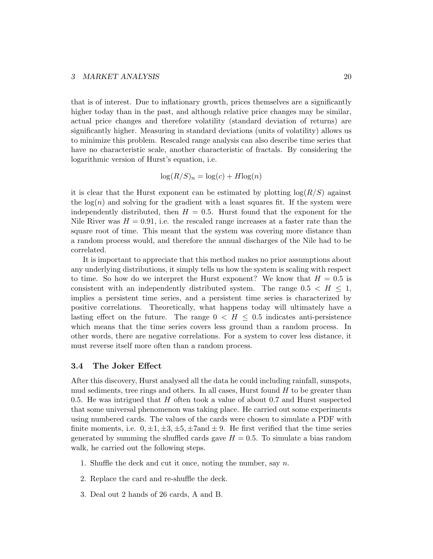that is of interest. Due to inflationary growth, prices themselves are a significantly higher today than in the past, and although relative price changes may be similar, actual price changes and therefore volatility (standard deviation of returns) are significantly higher. Measuring in standard deviations (units of volatility) allows us to minimize this problem. Rescaled range analysis can also describe time series that have no characteristic scale, another characteristic of fractals. By considering the logarithmic version of Hurst's equation, i.e.

$$
\log(R/S)_n = \log(c) + H\log(n)
$$

it is clear that the Hurst exponent can be estimated by plotting  $log(R/S)$  against the  $log(n)$  and solving for the gradient with a least squares fit. If the system were independently distributed, then  $H = 0.5$ . Hurst found that the exponent for the Nile River was  $H = 0.91$ , i.e. the rescaled range increases at a faster rate than the square root of time. This meant that the system was covering more distance than a random process would, and therefore the annual discharges of the Nile had to be correlated.

It is important to appreciate that this method makes no prior assumptions about any underlying distributions, it simply tells us how the system is scaling with respect to time. So how do we interpret the Hurst exponent? We know that  $H = 0.5$  is consistent with an independently distributed system. The range  $0.5 < H \le 1$ , implies a persistent time series, and a persistent time series is characterized by positive correlations. Theoretically, what happens today will ultimately have a lasting effect on the future. The range  $0 < H \leq 0.5$  indicates anti-persistence which means that the time series covers less ground than a random process. In other words, there are negative correlations. For a system to cover less distance, it must reverse itself more often than a random process.

#### 3.4 The Joker Effect

After this discovery, Hurst analysed all the data he could including rainfall, sunspots, mud sediments, tree rings and others. In all cases, Hurst found  $H$  to be greater than 0.5. He was intrigued that  $H$  often took a value of about 0.7 and Hurst suspected that some universal phenomenon was taking place. He carried out some experiments using numbered cards. The values of the cards were chosen to simulate a PDF with finite moments, i.e.  $0, \pm 1, \pm 3, \pm 5, \pm 7$  and  $\pm 9$ . He first verified that the time series generated by summing the shuffled cards gave  $H = 0.5$ . To simulate a bias random walk, he carried out the following steps.

- 1. Shuffle the deck and cut it once, noting the number, say  $n$ .
- 2. Replace the card and re-shuffle the deck.
- 3. Deal out 2 hands of 26 cards, A and B.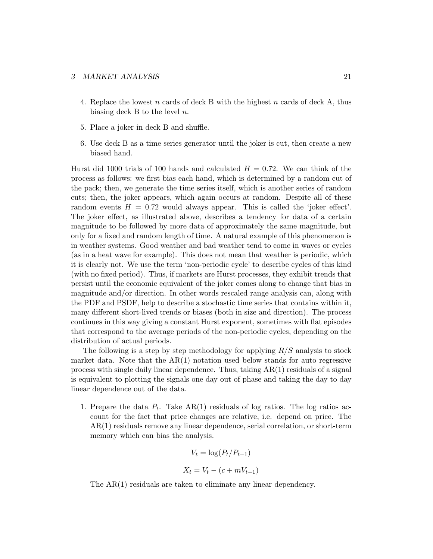- 4. Replace the lowest n cards of deck B with the highest n cards of deck A, thus biasing deck B to the level  $n$ .
- 5. Place a joker in deck B and shuffle.
- 6. Use deck B as a time series generator until the joker is cut, then create a new biased hand.

Hurst did 1000 trials of 100 hands and calculated  $H = 0.72$ . We can think of the process as follows: we first bias each hand, which is determined by a random cut of the pack; then, we generate the time series itself, which is another series of random cuts; then, the joker appears, which again occurs at random. Despite all of these random events  $H = 0.72$  would always appear. This is called the 'joker effect'. The joker effect, as illustrated above, describes a tendency for data of a certain magnitude to be followed by more data of approximately the same magnitude, but only for a fixed and random length of time. A natural example of this phenomenon is in weather systems. Good weather and bad weather tend to come in waves or cycles (as in a heat wave for example). This does not mean that weather is periodic, which it is clearly not. We use the term 'non-periodic cycle' to describe cycles of this kind (with no fixed period). Thus, if markets are Hurst processes, they exhibit trends that persist until the economic equivalent of the joker comes along to change that bias in magnitude and/or direction. In other words rescaled range analysis can, along with the PDF and PSDF, help to describe a stochastic time series that contains within it, many different short-lived trends or biases (both in size and direction). The process continues in this way giving a constant Hurst exponent, sometimes with flat episodes that correspond to the average periods of the non-periodic cycles, depending on the distribution of actual periods.

The following is a step by step methodology for applying  $R/S$  analysis to stock market data. Note that the  $AR(1)$  notation used below stands for auto regressive process with single daily linear dependence. Thus, taking AR(1) residuals of a signal is equivalent to plotting the signals one day out of phase and taking the day to day linear dependence out of the data.

1. Prepare the data  $P_t$ . Take  $AR(1)$  residuals of log ratios. The log ratios account for the fact that price changes are relative, i.e. depend on price. The AR(1) residuals remove any linear dependence, serial correlation, or short-term memory which can bias the analysis.

$$
V_t = \log(P_t/P_{t-1})
$$

$$
X_t = V_t - (c + mV_{t-1})
$$

The AR(1) residuals are taken to eliminate any linear dependency.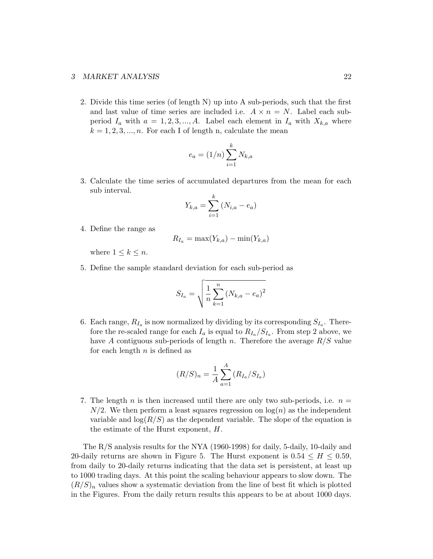2. Divide this time series (of length N) up into A sub-periods, such that the first and last value of time series are included i.e.  $A \times n = N$ . Label each subperiod  $I_a$  with  $a = 1, 2, 3, ..., A$ . Label each element in  $I_a$  with  $X_{k,a}$  where  $k = 1, 2, 3, \ldots, n$ . For each I of length n, calculate the mean

$$
e_a = (1/n) \sum_{i=1}^k N_{k,a}
$$

3. Calculate the time series of accumulated departures from the mean for each sub interval.

$$
Y_{k,a} = \sum_{i=1}^{k} (N_{i,a} - e_a)
$$

4. Define the range as

$$
R_{I_a} = \max(Y_{k,a}) - \min(Y_{k,a})
$$

where  $1 \leq k \leq n$ .

5. Define the sample standard deviation for each sub-period as

$$
S_{I_a} = \sqrt{\frac{1}{n} \sum_{k=1}^{n} (N_{k,a} - e_a)^2}
$$

6. Each range,  $R_{I_a}$  is now normalized by dividing by its corresponding  $S_{I_a}$ . Therefore the re-scaled range for each  $I_a$  is equal to  $R_{I_a}/S_{I_a}$ . From step 2 above, we have A contiguous sub-periods of length n. Therefore the average  $R/S$  value for each length  $n$  is defined as

$$
(R/S)_n = \frac{1}{A} \sum_{a=1}^{A} (R_{I_a}/S_{I_a})
$$

7. The length n is then increased until there are only two sub-periods, i.e.  $n =$  $N/2$ . We then perform a least squares regression on  $log(n)$  as the independent variable and  $log(R/S)$  as the dependent variable. The slope of the equation is the estimate of the Hurst exponent, H.

The R/S analysis results for the NYA (1960-1998) for daily, 5-daily, 10-daily and 20-daily returns are shown in Figure 5. The Hurst exponent is  $0.54 \leq H \leq 0.59$ , from daily to 20-daily returns indicating that the data set is persistent, at least up to 1000 trading days. At this point the scaling behaviour appears to slow down. The  $(R/S)<sub>n</sub>$  values show a systematic deviation from the line of best fit which is plotted in the Figures. From the daily return results this appears to be at about 1000 days.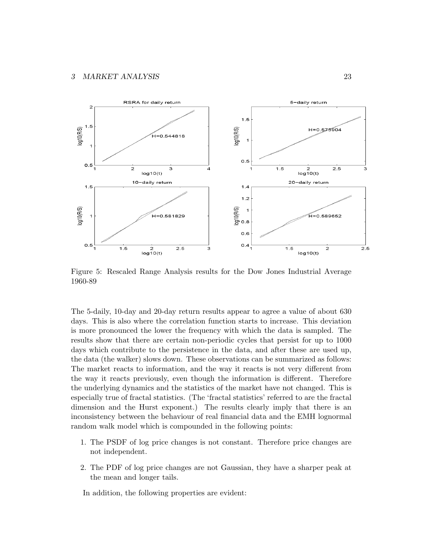

Figure 5: Rescaled Range Analysis results for the Dow Jones Industrial Average 1960-89

The 5-daily, 10-day and 20-day return results appear to agree a value of about 630 days. This is also where the correlation function starts to increase. This deviation is more pronounced the lower the frequency with which the data is sampled. The results show that there are certain non-periodic cycles that persist for up to 1000 days which contribute to the persistence in the data, and after these are used up, the data (the walker) slows down. These observations can be summarized as follows: The market reacts to information, and the way it reacts is not very different from the way it reacts previously, even though the information is different. Therefore the underlying dynamics and the statistics of the market have not changed. This is especially true of fractal statistics. (The 'fractal statistics' referred to are the fractal dimension and the Hurst exponent.) The results clearly imply that there is an inconsistency between the behaviour of real financial data and the EMH lognormal random walk model which is compounded in the following points:

- 1. The PSDF of log price changes is not constant. Therefore price changes are not independent.
- 2. The PDF of log price changes are not Gaussian, they have a sharper peak at the mean and longer tails.

In addition, the following properties are evident: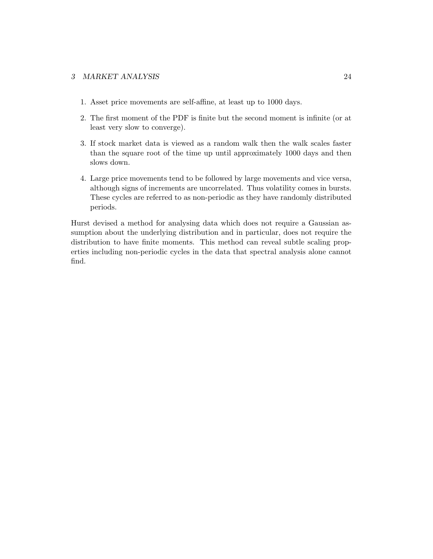- 1. Asset price movements are self-affine, at least up to 1000 days.
- 2. The first moment of the PDF is finite but the second moment is infinite (or at least very slow to converge).
- 3. If stock market data is viewed as a random walk then the walk scales faster than the square root of the time up until approximately 1000 days and then slows down.
- 4. Large price movements tend to be followed by large movements and vice versa, although signs of increments are uncorrelated. Thus volatility comes in bursts. These cycles are referred to as non-periodic as they have randomly distributed periods.

Hurst devised a method for analysing data which does not require a Gaussian assumption about the underlying distribution and in particular, does not require the distribution to have finite moments. This method can reveal subtle scaling properties including non-periodic cycles in the data that spectral analysis alone cannot find.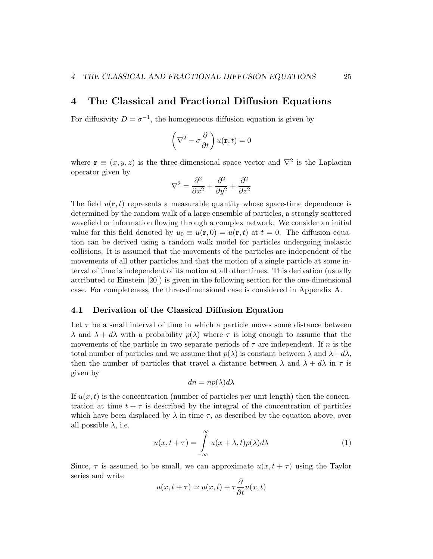## 4 The Classical and Fractional Diffusion Equations

For diffusivity  $D = \sigma^{-1}$ , the homogeneous diffusion equation is given by

$$
\left(\nabla^2 - \sigma \frac{\partial}{\partial t}\right) u(\mathbf{r}, t) = 0
$$

where  $\mathbf{r} \equiv (x, y, z)$  is the three-dimensional space vector and  $\nabla^2$  is the Laplacian operator given by

$$
\nabla^2 = \frac{\partial^2}{\partial x^2} + \frac{\partial^2}{\partial y^2} + \frac{\partial^2}{\partial z^2}
$$

The field  $u(\mathbf{r}, t)$  represents a measurable quantity whose space-time dependence is determined by the random walk of a large ensemble of particles, a strongly scattered wavefield or information flowing through a complex network. We consider an initial value for this field denoted by  $u_0 \equiv u(\mathbf{r}, 0) = u(\mathbf{r}, t)$  at  $t = 0$ . The diffusion equation can be derived using a random walk model for particles undergoing inelastic collisions. It is assumed that the movements of the particles are independent of the movements of all other particles and that the motion of a single particle at some interval of time is independent of its motion at all other times. This derivation (usually attributed to Einstein [20]) is given in the following section for the one-dimensional case. For completeness, the three-dimensional case is considered in Appendix A.

#### 4.1 Derivation of the Classical Diffusion Equation

Let  $\tau$  be a small interval of time in which a particle moves some distance between  $\lambda$  and  $\lambda + d\lambda$  with a probability  $p(\lambda)$  where  $\tau$  is long enough to assume that the movements of the particle in two separate periods of  $\tau$  are independent. If n is the total number of particles and we assume that  $p(\lambda)$  is constant between  $\lambda$  and  $\lambda + d\lambda$ , then the number of particles that travel a distance between  $\lambda$  and  $\lambda + d\lambda$  in  $\tau$  is given by

$$
dn = np(\lambda)d\lambda
$$

If  $u(x, t)$  is the concentration (number of particles per unit length) then the concentration at time  $t + \tau$  is described by the integral of the concentration of particles which have been displaced by  $\lambda$  in time  $\tau$ , as described by the equation above, over all possible  $\lambda$ , i.e.

$$
u(x,t+\tau) = \int_{-\infty}^{\infty} u(x+\lambda,t)p(\lambda)d\lambda
$$
 (1)

Since,  $\tau$  is assumed to be small, we can approximate  $u(x, t + \tau)$  using the Taylor series and write

$$
u(x, t + \tau) \simeq u(x, t) + \tau \frac{\partial}{\partial t} u(x, t)
$$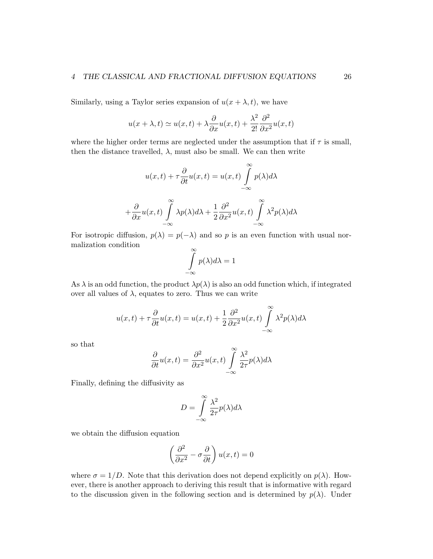Similarly, using a Taylor series expansion of  $u(x + \lambda, t)$ , we have

$$
u(x + \lambda, t) \simeq u(x, t) + \lambda \frac{\partial}{\partial x} u(x, t) + \frac{\lambda^2}{2!} \frac{\partial^2}{\partial x^2} u(x, t)
$$

where the higher order terms are neglected under the assumption that if  $\tau$  is small, then the distance travelled,  $\lambda$ , must also be small. We can then write

$$
u(x,t) + \tau \frac{\partial}{\partial t} u(x,t) = u(x,t) \int_{-\infty}^{\infty} p(\lambda) d\lambda
$$

$$
+ \frac{\partial}{\partial x} u(x,t) \int_{-\infty}^{\infty} \lambda p(\lambda) d\lambda + \frac{1}{2} \frac{\partial^2}{\partial x^2} u(x,t) \int_{-\infty}^{\infty} \lambda^2 p(\lambda) d\lambda
$$

For isotropic diffusion,  $p(\lambda) = p(-\lambda)$  and so p is an even function with usual normalization condition

$$
\int\limits_{-\infty}^{\infty} p(\lambda) d\lambda = 1
$$

As  $\lambda$  is an odd function, the product  $\lambda p(\lambda)$  is also an odd function which, if integrated over all values of  $\lambda$ , equates to zero. Thus we can write

$$
u(x,t) + \tau \frac{\partial}{\partial t} u(x,t) = u(x,t) + \frac{1}{2} \frac{\partial^2}{\partial x^2} u(x,t) \int_{-\infty}^{\infty} \lambda^2 p(\lambda) d\lambda
$$

so that

$$
\frac{\partial}{\partial t}u(x,t) = \frac{\partial^2}{\partial x^2}u(x,t)\int\limits_{-\infty}^{\infty}\frac{\lambda^2}{2\tau}p(\lambda)d\lambda
$$

Finally, defining the diffusivity as

$$
D = \int_{-\infty}^{\infty} \frac{\lambda^2}{2\tau} p(\lambda) d\lambda
$$

we obtain the diffusion equation

$$
\left(\frac{\partial^2}{\partial x^2} - \sigma \frac{\partial}{\partial t}\right) u(x, t) = 0
$$

where  $\sigma = 1/D$ . Note that this derivation does not depend explicitly on  $p(\lambda)$ . However, there is another approach to deriving this result that is informative with regard to the discussion given in the following section and is determined by  $p(\lambda)$ . Under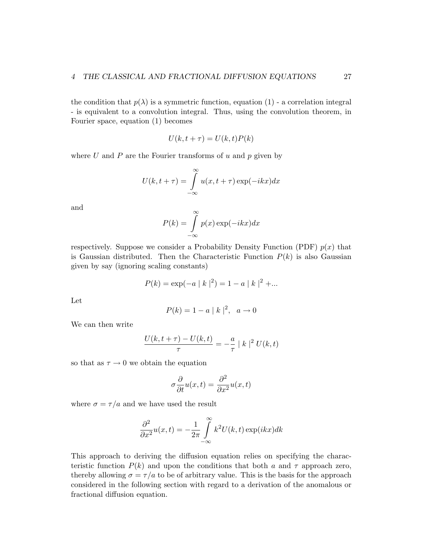the condition that  $p(\lambda)$  is a symmetric function, equation (1) - a correlation integral - is equivalent to a convolution integral. Thus, using the convolution theorem, in Fourier space, equation (1) becomes

$$
U(k, t + \tau) = U(k, t)P(k)
$$

where U and P are the Fourier transforms of  $u$  and  $p$  given by

$$
U(k, t + \tau) = \int_{-\infty}^{\infty} u(x, t + \tau) \exp(-ikx) dx
$$

and

$$
P(k) = \int_{-\infty}^{\infty} p(x) \exp(-ikx) dx
$$

respectively. Suppose we consider a Probability Density Function (PDF)  $p(x)$  that is Gaussian distributed. Then the Characteristic Function  $P(k)$  is also Gaussian given by say (ignoring scaling constants)

$$
P(k) = \exp(-a \mid k \mid^{2}) = 1 - a \mid k \mid^{2} + ...
$$

Let

$$
P(k) = 1 - a |k|^2, \ \ a \to 0
$$

We can then write

$$
\frac{U(k,t+\tau)-U(k,t)}{\tau}=-\frac{a}{\tau}\mid k\mid^{2} U(k,t)
$$

so that as  $\tau \to 0$  we obtain the equation

$$
\sigma \frac{\partial}{\partial t} u(x,t) = \frac{\partial^2}{\partial x^2} u(x,t)
$$

where  $\sigma = \tau/a$  and we have used the result

$$
\frac{\partial^2}{\partial x^2}u(x,t) = -\frac{1}{2\pi}\int_{-\infty}^{\infty} k^2 U(k,t)\exp(ikx)dk
$$

This approach to deriving the diffusion equation relies on specifying the characteristic function  $P(k)$  and upon the conditions that both a and  $\tau$  approach zero, thereby allowing  $\sigma = \tau/a$  to be of arbitrary value. This is the basis for the approach considered in the following section with regard to a derivation of the anomalous or fractional diffusion equation.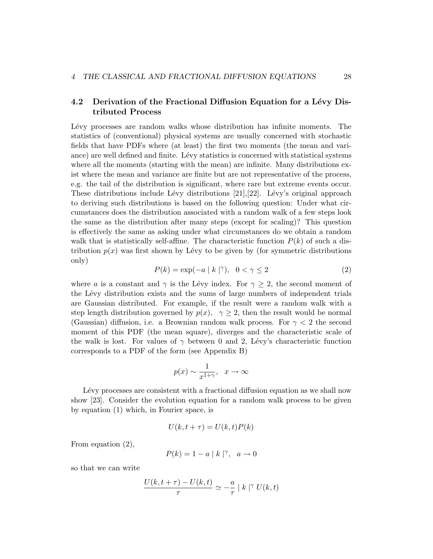#### 4.2 Derivation of the Fractional Diffusion Equation for a Lévy Distributed Process

Lévy processes are random walks whose distribution has infinite moments. The statistics of (conventional) physical systems are usually concerned with stochastic fields that have PDFs where (at least) the first two moments (the mean and variance) are well defined and finite. Lévy statistics is concerned with statistical systems where all the moments (starting with the mean) are infinite. Many distributions exist where the mean and variance are finite but are not representative of the process, e.g. the tail of the distribution is significant, where rare but extreme events occur. These distributions include Lévy distributions  $[21],[22]$ . Lévy's original approach to deriving such distributions is based on the following question: Under what circumstances does the distribution associated with a random walk of a few steps look the same as the distribution after many steps (except for scaling)? This question is effectively the same as asking under what circumstances do we obtain a random walk that is statistically self-affine. The characteristic function  $P(k)$  of such a distribution  $p(x)$  was first shown by Lévy to be given by (for symmetric distributions only)

$$
P(k) = \exp(-a \mid k \mid^{\gamma}), \quad 0 < \gamma \le 2 \tag{2}
$$

where a is a constant and  $\gamma$  is the Lévy index. For  $\gamma \geq 2$ , the second moment of the Lévy distribution exists and the sums of large numbers of independent trials are Gaussian distributed. For example, if the result were a random walk with a step length distribution governed by  $p(x)$ ,  $\gamma \geq 2$ , then the result would be normal (Gaussian) diffusion, i.e. a Brownian random walk process. For  $\gamma < 2$  the second moment of this PDF (the mean square), diverges and the characteristic scale of the walk is lost. For values of  $\gamma$  between 0 and 2, Lévy's characteristic function corresponds to a PDF of the form (see Appendix B)

$$
p(x) \sim \frac{1}{x^{1+\gamma}}, \quad x \to \infty
$$

Lévy processes are consistent with a fractional diffusion equation as we shall now show [23]. Consider the evolution equation for a random walk process to be given by equation (1) which, in Fourier space, is

$$
U(k, t + \tau) = U(k, t)P(k)
$$

From equation (2),

$$
P(k) = 1 - a |k|^\gamma, \quad a \to 0
$$

so that we can write

$$
\frac{U(k,t+\tau)-U(k,t)}{\tau}\simeq-\frac{a}{\tau}\mid k\mid^{\gamma} U(k,t)
$$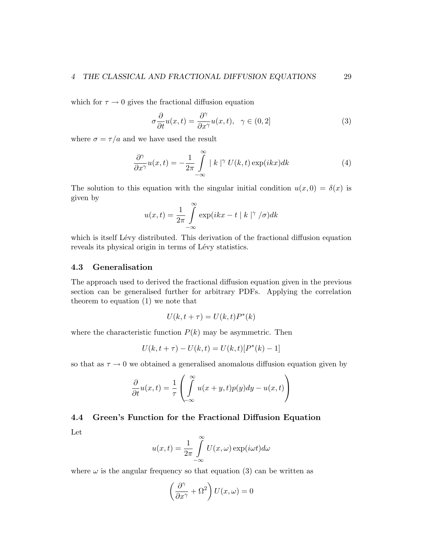which for  $\tau \to 0$  gives the fractional diffusion equation

$$
\sigma \frac{\partial}{\partial t} u(x,t) = \frac{\partial^{\gamma}}{\partial x^{\gamma}} u(x,t), \quad \gamma \in (0,2]
$$
\n(3)

where  $\sigma = \tau/a$  and we have used the result

$$
\frac{\partial^{\gamma}}{\partial x^{\gamma}}u(x,t) = -\frac{1}{2\pi} \int_{-\infty}^{\infty} |k|^{\gamma} U(k,t) \exp(ikx) dk \tag{4}
$$

The solution to this equation with the singular initial condition  $u(x, 0) = \delta(x)$  is given by

 $\sim$ 

$$
u(x,t) = \frac{1}{2\pi} \int_{-\infty}^{\infty} \exp(ikx - t \mid k \mid^{\gamma} / \sigma) dk
$$

which is itself Lévy distributed. This derivation of the fractional diffusion equation reveals its physical origin in terms of Lévy statistics.

#### 4.3 Generalisation

The approach used to derived the fractional diffusion equation given in the previous section can be generalised further for arbitrary PDFs. Applying the correlation theorem to equation (1) we note that

$$
U(k, t + \tau) = U(k, t)P^*(k)
$$

where the characteristic function  $P(k)$  may be asymmetric. Then

$$
U(k, t + \tau) - U(k, t) = U(k, t)[P^*(k) - 1]
$$

so that as  $\tau \to 0$  we obtained a generalised anomalous diffusion equation given by

$$
\frac{\partial}{\partial t}u(x,t) = \frac{1}{\tau} \left( \int_{-\infty}^{\infty} u(x+y,t)p(y)dy - u(x,t) \right)
$$

4.4 Green's Function for the Fractional Diffusion Equation Let

$$
u(x,t) = \frac{1}{2\pi} \int_{-\infty}^{\infty} U(x,\omega) \exp(i\omega t) d\omega
$$

where  $\omega$  is the angular frequency so that equation (3) can be written as

$$
\left(\frac{\partial^{\gamma}}{\partial x^{\gamma}} + \Omega^2\right)U(x,\omega) = 0
$$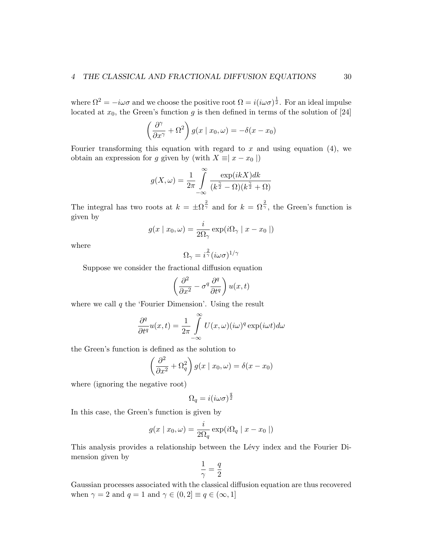where  $\Omega^2 = -i\omega\sigma$  and we choose the positive root  $\Omega = i(i\omega\sigma)^{\frac{1}{2}}$ . For an ideal impulse located at  $x_0$ , the Green's function g is then defined in terms of the solution of [24]

$$
\left(\frac{\partial^{\gamma}}{\partial x^{\gamma}} + \Omega^{2}\right) g(x \mid x_{0}, \omega) = -\delta(x - x_{0})
$$

Fourier transforming this equation with regard to x and using equation (4), we obtain an expression for g given by (with  $X \equiv |x - x_0|$ )

$$
g(X,\omega) = \frac{1}{2\pi} \int_{-\infty}^{\infty} \frac{\exp(ikX)dk}{(k^{\frac{\gamma}{2}} - \Omega)(k^{\frac{\gamma}{2}} + \Omega)}
$$

The integral has two roots at  $k = \pm \Omega^{\frac{2}{\gamma}}$  and for  $k = \Omega^{\frac{2}{\gamma}}$ , the Green's function is given by

$$
g(x \mid x_0, \omega) = \frac{i}{2\Omega_\gamma} \exp(i\Omega_\gamma \mid x - x_0 \mid)
$$

where

$$
\Omega_\gamma = i^{\frac{2}{\gamma}}(i\omega\sigma)^{1/\gamma}
$$

Suppose we consider the fractional diffusion equation

$$
\left(\frac{\partial^2}{\partial x^2} - \sigma^q \frac{\partial^q}{\partial t^q}\right) u(x, t)
$$

where we call  $q$  the 'Fourier Dimension'. Using the result

$$
\frac{\partial^q}{\partial t^q}u(x,t) = \frac{1}{2\pi} \int_{-\infty}^{\infty} U(x,\omega)(i\omega)^q \exp(i\omega t) d\omega
$$

the Green's function is defined as the solution to

$$
\left(\frac{\partial^2}{\partial x^2} + \Omega_q^2\right) g(x \mid x_0, \omega) = \delta(x - x_0)
$$

where (ignoring the negative root)

$$
\Omega_q = i(i\omega\sigma)^{\frac{q}{2}}
$$

In this case, the Green's function is given by

$$
g(x \mid x_0, \omega) = \frac{i}{2\Omega_q} \exp(i\Omega_q \mid x - x_0 \mid)
$$

This analysis provides a relationship between the Lévy index and the Fourier Dimension given by 1

$$
\frac{1}{\gamma}=\frac{q}{2}
$$

Gaussian processes associated with the classical diffusion equation are thus recovered when  $\gamma = 2$  and  $q = 1$  and  $\gamma \in (0, 2] \equiv q \in (\infty, 1]$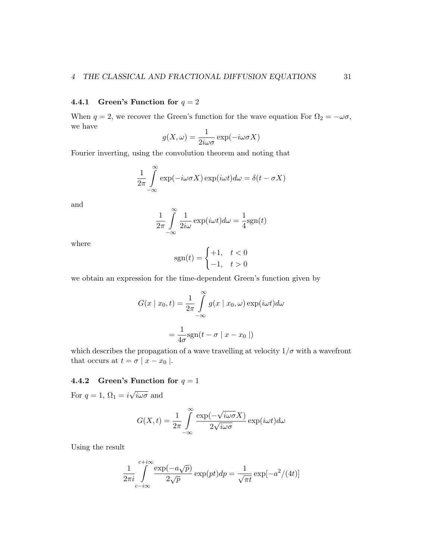#### 4.4.1 Green's Function for  $q = 2$

When  $q = 2$ , we recover the Green's function for the wave equation For  $\Omega_2 = -\omega \sigma$ , we have

$$
g(X,\omega) = \frac{1}{2i\omega\sigma} \exp(-i\omega\sigma X)
$$

Fourier inverting, using the convolution theorem and noting that

$$
\frac{1}{2\pi} \int_{-\infty}^{\infty} \exp(-i\omega\sigma X) \exp(i\omega t) d\omega = \delta(t - \sigma X)
$$

and

$$
\frac{1}{2\pi} \int_{-\infty}^{\infty} \frac{1}{2i\omega} \exp(i\omega t) d\omega = \frac{1}{4} \text{sgn}(t)
$$

where

$$
sgn(t) = \begin{cases} +1, & t < 0 \\ -1, & t > 0 \end{cases}
$$

we obtain an expression for the time-dependent Green's function given by

$$
G(x \mid x_0, t) = \frac{1}{2\pi} \int_{-\infty}^{\infty} g(x \mid x_0, \omega) \exp(i\omega t) d\omega
$$

$$
= \frac{1}{4\sigma} \text{sgn}(t - \sigma \mid x - x_0 \mid)
$$

which describes the propagation of a wave travelling at velocity  $1/\sigma$  with a wavefront that occurs at  $t = \sigma | x - x_0 |$ .

#### 4.4.2 Green's Function for  $q = 1$

For  $q = 1$ ,  $\Omega_1 = i$ √  $i\omega\sigma$  and

$$
G(X,t) = \frac{1}{2\pi} \int_{-\infty}^{\infty} \frac{\exp(-\sqrt{i\omega\sigma}X)}{2\sqrt{i\omega\sigma}} \exp(i\omega t) d\omega
$$

Using the result

$$
\frac{1}{2\pi i} \int_{c-i\infty}^{c+i\infty} \frac{\exp(-a\sqrt{p})}{2\sqrt{p}} \exp(pt) dp = \frac{1}{\sqrt{\pi t}} \exp[-a^2/(4t)]
$$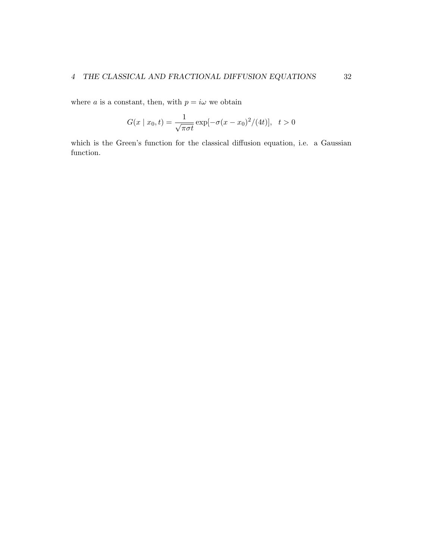where  $a$  is a constant, then, with  $p = i\omega$  we obtain

$$
G(x \mid x_0, t) = \frac{1}{\sqrt{\pi \sigma t}} \exp[-\sigma (x - x_0)^2 / (4t)], \quad t > 0
$$

which is the Green's function for the classical diffusion equation, i.e. a Gaussian function.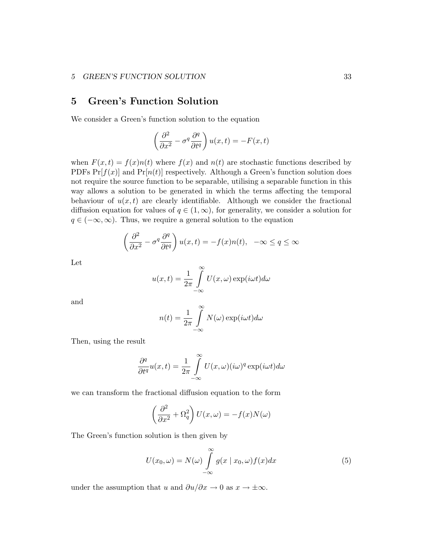# 5 Green's Function Solution

We consider a Green's function solution to the equation

$$
\left(\frac{\partial^2}{\partial x^2} - \sigma^q \frac{\partial^q}{\partial t^q}\right) u(x,t) = -F(x,t)
$$

when  $F(x,t) = f(x)n(t)$  where  $f(x)$  and  $n(t)$  are stochastic functions described by PDFs  $Pr[f(x)]$  and  $Pr[n(t)]$  respectively. Although a Green's function solution does not require the source function to be separable, utilising a separable function in this way allows a solution to be generated in which the terms affecting the temporal behaviour of  $u(x, t)$  are clearly identifiable. Although we consider the fractional diffusion equation for values of  $q \in (1,\infty)$ , for generality, we consider a solution for  $q \in (-\infty, \infty)$ . Thus, we require a general solution to the equation

$$
\left(\frac{\partial^2}{\partial x^2} - \sigma^q \frac{\partial^q}{\partial t^q}\right) u(x,t) = -f(x)v(t), \quad -\infty \le q \le \infty
$$

Let

$$
u(x,t) = \frac{1}{2\pi} \int_{-\infty}^{\infty} U(x,\omega) \exp(i\omega t) d\omega
$$

and

$$
n(t) = \frac{1}{2\pi} \int_{-\infty}^{\infty} N(\omega) \exp(i\omega t) d\omega
$$

Then, using the result

$$
\frac{\partial^q}{\partial t^q}u(x,t) = \frac{1}{2\pi} \int_{-\infty}^{\infty} U(x,\omega)(i\omega)^q \exp(i\omega t) d\omega
$$

we can transform the fractional diffusion equation to the form

$$
\left(\frac{\partial^2}{\partial x^2} + \Omega_q^2\right) U(x,\omega) = -f(x)N(\omega)
$$

The Green's function solution is then given by

$$
U(x_0, \omega) = N(\omega) \int_{-\infty}^{\infty} g(x \mid x_0, \omega) f(x) dx \tag{5}
$$

under the assumption that u and  $\partial u/\partial x \to 0$  as  $x \to \pm \infty$ .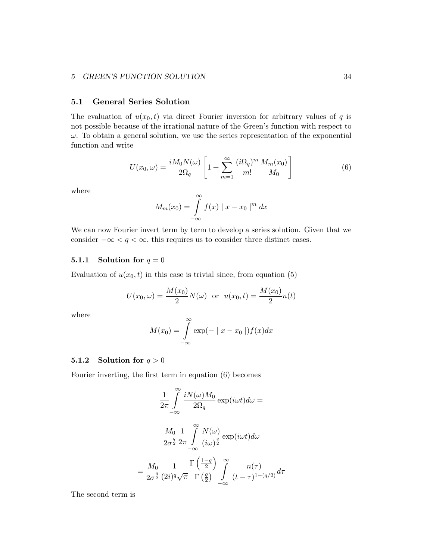## 5.1 General Series Solution

The evaluation of  $u(x_0, t)$  via direct Fourier inversion for arbitrary values of q is not possible because of the irrational nature of the Green's function with respect to  $\omega$ . To obtain a general solution, we use the series representation of the exponential function and write

$$
U(x_0, \omega) = \frac{iM_0 N(\omega)}{2\Omega_q} \left[ 1 + \sum_{m=1}^{\infty} \frac{(i\Omega_q)^m}{m!} \frac{M_m(x_0)}{M_0} \right]
$$
(6)

where

$$
M_m(x_0) = \int_{-\infty}^{\infty} f(x) |x - x_0|^{m} dx
$$

We can now Fourier invert term by term to develop a series solution. Given that we consider  $-\infty < q < \infty$ , this requires us to consider three distinct cases.

## 5.1.1 Solution for  $q = 0$

Evaluation of  $u(x_0, t)$  in this case is trivial since, from equation (5)

$$
U(x_0, \omega) = \frac{M(x_0)}{2} N(\omega) \text{ or } u(x_0, t) = \frac{M(x_0)}{2} n(t)
$$

where

$$
M(x_0) = \int_{-\infty}^{\infty} \exp(-\mid x - x_0 \mid) f(x) dx
$$

## 5.1.2 Solution for  $q > 0$

Fourier inverting, the first term in equation (6) becomes

$$
\frac{1}{2\pi} \int_{-\infty}^{\infty} \frac{iN(\omega)M_0}{2\Omega_q} \exp(i\omega t) d\omega =
$$

$$
\frac{M_0}{2\sigma^{\frac{q}{2}}} \frac{1}{2\pi} \int_{-\infty}^{\infty} \frac{N(\omega)}{(i\omega)^{\frac{q}{2}}} \exp(i\omega t) d\omega
$$

$$
= \frac{M_0}{2\sigma^{\frac{q}{2}}} \frac{1}{(2i)^q \sqrt{\pi}} \frac{\Gamma(\frac{1-q}{2})}{\Gamma(\frac{q}{2})} \int_{-\infty}^{\infty} \frac{n(\tau)}{(t-\tau)^{1-(q/2)}} d\tau
$$

The second term is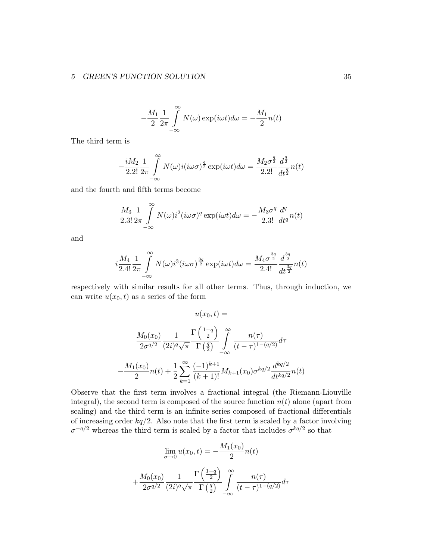$$
-\frac{M_1}{2}\frac{1}{2\pi}\int_{-\infty}^{\infty} N(\omega) \exp(i\omega t) d\omega = -\frac{M_1}{2}n(t)
$$

The third term is

$$
-\frac{iM_2}{2.2!} \frac{1}{2\pi} \int_{-\infty}^{\infty} N(\omega) i(i\omega\sigma)^{\frac{q}{2}} \exp(i\omega t) d\omega = \frac{M_2 \sigma^{\frac{q}{2}}}{2.2!} \frac{d^{\frac{q}{2}}}{dt^{\frac{q}{2}}} n(t)
$$

and the fourth and fifth terms become

$$
\frac{M_3}{2.3!} \frac{1}{2\pi} \int_{-\infty}^{\infty} N(\omega) i^2 (i\omega \sigma)^q \exp(i\omega t) d\omega = -\frac{M_3 \sigma^q}{2.3!} \frac{d^q}{dt^q} n(t)
$$

and

$$
i\frac{M_4}{2.4!}\frac{1}{2\pi}\int_{-\infty}^{\infty} N(\omega)i^3(i\omega\sigma)^{\frac{3q}{2}}\exp(i\omega t)d\omega = \frac{M_4\sigma^{\frac{3q}{2}}}{2.4!}\frac{d^{\frac{3q}{2}}}{dt^{\frac{3q}{2}}}n(t)
$$

respectively with similar results for all other terms. Thus, through induction, we can write  $u(x_0, t)$  as a series of the form

$$
u(x_0, t) =
$$
  

$$
\frac{M_0(x_0)}{2\sigma^{q/2}} \frac{1}{(2i)^q \sqrt{\pi}} \frac{\Gamma\left(\frac{1-q}{2}\right)}{\Gamma\left(\frac{q}{2}\right)} \int_{-\infty}^{\infty} \frac{n(\tau)}{(t-\tau)^{1-(q/2)}} d\tau
$$
  

$$
-\frac{M_1(x_0)}{2} n(t) + \frac{1}{2} \sum_{k=1}^{\infty} \frac{(-1)^{k+1}}{(k+1)!} M_{k+1}(x_0) \sigma^{kq/2} \frac{d^{kq/2}}{dt^{kq/2}} n(t)
$$

Observe that the first term involves a fractional integral (the Riemann-Liouville integral), the second term is composed of the source function  $n(t)$  alone (apart from scaling) and the third term is an infinite series composed of fractional differentials of increasing order  $kq/2$ . Also note that the first term is scaled by a factor involving  $\sigma^{-q/2}$  whereas the third term is scaled by a factor that includes  $\sigma^{kq/2}$  so that

$$
\lim_{\sigma \to 0} u(x_0, t) = -\frac{M_1(x_0)}{2} n(t)
$$

$$
+\frac{M_0(x_0)}{2\sigma^{q/2}} \frac{1}{(2i)^q \sqrt{\pi}} \frac{\Gamma\left(\frac{1-q}{2}\right)}{\Gamma\left(\frac{q}{2}\right)} \int_{-\infty}^{\infty} \frac{n(\tau)}{(t-\tau)^{1-(q/2)}} d\tau
$$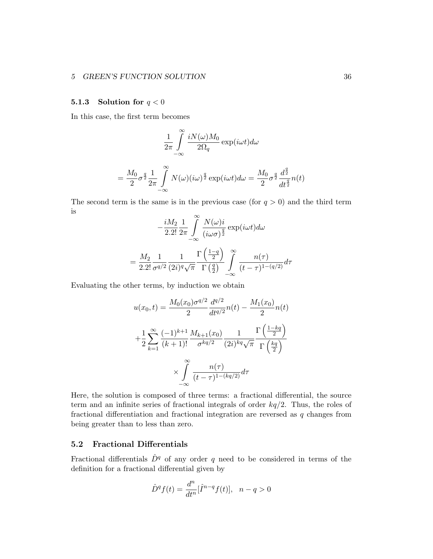#### 5.1.3 Solution for  $q < 0$

In this case, the first term becomes

$$
\frac{1}{2\pi} \int_{-\infty}^{\infty} \frac{iN(\omega)M_0}{2\Omega_q} \exp(i\omega t) d\omega
$$

$$
= \frac{M_0}{2} \sigma^{\frac{q}{2}} \frac{1}{2\pi} \int_{-\infty}^{\infty} N(\omega)(i\omega)^{\frac{q}{2}} \exp(i\omega t) d\omega = \frac{M_0}{2} \sigma^{\frac{q}{2}} \frac{d^{\frac{q}{2}}}{dt^{\frac{q}{2}}} n(t)
$$

The second term is the same is in the previous case (for  $q > 0$ ) and the third term is

$$
-\frac{iM_2}{2.2!} \frac{1}{2\pi} \int_{-\infty}^{\infty} \frac{N(\omega)i}{(i\omega\sigma)^{\frac{q}{2}}} \exp(i\omega t) d\omega
$$

$$
=\frac{M_2}{2.2!} \frac{1}{\sigma^{q/2}} \frac{1}{(2i)^q \sqrt{\pi}} \frac{\Gamma\left(\frac{1-q}{2}\right)}{\Gamma\left(\frac{q}{2}\right)} \int_{-\infty}^{\infty} \frac{n(\tau)}{(t-\tau)^{1-(q/2)}} d\tau
$$

Evaluating the other terms, by induction we obtain

$$
u(x_0, t) = \frac{M_0(x_0)\sigma^{q/2}}{2} \frac{d^{q/2}}{dt^{q/2}} n(t) - \frac{M_1(x_0)}{2} n(t)
$$

$$
+ \frac{1}{2} \sum_{k=1}^{\infty} \frac{(-1)^{k+1}}{(k+1)!} \frac{M_{k+1}(x_0)}{\sigma^{kq/2}} \frac{1}{(2i)^{kq} \sqrt{\pi}} \frac{\Gamma\left(\frac{1-kq}{2}\right)}{\Gamma\left(\frac{kq}{2}\right)}
$$

$$
\times \int_{-\infty}^{\infty} \frac{n(\tau)}{(t-\tau)^{1-(kq/2)}} d\tau
$$

Here, the solution is composed of three terms: a fractional differential, the source term and an infinite series of fractional integrals of order  $kq/2$ . Thus, the roles of fractional differentiation and fractional integration are reversed as q changes from being greater than to less than zero.

## 5.2 Fractional Differentials

Fractional differentials  $\hat{D}^q$  of any order q need to be considered in terms of the definition for a fractional differential given by

$$
\hat{D}^q f(t) = \frac{d^n}{dt^n} [\hat{I}^{n-q} f(t)], \quad n - q > 0
$$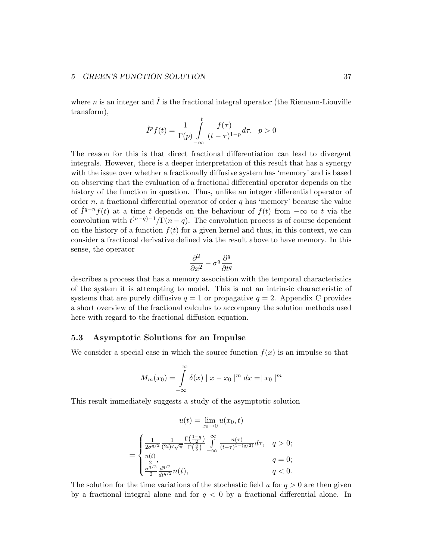where n is an integer and  $\hat{I}$  is the fractional integral operator (the Riemann-Liouville transform),

$$
\hat{I}^p f(t) = \frac{1}{\Gamma(p)} \int\limits_{-\infty}^t \frac{f(\tau)}{(t-\tau)^{1-p}} d\tau, \quad p > 0
$$

The reason for this is that direct fractional differentiation can lead to divergent integrals. However, there is a deeper interpretation of this result that has a synergy with the issue over whether a fractionally diffusive system has 'memory' and is based on observing that the evaluation of a fractional differential operator depends on the history of the function in question. Thus, unlike an integer differential operator of order n, a fractional differential operator of order  $q$  has 'memory' because the value of  $\hat{I}^{q-n}f(t)$  at a time t depends on the behaviour of  $f(t)$  from  $-\infty$  to t via the convolution with  $t^{(n-q)-1}/\Gamma(n-q)$ . The convolution process is of course dependent on the history of a function  $f(t)$  for a given kernel and thus, in this context, we can consider a fractional derivative defined via the result above to have memory. In this sense, the operator

$$
\frac{\partial^2}{\partial x^2} - \sigma^q \frac{\partial^q}{\partial t^q}
$$

describes a process that has a memory association with the temporal characteristics of the system it is attempting to model. This is not an intrinsic characteristic of systems that are purely diffusive  $q = 1$  or propagative  $q = 2$ . Appendix C provides a short overview of the fractional calculus to accompany the solution methods used here with regard to the fractional diffusion equation.

## 5.3 Asymptotic Solutions for an Impulse

We consider a special case in which the source function  $f(x)$  is an impulse so that

$$
M_m(x_0) = \int_{-\infty}^{\infty} \delta(x) |x - x_0|^m dx = |x_0|^m
$$

This result immediately suggests a study of the asymptotic solution

$$
u(t) = \lim_{x_0 \to 0} u(x_0, t)
$$
  
= 
$$
\begin{cases} \frac{1}{2\sigma^{q/2}} \frac{1}{(2i)^q \sqrt{\pi}} \frac{\Gamma(\frac{1-q}{2})}{\Gamma(\frac{q}{2})} \int_{-\infty}^{\infty} \frac{n(\tau)}{(t-\tau)^{1-(q/2)}} d\tau, & q > 0; \\ \frac{n(t)}{2} \\ \frac{\sigma^{q/2}}{2} \frac{d^{q/2}}{dt^{q/2}} n(t), & q < 0. \end{cases}
$$

The solution for the time variations of the stochastic field u for  $q > 0$  are then given by a fractional integral alone and for  $q < 0$  by a fractional differential alone. In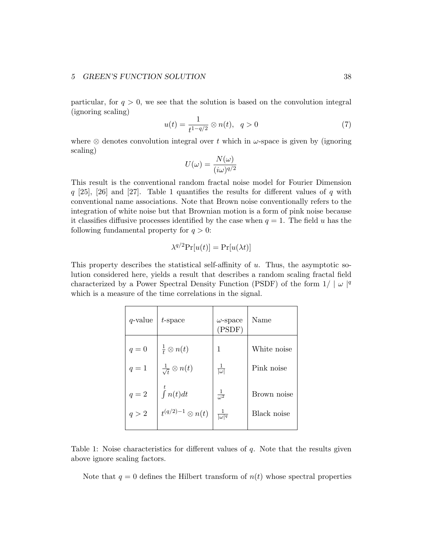particular, for  $q > 0$ , we see that the solution is based on the convolution integral (ignoring scaling)

$$
u(t) = \frac{1}{t^{1-q/2}} \otimes n(t), \quad q > 0 \tag{7}
$$

where  $\otimes$  denotes convolution integral over t which in  $\omega$ -space is given by (ignoring scaling)

$$
U(\omega) = \frac{N(\omega)}{(i\omega)^{q/2}}
$$

This result is the conventional random fractal noise model for Fourier Dimension  $q$  [25], [26] and [27]. Table 1 quantifies the results for different values of q with conventional name associations. Note that Brown noise conventionally refers to the integration of white noise but that Brownian motion is a form of pink noise because it classifies diffusive processes identified by the case when  $q = 1$ . The field u has the following fundamental property for  $q > 0$ :

$$
\lambda^{q/2} \Pr[u(t)] = \Pr[u(\lambda t)]
$$

This property describes the statistical self-affinity of u. Thus, the asymptotic solution considered here, yields a result that describes a random scaling fractal field characterized by a Power Spectral Density Function (PSDF) of the form  $1/|\omega|^q$ which is a measure of the time correlations in the signal.

| $q$ -value | $t$ -space                        | $\omega$ -space<br>(PSDF) | Name        |
|------------|-----------------------------------|---------------------------|-------------|
| $q=0$      | $rac{1}{t} \otimes n(t)$          | 1                         | White noise |
| $q=1$      | $\frac{1}{\sqrt{t}} \otimes n(t)$ | $\frac{1}{ \omega }$      | Pink noise  |
| $q=2$      | $\int n(t)dt$                     | $\frac{1}{\omega^2}$      | Brown noise |
| q > 2      | $t^{(q/2)-1}\otimes n(t)$         | $\frac{1}{ \omega ^q}$    | Black noise |

Table 1: Noise characteristics for different values of  $q$ . Note that the results given above ignore scaling factors.

Note that  $q = 0$  defines the Hilbert transform of  $n(t)$  whose spectral properties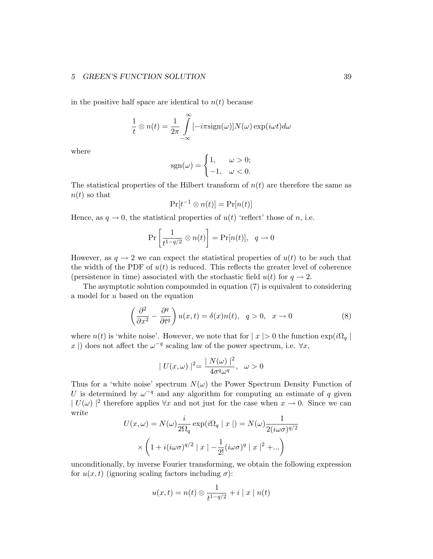in the positive half space are identical to  $n(t)$  because

$$
\frac{1}{t} \otimes n(t) = \frac{1}{2\pi} \int_{-\infty}^{\infty} [-i\pi \text{sign}(\omega)] N(\omega) \exp(i\omega t) d\omega
$$

where

$$
sgn(\omega) = \begin{cases} 1, & \omega > 0; \\ -1, & \omega < 0. \end{cases}
$$

The statistical properties of the Hilbert transform of  $n(t)$  are therefore the same as  $n(t)$  so that

$$
\Pr[t^{-1} \otimes n(t)] = \Pr[n(t)]
$$

Hence, as  $q \to 0$ , the statistical properties of  $u(t)$  'reflect' those of n, i.e.

$$
\Pr\left[\frac{1}{t^{1-q/2}} \otimes n(t)\right] = \Pr[n(t)], \quad q \to 0
$$

However, as  $q \to 2$  we can expect the statistical properties of  $u(t)$  to be such that the width of the PDF of  $u(t)$  is reduced. This reflects the greater level of coherence (persistence in time) associated with the stochastic field  $u(t)$  for  $q \to 2$ .

The asymptotic solution compounded in equation (7) is equivalent to considering a model for u based on the equation

$$
\left(\frac{\partial^2}{\partial x^2} - \frac{\partial^q}{\partial t^q}\right)u(x,t) = \delta(x)n(t), \quad q > 0, \quad x \to 0
$$
\n(8)

where  $n(t)$  is 'white noise'. However, we note that for  $|x| > 0$  the function  $\exp(i\Omega_q)$ x) does not affect the  $\omega^{-q}$  scaling law of the power spectrum, i.e.  $\forall x$ ,

$$
|U(x,\omega)|^2 = \frac{|N(\omega)|^2}{4\sigma^q \omega^q}, \quad \omega > 0
$$

Thus for a 'white noise' spectrum  $N(\omega)$  the Power Spectrum Density Function of U is determined by  $\omega^{-q}$  and any algorithm for computing an estimate of q given  $|U(\omega)|^2$  therefore applies  $\forall x$  and not just for the case when  $x \to 0$ . Since we can write

$$
U(x,\omega) = N(\omega) \frac{i}{2\Omega_q} \exp(i\Omega_q \mid x \mid) = N(\omega) \frac{1}{2(i\omega\sigma)^{q/2}}
$$

$$
\times \left(1 + i(i\omega\sigma)^{q/2} \mid x \mid -\frac{1}{2!} (i\omega\sigma)^q \mid x \mid^2 + \dots\right)
$$

unconditionally, by inverse Fourier transforming, we obtain the following expression for  $u(x, t)$  (ignoring scaling factors including  $\sigma$ ):

$$
u(x,t) = n(t) \otimes \frac{1}{t^{1-q/2}} + i |x| n(t)
$$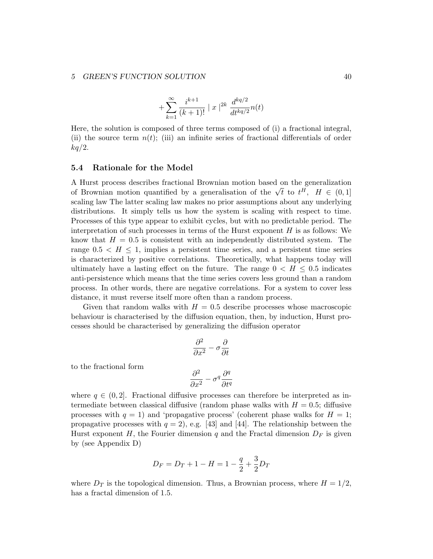$$
+\sum_{k=1}^{\infty}\frac{i^{k+1}}{(k+1)!} \mid x\mid^{2k}\frac{d^{kq/2}}{dt^{kq/2}}n(t)
$$

Here, the solution is composed of three terms composed of (i) a fractional integral, (ii) the source term  $n(t)$ ; (iii) an infinite series of fractional differentials of order  $kq/2$ .

#### 5.4 Rationale for the Model

A Hurst process describes fractional Brownian motion based on the generalization A flurst process describes fractional brownian motion based on the generalization of Brownian motion quantified by a generalisation of the  $\sqrt{t}$  to  $t^H$ ,  $H \in (0,1]$ scaling law The latter scaling law makes no prior assumptions about any underlying distributions. It simply tells us how the system is scaling with respect to time. Processes of this type appear to exhibit cycles, but with no predictable period. The interpretation of such processes in terms of the Hurst exponent  $H$  is as follows: We know that  $H = 0.5$  is consistent with an independently distributed system. The range  $0.5 < H \le 1$ , implies a persistent time series, and a persistent time series is characterized by positive correlations. Theoretically, what happens today will ultimately have a lasting effect on the future. The range  $0 < H \leq 0.5$  indicates anti-persistence which means that the time series covers less ground than a random process. In other words, there are negative correlations. For a system to cover less distance, it must reverse itself more often than a random process.

Given that random walks with  $H = 0.5$  describe processes whose macroscopic behaviour is characterised by the diffusion equation, then, by induction, Hurst processes should be characterised by generalizing the diffusion operator

$$
\frac{\partial^2}{\partial x^2} - \sigma \frac{\partial}{\partial t}
$$

to the fractional form

$$
\frac{\partial^2}{\partial x^2} - \sigma^q \frac{\partial^q}{\partial t^q}
$$

where  $q \in (0, 2]$ . Fractional diffusive processes can therefore be interpreted as intermediate between classical diffusive (random phase walks with  $H = 0.5$ ; diffusive processes with  $q = 1$ ) and 'propagative process' (coherent phase walks for  $H = 1$ ; propagative processes with  $q = 2$ , e.g. [43] and [44]. The relationship between the Hurst exponent H, the Fourier dimension q and the Fractal dimension  $D_F$  is given by (see Appendix D)

$$
D_F = D_T + 1 - H = 1 - \frac{q}{2} + \frac{3}{2}D_T
$$

where  $D_T$  is the topological dimension. Thus, a Brownian process, where  $H = 1/2$ , has a fractal dimension of 1.5.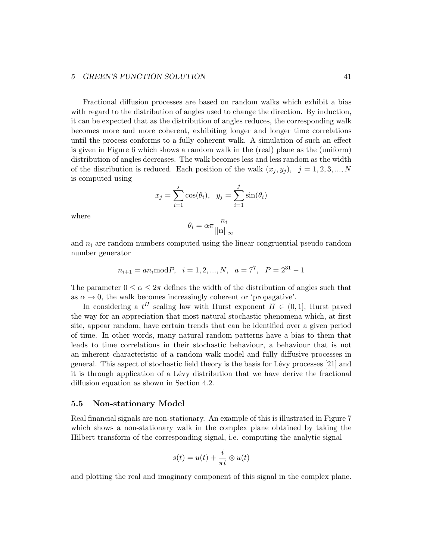Fractional diffusion processes are based on random walks which exhibit a bias with regard to the distribution of angles used to change the direction. By induction, it can be expected that as the distribution of angles reduces, the corresponding walk becomes more and more coherent, exhibiting longer and longer time correlations until the process conforms to a fully coherent walk. A simulation of such an effect is given in Figure 6 which shows a random walk in the (real) plane as the (uniform) distribution of angles decreases. The walk becomes less and less random as the width of the distribution is reduced. Each position of the walk  $(x_j, y_j), j = 1, 2, 3, ..., N$ is computed using

$$
x_j = \sum_{i=1}^j \cos(\theta_i), \ \ y_j = \sum_{i=1}^j \sin(\theta_i)
$$

where

$$
\theta_i = \alpha \pi \frac{n_i}{\|\mathbf{n}\|_\infty}
$$

and  $n_i$  are random numbers computed using the linear congruential pseudo random number generator

$$
n_{i+1} = an_i \mod P, \quad i = 1, 2, ..., N, \quad a = 7^7, \quad P = 2^{31} - 1
$$

The parameter  $0 \le \alpha \le 2\pi$  defines the width of the distribution of angles such that as  $\alpha \to 0$ , the walk becomes increasingly coherent or 'propagative'.

In considering a  $t^H$  scaling law with Hurst exponent  $H \in (0,1]$ , Hurst paved the way for an appreciation that most natural stochastic phenomena which, at first site, appear random, have certain trends that can be identified over a given period of time. In other words, many natural random patterns have a bias to them that leads to time correlations in their stochastic behaviour, a behaviour that is not an inherent characteristic of a random walk model and fully diffusive processes in general. This aspect of stochastic field theory is the basis for L´evy processes [21] and it is through application of a Lévy distribution that we have derive the fractional diffusion equation as shown in Section 4.2.

#### 5.5 Non-stationary Model

Real financial signals are non-stationary. An example of this is illustrated in Figure 7 which shows a non-stationary walk in the complex plane obtained by taking the Hilbert transform of the corresponding signal, i.e. computing the analytic signal

$$
s(t) = u(t) + \frac{i}{\pi t} \otimes u(t)
$$

and plotting the real and imaginary component of this signal in the complex plane.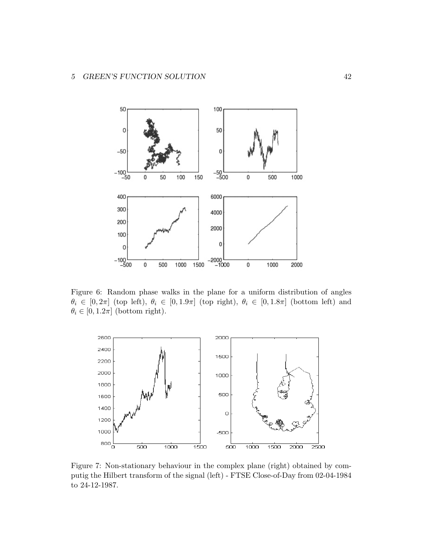

Figure 6: Random phase walks in the plane for a uniform distribution of angles  $\theta_i \in [0, 2\pi]$  (top left),  $\theta_i \in [0, 1.9\pi]$  (top right),  $\theta_i \in [0, 1.8\pi]$  (bottom left) and  $\theta_i \in [0, 1.2\pi]$  (bottom right).



Figure 7: Non-stationary behaviour in the complex plane (right) obtained by computig the Hilbert transform of the signal (left) - FTSE Close-of-Day from 02-04-1984 to 24-12-1987.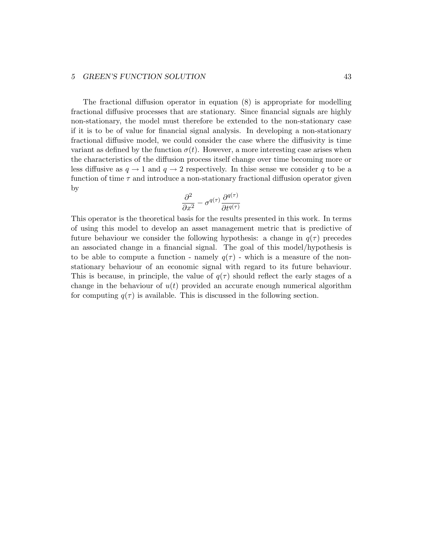The fractional diffusion operator in equation (8) is appropriate for modelling fractional diffusive processes that are stationary. Since financial signals are highly non-stationary, the model must therefore be extended to the non-stationary case if it is to be of value for financial signal analysis. In developing a non-stationary fractional diffusive model, we could consider the case where the diffusivity is time variant as defined by the function  $\sigma(t)$ . However, a more interesting case arises when the characteristics of the diffusion process itself change over time becoming more or less diffusive as  $q \to 1$  and  $q \to 2$  respectively. In thise sense we consider q to be a function of time  $\tau$  and introduce a non-stationary fractional diffusion operator given by

$$
\frac{\partial^2}{\partial x^2} - \sigma^{q(\tau)} \frac{\partial^{q(\tau)}}{\partial t^{q(\tau)}}
$$

This operator is the theoretical basis for the results presented in this work. In terms of using this model to develop an asset management metric that is predictive of future behaviour we consider the following hypothesis: a change in  $q(\tau)$  precedes an associated change in a financial signal. The goal of this model/hypothesis is to be able to compute a function - namely  $q(\tau)$  - which is a measure of the nonstationary behaviour of an economic signal with regard to its future behaviour. This is because, in principle, the value of  $q(\tau)$  should reflect the early stages of a change in the behaviour of  $u(t)$  provided an accurate enough numerical algorithm for computing  $q(\tau)$  is available. This is discussed in the following section.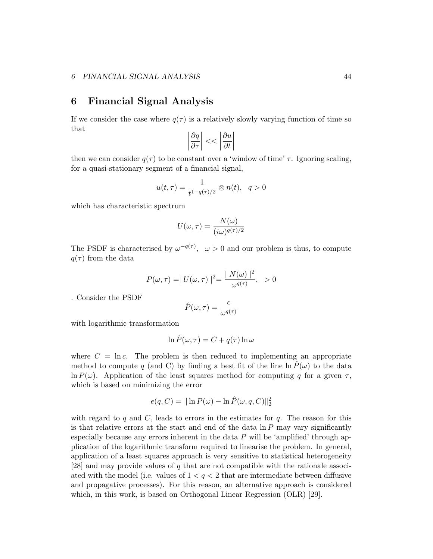# 6 Financial Signal Analysis

If we consider the case where  $q(\tau)$  is a relatively slowly varying function of time so that

$$
\left|\frac{\partial q}{\partial \tau}\right| << \left|\frac{\partial u}{\partial t}\right|
$$

then we can consider  $q(\tau)$  to be constant over a 'window of time'  $\tau$ . Ignoring scaling, for a quasi-stationary segment of a financial signal,

$$
u(t,\tau) = \frac{1}{t^{1-q(\tau)/2}} \otimes n(t), \ \ q > 0
$$

which has characteristic spectrum

$$
U(\omega, \tau) = \frac{N(\omega)}{(i\omega)^{q(\tau)/2}}
$$

The PSDF is characterised by  $\omega^{-q(\tau)}$ ,  $\omega > 0$  and our problem is thus, to compute  $q(\tau)$  from the data

$$
P(\omega, \tau) = | U(\omega, \tau) |^{2} = \frac{|N(\omega)|^{2}}{\omega^{q(\tau)}}, > 0
$$

. Consider the PSDF

$$
\hat{P}(\omega,\tau) = \frac{c}{\omega^{q(\tau)}}
$$

with logarithmic transformation

$$
\ln \hat{P}(\omega, \tau) = C + q(\tau) \ln \omega
$$

where  $C = \ln c$ . The problem is then reduced to implementing an appropriate method to compute q (and C) by finding a best fit of the line  $\ln P(\omega)$  to the data  $\ln P(\omega)$ . Application of the least squares method for computing q for a given  $\tau$ , which is based on minimizing the error

$$
e(q, C) = ||\ln P(\omega) - \ln \hat{P}(\omega, q, C)||_2^2
$$

with regard to q and  $C$ , leads to errors in the estimates for q. The reason for this is that relative errors at the start and end of the data  $\ln P$  may vary significantly especially because any errors inherent in the data  $P$  will be 'amplified' through application of the logarithmic transform required to linearise the problem. In general, application of a least squares approach is very sensitive to statistical heterogeneity [28] and may provide values of q that are not compatible with the rationale associated with the model (i.e. values of  $1 < q < 2$  that are intermediate between diffusive and propagative processes). For this reason, an alternative approach is considered which, in this work, is based on Orthogonal Linear Regression (OLR) [29].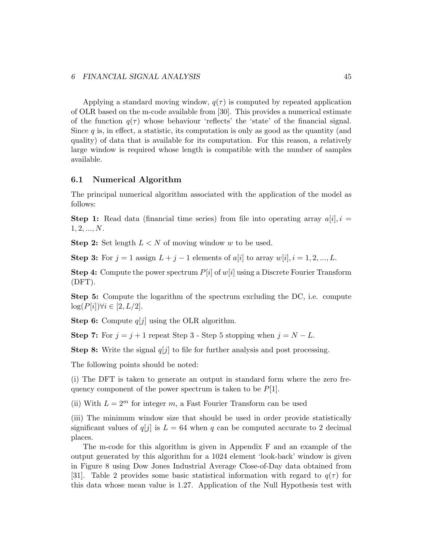Applying a standard moving window,  $q(\tau)$  is computed by repeated application of OLR based on the m-code available from [30]. This provides a numerical estimate of the function  $q(\tau)$  whose behaviour 'reflects' the 'state' of the financial signal. Since  $q$  is, in effect, a statistic, its computation is only as good as the quantity (and quality) of data that is available for its computation. For this reason, a relatively large window is required whose length is compatible with the number of samples available.

#### 6.1 Numerical Algorithm

The principal numerical algorithm associated with the application of the model as follows:

**Step 1:** Read data (financial time series) from file into operating array  $a[i], i =$  $1, 2, ..., N$ .

**Step 2:** Set length  $L < N$  of moving window w to be used.

Step 3: For  $j = 1$  assign  $L + j - 1$  elements of a[i] to array w[i],  $i = 1, 2, ..., L$ .

**Step 4:** Compute the power spectrum  $P[i]$  of  $w[i]$  using a Discrete Fourier Transform (DFT).

Step 5: Compute the logarithm of the spectrum excluding the DC, i.e. compute  $\log(P[i]) \forall i \in [2, L/2].$ 

**Step 6:** Compute  $q[j]$  using the OLR algorithm.

Step 7: For  $j = j + 1$  repeat Step 3 - Step 5 stopping when  $j = N - L$ .

**Step 8:** Write the signal  $q[j]$  to file for further analysis and post processing.

The following points should be noted:

(i) The DFT is taken to generate an output in standard form where the zero frequency component of the power spectrum is taken to be  $P[1]$ .

(ii) With  $L = 2^m$  for integer m, a Fast Fourier Transform can be used

(iii) The minimum window size that should be used in order provide statistically significant values of  $q[j]$  is  $L = 64$  when q can be computed accurate to 2 decimal places.

The m-code for this algorithm is given in Appendix F and an example of the output generated by this algorithm for a 1024 element 'look-back' window is given in Figure 8 using Dow Jones Industrial Average Close-of-Day data obtained from [31]. Table 2 provides some basic statistical information with regard to  $q(\tau)$  for this data whose mean value is 1.27. Application of the Null Hypothesis test with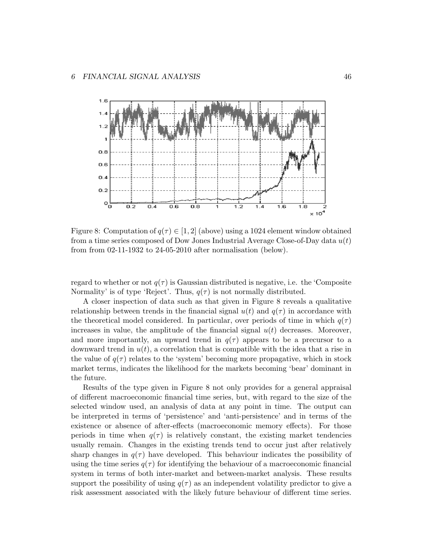

Figure 8: Computation of  $q(\tau) \in [1, 2]$  (above) using a 1024 element window obtained from a time series composed of Dow Jones Industrial Average Close-of-Day data  $u(t)$ from from 02-11-1932 to 24-05-2010 after normalisation (below).

regard to whether or not  $q(\tau)$  is Gaussian distributed is negative, i.e. the 'Composite Normality' is of type 'Reject'. Thus,  $q(\tau)$  is not normally distributed.

A closer inspection of data such as that given in Figure 8 reveals a qualitative relationship between trends in the financial signal  $u(t)$  and  $q(\tau)$  in accordance with the theoretical model considered. In particular, over periods of time in which  $q(\tau)$ increases in value, the amplitude of the financial signal  $u(t)$  decreases. Moreover, and more importantly, an upward trend in  $q(\tau)$  appears to be a precursor to a downward trend in  $u(t)$ , a correlation that is compatible with the idea that a rise in the value of  $q(\tau)$  relates to the 'system' becoming more propagative, which in stock market terms, indicates the likelihood for the markets becoming 'bear' dominant in the future.

Results of the type given in Figure 8 not only provides for a general appraisal of different macroeconomic financial time series, but, with regard to the size of the selected window used, an analysis of data at any point in time. The output can be interpreted in terms of 'persistence' and 'anti-persistence' and in terms of the existence or absence of after-effects (macroeconomic memory effects). For those periods in time when  $q(\tau)$  is relatively constant, the existing market tendencies usually remain. Changes in the existing trends tend to occur just after relatively sharp changes in  $q(\tau)$  have developed. This behaviour indicates the possibility of using the time series  $q(\tau)$  for identifying the behaviour of a macroeconomic financial system in terms of both inter-market and between-market analysis. These results support the possibility of using  $q(\tau)$  as an independent volatility predictor to give a risk assessment associated with the likely future behaviour of different time series.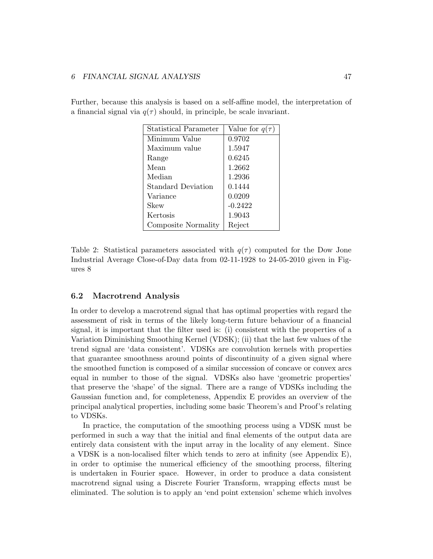| <b>Statistical Parameter</b> | Value for $q(\tau)$ |
|------------------------------|---------------------|
| Minimum Value                | 0.9702              |
| Maximum value                | 1.5947              |
| Range                        | 0.6245              |
| Mean                         | 1.2662              |
| Median                       | 1.2936              |
| Standard Deviation           | 0.1444              |
| Variance                     | 0.0209              |
| Skew                         | $-0.2422$           |
| Kertosis                     | 1.9043              |
| Composite Normality          | Reject              |

Further, because this analysis is based on a self-affine model, the interpretation of a financial signal via  $q(\tau)$  should, in principle, be scale invariant.

Table 2: Statistical parameters associated with  $q(\tau)$  computed for the Dow Jone Industrial Average Close-of-Day data from 02-11-1928 to 24-05-2010 given in Figures 8

#### 6.2 Macrotrend Analysis

In order to develop a macrotrend signal that has optimal properties with regard the assessment of risk in terms of the likely long-term future behaviour of a financial signal, it is important that the filter used is: (i) consistent with the properties of a Variation Diminishing Smoothing Kernel (VDSK); (ii) that the last few values of the trend signal are 'data consistent'. VDSKs are convolution kernels with properties that guarantee smoothness around points of discontinuity of a given signal where the smoothed function is composed of a similar succession of concave or convex arcs equal in number to those of the signal. VDSKs also have 'geometric properties' that preserve the 'shape' of the signal. There are a range of VDSKs including the Gaussian function and, for completeness, Appendix E provides an overview of the principal analytical properties, including some basic Theorem's and Proof's relating to VDSKs.

In practice, the computation of the smoothing process using a VDSK must be performed in such a way that the initial and final elements of the output data are entirely data consistent with the input array in the locality of any element. Since a VDSK is a non-localised filter which tends to zero at infinity (see Appendix E), in order to optimise the numerical efficiency of the smoothing process, filtering is undertaken in Fourier space. However, in order to produce a data consistent macrotrend signal using a Discrete Fourier Transform, wrapping effects must be eliminated. The solution is to apply an 'end point extension' scheme which involves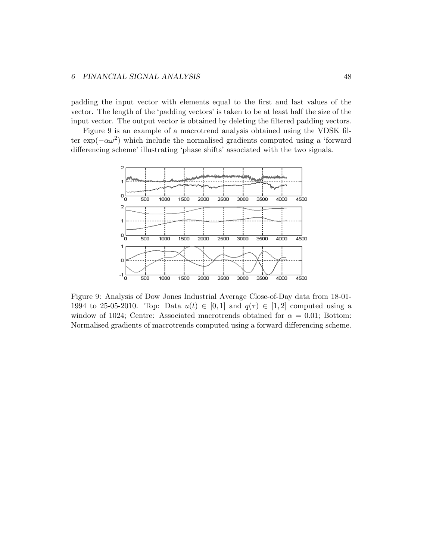#### 6 FINANCIAL SIGNAL ANALYSIS 48

padding the input vector with elements equal to the first and last values of the vector. The length of the 'padding vectors' is taken to be at least half the size of the input vector. The output vector is obtained by deleting the filtered padding vectors.

Figure 9 is an example of a macrotrend analysis obtained using the VDSK filter  $\exp(-\alpha \omega^2)$  which include the normalised gradients computed using a 'forward differencing scheme' illustrating 'phase shifts' associated with the two signals.



Figure 9: Analysis of Dow Jones Industrial Average Close-of-Day data from 18-01- 1994 to 25-05-2010. Top: Data  $u(t) \in [0,1]$  and  $q(\tau) \in [1,2]$  computed using a window of 1024; Centre: Associated macrotrends obtained for  $\alpha = 0.01$ ; Bottom: Normalised gradients of macrotrends computed using a forward differencing scheme.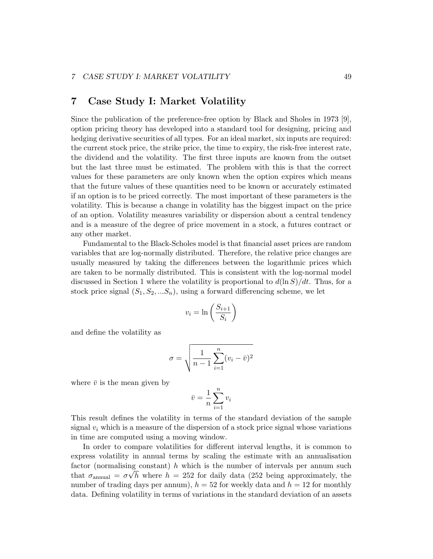# 7 Case Study I: Market Volatility

Since the publication of the preference-free option by Black and Sholes in 1973 [9], option pricing theory has developed into a standard tool for designing, pricing and hedging derivative securities of all types. For an ideal market, six inputs are required: the current stock price, the strike price, the time to expiry, the risk-free interest rate, the dividend and the volatility. The first three inputs are known from the outset but the last three must be estimated. The problem with this is that the correct values for these parameters are only known when the option expires which means that the future values of these quantities need to be known or accurately estimated if an option is to be priced correctly. The most important of these parameters is the volatility. This is because a change in volatility has the biggest impact on the price of an option. Volatility measures variability or dispersion about a central tendency and is a measure of the degree of price movement in a stock, a futures contract or any other market.

Fundamental to the Black-Scholes model is that financial asset prices are random variables that are log-normally distributed. Therefore, the relative price changes are usually measured by taking the differences between the logarithmic prices which are taken to be normally distributed. This is consistent with the log-normal model discussed in Section 1 where the volatility is proportional to  $d(\ln S)/dt$ . Thus, for a stock price signal  $(S_1, S_2, ... S_n)$ , using a forward differencing scheme, we let

$$
v_i = \ln\left(\frac{S_{i+1}}{S_i}\right)
$$

and define the volatility as

$$
\sigma = \sqrt{\frac{1}{n-1} \sum_{i=1}^{n} (v_i - \bar{v})^2}
$$

where  $\bar{v}$  is the mean given by

$$
\bar{v} = \frac{1}{n} \sum_{i=1}^{n} v_i
$$

This result defines the volatility in terms of the standard deviation of the sample signal  $v_i$  which is a measure of the dispersion of a stock price signal whose variations in time are computed using a moving window.

In order to compare volatilities for different interval lengths, it is common to express volatility in annual terms by scaling the estimate with an annualisation factor (normalising constant) h which is the number of intervals per annum such that  $\sigma_{\text{annual}} = \sigma \sqrt{h}$  where  $h = 252$  for daily data (252 being approximately, the number of trading days per annum),  $h = 52$  for weekly data and  $h = 12$  for monthly data. Defining volatility in terms of variations in the standard deviation of an assets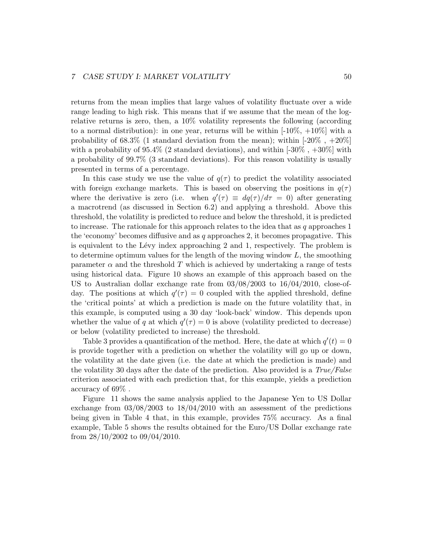#### 7 CASE STUDY I: MARKET VOLATILITY 50

returns from the mean implies that large values of volatility fluctuate over a wide range leading to high risk. This means that if we assume that the mean of the logrelative returns is zero, then, a 10% volatility represents the following (according to a normal distribution): in one year, returns will be within  $[-10\%, +10\%]$  with a probability of 68.3% (1 standard deviation from the mean); within  $[-20\% , +20\%]$ with a probability of  $95.4\%$  (2 standard deviations), and within  $[-30\% , +30\%]$  with a probability of 99.7% (3 standard deviations). For this reason volatility is usually presented in terms of a percentage.

In this case study we use the value of  $q(\tau)$  to predict the volatility associated with foreign exchange markets. This is based on observing the positions in  $q(\tau)$ where the derivative is zero (i.e. when  $q'(\tau) \equiv dq(\tau)/d\tau = 0$ ) after generating a macrotrend (as discussed in Section 6.2) and applying a threshold. Above this threshold, the volatility is predicted to reduce and below the threshold, it is predicted to increase. The rationale for this approach relates to the idea that as  $q$  approaches 1 the 'economy' becomes diffusive and as  $q$  approaches 2, it becomes propagative. This is equivalent to the Lévy index approaching 2 and 1, respectively. The problem is to determine optimum values for the length of the moving window  $L$ , the smoothing parameter  $\alpha$  and the threshold T which is achieved by undertaking a range of tests using historical data. Figure 10 shows an example of this approach based on the US to Australian dollar exchange rate from 03/08/2003 to 16/04/2010, close-ofday. The positions at which  $q'(\tau) = 0$  coupled with the applied threshold, define the 'critical points' at which a prediction is made on the future volatility that, in this example, is computed using a 30 day 'look-back' window. This depends upon whether the value of q at which  $q'(\tau) = 0$  is above (volatility predicted to decrease) or below (volatility predicted to increase) the threshold.

Table 3 provides a quantification of the method. Here, the date at which  $q'(t) = 0$ is provide together with a prediction on whether the volatility will go up or down, the volatility at the date given (i.e. the date at which the prediction is made) and the volatility 30 days after the date of the prediction. Also provided is a  $True/False$ criterion associated with each prediction that, for this example, yields a prediction accuracy of 69% .

Figure 11 shows the same analysis applied to the Japanese Yen to US Dollar exchange from  $03/08/2003$  to  $18/04/2010$  with an assessment of the predictions being given in Table 4 that, in this example, provides 75% accuracy. As a final example, Table 5 shows the results obtained for the Euro/US Dollar exchange rate from 28/10/2002 to 09/04/2010.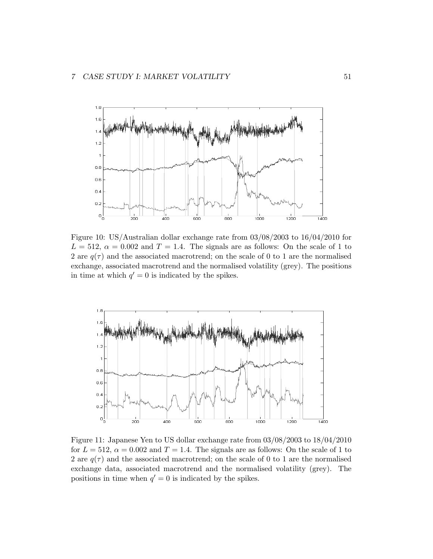

Figure 10: US/Australian dollar exchange rate from 03/08/2003 to 16/04/2010 for  $L = 512$ ,  $\alpha = 0.002$  and  $T = 1.4$ . The signals are as follows: On the scale of 1 to 2 are  $q(\tau)$  and the associated macrotrend; on the scale of 0 to 1 are the normalised exchange, associated macrotrend and the normalised volatility (grey). The positions in time at which  $q' = 0$  is indicated by the spikes.



Figure 11: Japanese Yen to US dollar exchange rate from 03/08/2003 to 18/04/2010 for  $L = 512$ ,  $\alpha = 0.002$  and  $T = 1.4$ . The signals are as follows: On the scale of 1 to 2 are  $q(\tau)$  and the associated macrotrend; on the scale of 0 to 1 are the normalised exchange data, associated macrotrend and the normalised volatility (grey). The positions in time when  $q' = 0$  is indicated by the spikes.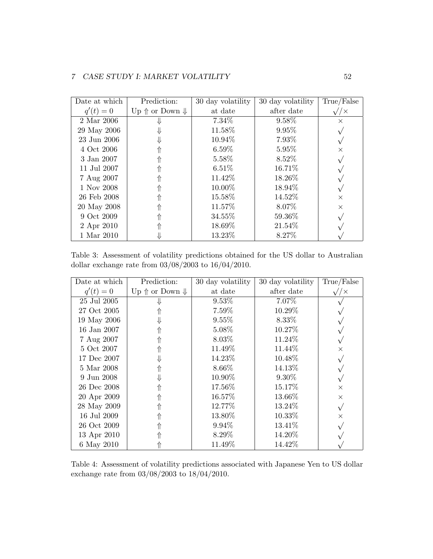| Date at which | Prediction:                        | 30 day volatility | 30 day volatility | True/False    |
|---------------|------------------------------------|-------------------|-------------------|---------------|
| $q'(t) = 0$   | Up $\Uparrow$ or Down $\Downarrow$ | at date           | after date        | $\sqrt{\chi}$ |
| 2 Mar 2006    |                                    | 7.34\%            | 9.58%             | $\times$      |
| 29 May 2006   |                                    | 11.58%            | $9.95\%$          |               |
| 23 Jun 2006   |                                    | 10.94%            | 7.93%             |               |
| 4 Oct 2006    |                                    | $6.59\%$          | $5.95\%$          | $\times$      |
| 3 Jan 2007    |                                    | 5.58%             | 8.52%             |               |
| 11 Jul 2007   |                                    | $6.51\%$          | 16.71%            |               |
| 7 Aug 2007    |                                    | 11.42%            | 18.26\%           |               |
| 1 Nov 2008    |                                    | 10.00%            | 18.94\%           |               |
| 26 Feb 2008   |                                    | 15.58%            | 14.52\%           | $\times$      |
| 20 May 2008   |                                    | 11.57\%           | 8.07\%            | $\times$      |
| 9 Oct 2009    |                                    | 34.55%            | 59.36\%           |               |
| 2 Apr 2010    |                                    | 18.69%            | 21.54\%           |               |
| 1 Mar 2010    |                                    | 13.23\%           | 8.27\%            |               |

Table 3: Assessment of volatility predictions obtained for the US dollar to Australian dollar exchange rate from 03/08/2003 to 16/04/2010.

| Date at which | Prediction:                        | 30 day volatility | 30 day volatility | True/False    |
|---------------|------------------------------------|-------------------|-------------------|---------------|
| $q'(t) = 0$   | Up $\Uparrow$ or Down $\Downarrow$ | at date           | after date        | $\sqrt{\chi}$ |
| 25 Jul 2005   |                                    | $9.53\%$          | 7.07\%            |               |
| 27 Oct 2005   |                                    | 7.59%             | 10.29%            |               |
| 19 May 2006   |                                    | $9.55\%$          | 8.33%             |               |
| 16 Jan 2007   |                                    | 5.08%             | 10.27\%           |               |
| 7 Aug 2007    |                                    | 8.03%             | 11.24\%           |               |
| 5 Oct 2007    |                                    | 11.49\%           | 11.44\%           | X             |
| 17 Dec 2007   |                                    | 14.23\%           | 10.48%            |               |
| 5 Mar 2008    |                                    | 8.66\%            | 14.13%            |               |
| 9 Jun 2008    |                                    | 10.90%            | $9.30\%$          |               |
| 26 Dec 2008   |                                    | 17.56\%           | 15.17%            | $\times$      |
| 20 Apr 2009   |                                    | 16.57\%           | 13.66%            | $\times$      |
| 28 May 2009   |                                    | 12.77%            | 13.24\%           |               |
| 16 Jul 2009   |                                    | 13.80%            | 10.33%            | X             |
| 26 Oct 2009   |                                    | $9.94\%$          | 13.41%            |               |
| 13 Apr 2010   |                                    | 8.29\%            | 14.20%            |               |
| 6 May 2010    |                                    | 11.49\%           | 14.42\%           |               |

Table 4: Assessment of volatility predictions associated with Japanese Yen to US dollar exchange rate from 03/08/2003 to 18/04/2010.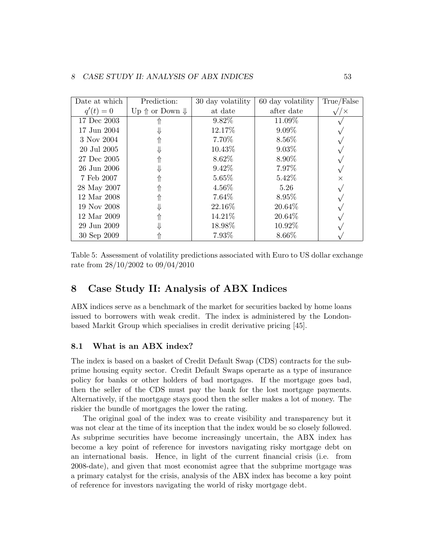| Date at which | Prediction:                        | 30 day volatility | 60 day volatility | True/False    |
|---------------|------------------------------------|-------------------|-------------------|---------------|
| $q'(t) = 0$   | Up $\Uparrow$ or Down $\Downarrow$ | at date           | after date        | $\sqrt{\chi}$ |
| 17 Dec 2003   |                                    | 9.82%             | 11.09%            |               |
| 17 Jun 2004   |                                    | 12.17%            | $9.09\%$          |               |
| 3 Nov 2004    |                                    | 7.70%             | 8.56%             |               |
| 20 Jul 2005   |                                    | 10.43%            | $9.03\%$          |               |
| 27 Dec 2005   |                                    | 8.62%             | 8.90%             |               |
| 26 Jun 2006   |                                    | $9.42\%$          | 7.97\%            |               |
| 7 Feb 2007    |                                    | 5.65%             | 5.42\%            | $\times$      |
| 28 May 2007   |                                    | $4.56\%$          | 5.26              |               |
| 12 Mar 2008   |                                    | 7.64\%            | 8.95%             |               |
| 19 Nov 2008   |                                    | 22.16%            | 20.64\%           |               |
| 12 Mar 2009   |                                    | 14.21%            | 20.64\%           |               |
| 29 Jun 2009   |                                    | 18.98%            | 10.92%            |               |
| 30 Sep 2009   |                                    | 7.93%             | 8.66%             |               |

Table 5: Assessment of volatility predictions associated with Euro to US dollar exchange rate from 28/10/2002 to 09/04/2010

# 8 Case Study II: Analysis of ABX Indices

ABX indices serve as a benchmark of the market for securities backed by home loans issued to borrowers with weak credit. The index is administered by the Londonbased Markit Group which specialises in credit derivative pricing [45].

## 8.1 What is an ABX index?

The index is based on a basket of Credit Default Swap (CDS) contracts for the subprime housing equity sector. Credit Default Swaps operarte as a type of insurance policy for banks or other holders of bad mortgages. If the mortgage goes bad, then the seller of the CDS must pay the bank for the lost mortgage payments. Alternatively, if the mortgage stays good then the seller makes a lot of money. The riskier the bundle of mortgages the lower the rating.

The original goal of the index was to create visibility and transparency but it was not clear at the time of its inception that the index would be so closely followed. As subprime securities have become increasingly uncertain, the ABX index has become a key point of reference for investors navigating risky mortgage debt on an international basis. Hence, in light of the current financial crisis (i.e. from 2008-date), and given that most economist agree that the subprime mortgage was a primary catalyst for the crisis, analysis of the ABX index has become a key point of reference for investors navigating the world of risky mortgage debt.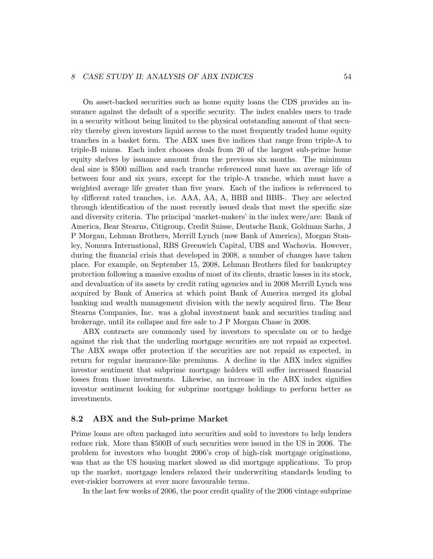#### 8 CASE STUDY II: ANALYSIS OF ABX INDICES 54

On asset-backed securities such as home equity loans the CDS provides an insurance against the default of a specific security. The index enables users to trade in a security without being limited to the physical outstanding amount of that security thereby given investors liquid access to the most frequently traded home equity tranches in a basket form. The ABX uses five indices that range from triple-A to triple-B minus. Each index chooses deals from 20 of the largest sub-prime home equity shelves by issuance amount from the previous six months. The minimum deal size is \$500 million and each tranche referenced must have an average life of between four and six years, except for the triple-A tranche, which must have a weighted average life greater than five years. Each of the indices is referenced to by different rated tranches, i.e. AAA, AA, A, BBB and BBB-. They are selected through identification of the most recently issued deals that meet the specific size and diversity criteria. The principal 'market-makers' in the index were/are: Bank of America, Bear Stearns, Citigroup, Credit Suisse, Deutsche Bank, Goldman Sachs, J P Morgan, Lehman Brothers, Merrill Lynch (now Bank of America), Morgan Stanley, Nomura International, RBS Greenwich Capital, UBS and Wachovia. However, during the financial crisis that developed in 2008, a number of changes have taken place. For example, on September 15, 2008, Lehman Brothers filed for bankruptcy protection following a massive exodus of most of its clients, drastic losses in its stock, and devaluation of its assets by credit rating agencies and in 2008 Merrill Lynch was acquired by Bank of America at which point Bank of America merged its global banking and wealth management division with the newly acquired firm. The Bear Stearns Companies, Inc. was a global investment bank and securities trading and brokerage, until its collapse and fire sale to J P Morgan Chase in 2008.

ABX contracts are commonly used by investors to speculate on or to hedge against the risk that the underling mortgage securities are not repaid as expected. The ABX swaps offer protection if the securities are not repaid as expected, in return for regular insurance-like premiums. A decline in the ABX index signifies investor sentiment that subprime mortgage holders will suffer increased financial losses from those investments. Likewise, an increase in the ABX index signifies investor sentiment looking for subprime mortgage holdings to perform better as investments.

## 8.2 ABX and the Sub-prime Market

Prime loans are often packaged into securities and sold to investors to help lenders reduce risk. More than \$500B of such securities were issued in the US in 2006. The problem for investors who bought 2006's crop of high-risk mortgage originations, was that as the US housing market slowed as did mortgage applications. To prop up the market, mortgage lenders relaxed their underwriting standards lending to ever-riskier borrowers at ever more favourable terms.

In the last few weeks of 2006, the poor credit quality of the 2006 vintage subprime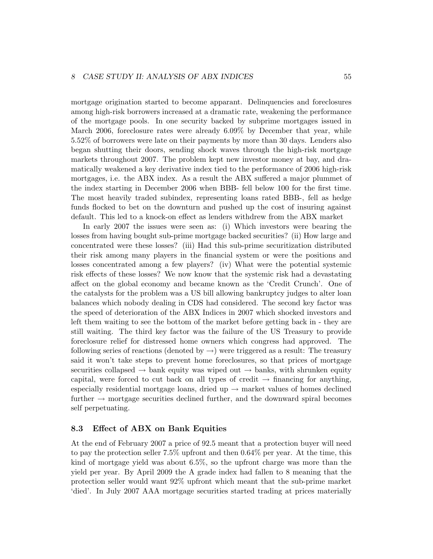mortgage origination started to become apparant. Delinquencies and foreclosures among high-risk borrowers increased at a dramatic rate, weakening the performance of the mortgage pools. In one security backed by subprime mortgages issued in March 2006, foreclosure rates were already 6.09% by December that year, while 5.52% of borrowers were late on their payments by more than 30 days. Lenders also began shutting their doors, sending shock waves through the high-risk mortgage markets throughout 2007. The problem kept new investor money at bay, and dramatically weakened a key derivative index tied to the performance of 2006 high-risk mortgages, i.e. the ABX index. As a result the ABX suffered a major plummet of the index starting in December 2006 when BBB- fell below 100 for the first time. The most heavily traded subindex, representing loans rated BBB-, fell as hedge funds flocked to bet on the downturn and pushed up the cost of insuring against default. This led to a knock-on effect as lenders withdrew from the ABX market

In early 2007 the issues were seen as: (i) Which investors were bearing the losses from having bought sub-prime mortgage backed securities? (ii) How large and concentrated were these losses? (iii) Had this sub-prime securitization distributed their risk among many players in the financial system or were the positions and losses concentrated among a few players? (iv) What were the potential systemic risk effects of these losses? We now know that the systemic risk had a devastating affect on the global economy and became known as the 'Credit Crunch'. One of the catalysts for the problem was a US bill allowing bankruptcy judges to alter loan balances which nobody dealing in CDS had considered. The second key factor was the speed of deterioration of the ABX Indices in 2007 which shocked investors and left them waiting to see the bottom of the market before getting back in - they are still waiting. The third key factor was the failure of the US Treasury to provide foreclosure relief for distressed home owners which congress had approved. The following series of reactions (denoted by  $\rightarrow$ ) were triggered as a result: The treasury said it won't take steps to prevent home foreclosures, so that prices of mortgage securities collapsed  $\rightarrow$  bank equity was wiped out  $\rightarrow$  banks, with shrunken equity capital, were forced to cut back on all types of credit  $\rightarrow$  financing for anything, especially residential mortgage loans, dried up  $\rightarrow$  market values of homes declined further  $\rightarrow$  mortgage securities declined further, and the downward spiral becomes self perpetuating.

## 8.3 Effect of ABX on Bank Equities

At the end of February 2007 a price of 92.5 meant that a protection buyer will need to pay the protection seller 7.5% upfront and then 0.64% per year. At the time, this kind of mortgage yield was about 6.5%, so the upfront charge was more than the yield per year. By April 2009 the A grade index had fallen to 8 meaning that the protection seller would want 92% upfront which meant that the sub-prime market 'died'. In July 2007 AAA mortgage securities started trading at prices materially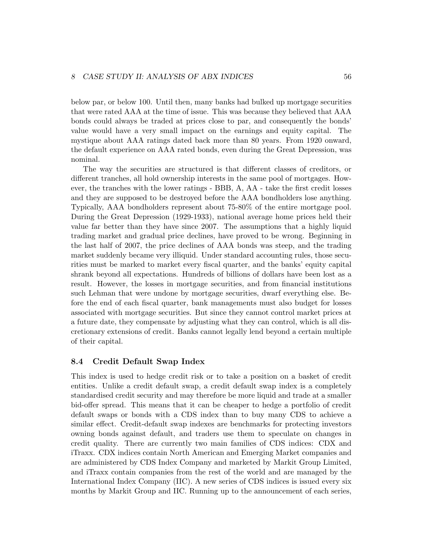below par, or below 100. Until then, many banks had bulked up mortgage securities that were rated AAA at the time of issue. This was because they believed that AAA bonds could always be traded at prices close to par, and consequently the bonds' value would have a very small impact on the earnings and equity capital. The mystique about AAA ratings dated back more than 80 years. From 1920 onward, the default experience on AAA rated bonds, even during the Great Depression, was nominal.

The way the securities are structured is that different classes of creditors, or different tranches, all hold ownership interests in the same pool of mortgages. However, the tranches with the lower ratings - BBB, A, AA - take the first credit losses and they are supposed to be destroyed before the AAA bondholders lose anything. Typically, AAA bondholders represent about 75-80% of the entire mortgage pool. During the Great Depression (1929-1933), national average home prices held their value far better than they have since 2007. The assumptions that a highly liquid trading market and gradual price declines, have proved to be wrong. Beginning in the last half of 2007, the price declines of AAA bonds was steep, and the trading market suddenly became very illiquid. Under standard accounting rules, those securities must be marked to market every fiscal quarter, and the banks' equity capital shrank beyond all expectations. Hundreds of billions of dollars have been lost as a result. However, the losses in mortgage securities, and from financial institutions such Lehman that were undone by mortgage securities, dwarf everything else. Before the end of each fiscal quarter, bank managements must also budget for losses associated with mortgage securities. But since they cannot control market prices at a future date, they compensate by adjusting what they can control, which is all discretionary extensions of credit. Banks cannot legally lend beyond a certain multiple of their capital.

#### 8.4 Credit Default Swap Index

This index is used to hedge credit risk or to take a position on a basket of credit entities. Unlike a credit default swap, a credit default swap index is a completely standardised credit security and may therefore be more liquid and trade at a smaller bid-offer spread. This means that it can be cheaper to hedge a portfolio of credit default swaps or bonds with a CDS index than to buy many CDS to achieve a similar effect. Credit-default swap indexes are benchmarks for protecting investors owning bonds against default, and traders use them to speculate on changes in credit quality. There are currently two main families of CDS indices: CDX and iTraxx. CDX indices contain North American and Emerging Market companies and are administered by CDS Index Company and marketed by Markit Group Limited, and iTraxx contain companies from the rest of the world and are managed by the International Index Company (IIC). A new series of CDS indices is issued every six months by Markit Group and IIC. Running up to the announcement of each series,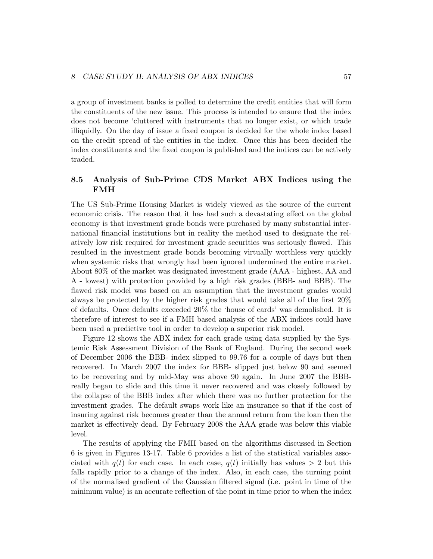a group of investment banks is polled to determine the credit entities that will form the constituents of the new issue. This process is intended to ensure that the index does not become 'cluttered with instruments that no longer exist, or which trade illiquidly. On the day of issue a fixed coupon is decided for the whole index based on the credit spread of the entities in the index. Once this has been decided the index constituents and the fixed coupon is published and the indices can be actively traded.

# 8.5 Analysis of Sub-Prime CDS Market ABX Indices using the FMH

The US Sub-Prime Housing Market is widely viewed as the source of the current economic crisis. The reason that it has had such a devastating effect on the global economy is that investment grade bonds were purchased by many substantial international financial institutions but in reality the method used to designate the relatively low risk required for investment grade securities was seriously flawed. This resulted in the investment grade bonds becoming virtually worthless very quickly when systemic risks that wrongly had been ignored undermined the entire market. About 80% of the market was designated investment grade (AAA - highest, AA and A - lowest) with protection provided by a high risk grades (BBB- and BBB). The flawed risk model was based on an assumption that the investment grades would always be protected by the higher risk grades that would take all of the first 20% of defaults. Once defaults exceeded 20% the 'house of cards' was demolished. It is therefore of interest to see if a FMH based analysis of the ABX indices could have been used a predictive tool in order to develop a superior risk model.

Figure 12 shows the ABX index for each grade using data supplied by the Systemic Risk Assessment Division of the Bank of England. During the second week of December 2006 the BBB- index slipped to 99.76 for a couple of days but then recovered. In March 2007 the index for BBB- slipped just below 90 and seemed to be recovering and by mid-May was above 90 again. In June 2007 the BBBreally began to slide and this time it never recovered and was closely followed by the collapse of the BBB index after which there was no further protection for the investment grades. The default swaps work like an insurance so that if the cost of insuring against risk becomes greater than the annual return from the loan then the market is effectively dead. By February 2008 the AAA grade was below this viable level.

The results of applying the FMH based on the algorithms discussed in Section 6 is given in Figures 13-17. Table 6 provides a list of the statistical variables associated with  $q(t)$  for each case. In each case,  $q(t)$  initially has values  $> 2$  but this falls rapidly prior to a change of the index. Also, in each case, the turning point of the normalised gradient of the Gaussian filtered signal (i.e. point in time of the minimum value) is an accurate reflection of the point in time prior to when the index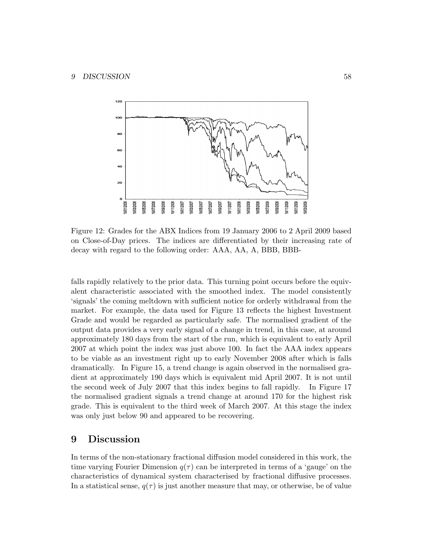

Figure 12: Grades for the ABX Indices from 19 January 2006 to 2 April 2009 based on Close-of-Day prices. The indices are differentiated by their increasing rate of decay with regard to the following order: AAA, AA, A, BBB, BBB-

falls rapidly relatively to the prior data. This turning point occurs before the equivalent characteristic associated with the smoothed index. The model consistently 'signals' the coming meltdown with sufficient notice for orderly withdrawal from the market. For example, the data used for Figure 13 reflects the highest Investment Grade and would be regarded as particularly safe. The normalised gradient of the output data provides a very early signal of a change in trend, in this case, at around approximately 180 days from the start of the run, which is equivalent to early April 2007 at which point the index was just above 100. In fact the AAA index appears to be viable as an investment right up to early November 2008 after which is falls dramatically. In Figure 15, a trend change is again observed in the normalised gradient at approximately 190 days which is equivalent mid April 2007. It is not until the second week of July 2007 that this index begins to fall rapidly. In Figure 17 the normalised gradient signals a trend change at around 170 for the highest risk grade. This is equivalent to the third week of March 2007. At this stage the index was only just below 90 and appeared to be recovering.

# 9 Discussion

In terms of the non-stationary fractional diffusion model considered in this work, the time varying Fourier Dimension  $q(\tau)$  can be interpreted in terms of a 'gauge' on the characteristics of dynamical system characterised by fractional diffusive processes. In a statistical sense,  $q(\tau)$  is just another measure that may, or otherwise, be of value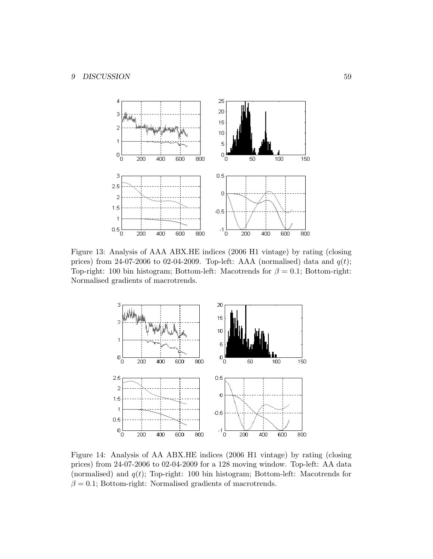

Figure 13: Analysis of AAA ABX.HE indices (2006 H1 vintage) by rating (closing prices) from 24-07-2006 to 02-04-2009. Top-left: AAA (normalised) data and  $q(t)$ ; Top-right: 100 bin histogram; Bottom-left: Macotrends for  $\beta = 0.1$ ; Bottom-right: Normalised gradients of macrotrends.



Figure 14: Analysis of AA ABX.HE indices (2006 H1 vintage) by rating (closing prices) from 24-07-2006 to 02-04-2009 for a 128 moving window. Top-left: AA data (normalised) and  $q(t)$ ; Top-right: 100 bin histogram; Bottom-left: Macotrends for  $\beta = 0.1$ ; Bottom-right: Normalised gradients of macrotrends.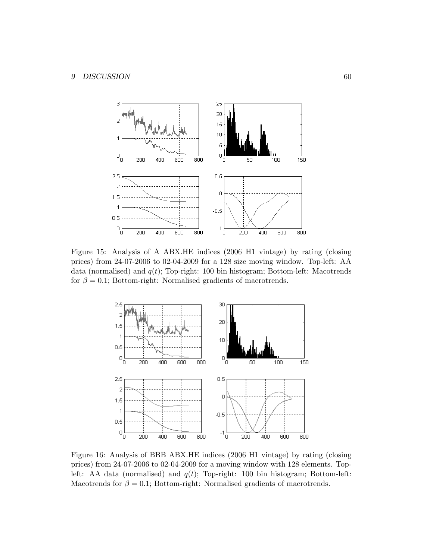

Figure 15: Analysis of A ABX.HE indices (2006 H1 vintage) by rating (closing prices) from 24-07-2006 to 02-04-2009 for a 128 size moving window. Top-left: AA data (normalised) and  $q(t)$ ; Top-right: 100 bin histogram; Bottom-left: Macotrends for  $\beta = 0.1$ ; Bottom-right: Normalised gradients of macrotrends.



Figure 16: Analysis of BBB ABX.HE indices (2006 H1 vintage) by rating (closing prices) from 24-07-2006 to 02-04-2009 for a moving window with 128 elements. Topleft: AA data (normalised) and  $q(t)$ ; Top-right: 100 bin histogram; Bottom-left: Macotrends for  $\beta = 0.1$ ; Bottom-right: Normalised gradients of macrotrends.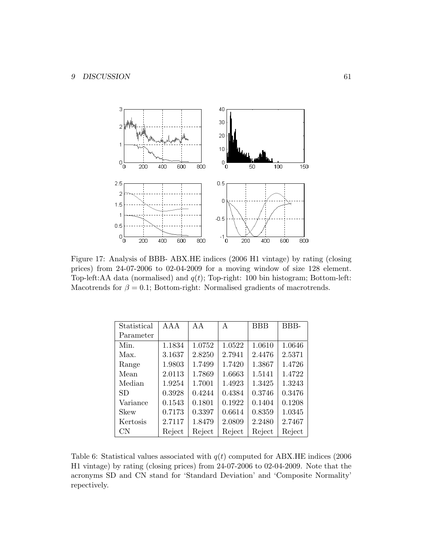

Figure 17: Analysis of BBB- ABX.HE indices (2006 H1 vintage) by rating (closing prices) from 24-07-2006 to 02-04-2009 for a moving window of size 128 element. Top-left:AA data (normalised) and  $q(t)$ ; Top-right: 100 bin histogram; Bottom-left: Macotrends for  $\beta = 0.1$ ; Bottom-right: Normalised gradients of macrotrends.

| Statistical | A A A  | A A    | A      | <b>BBB</b> | BBB-   |
|-------------|--------|--------|--------|------------|--------|
| Parameter   |        |        |        |            |        |
| Min.        | 1.1834 | 1.0752 | 1.0522 | 1.0610     | 1.0646 |
| Max.        | 3.1637 | 2.8250 | 2.7941 | 2.4476     | 2.5371 |
| Range       | 1.9803 | 1.7499 | 1.7420 | 1.3867     | 1.4726 |
| Mean        | 2.0113 | 1.7869 | 1.6663 | 1.5141     | 1.4722 |
| Median      | 1.9254 | 1.7001 | 1.4923 | 1.3425     | 1.3243 |
| SD.         | 0.3928 | 0.4244 | 0.4384 | 0.3746     | 0.3476 |
| Variance    | 0.1543 | 0.1801 | 0.1922 | 0.1404     | 0.1208 |
| Skew        | 0.7173 | 0.3397 | 0.6614 | 0.8359     | 1.0345 |
| Kertosis    | 2.7117 | 1.8479 | 2.0809 | 2.2480     | 2.7467 |
| <b>CN</b>   | Reject | Reject | Reject | Reject     | Reject |

Table 6: Statistical values associated with  $q(t)$  computed for ABX.HE indices (2006) H1 vintage) by rating (closing prices) from 24-07-2006 to 02-04-2009. Note that the acronyms SD and CN stand for 'Standard Deviation' and 'Composite Normality' repectively.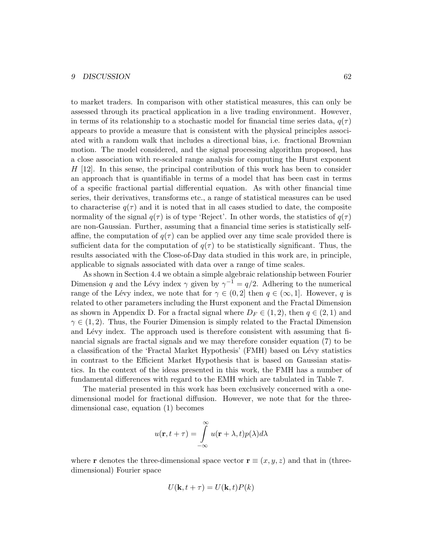#### 9 DISCUSSION 62

to market traders. In comparison with other statistical measures, this can only be assessed through its practical application in a live trading environment. However, in terms of its relationship to a stochastic model for financial time series data,  $q(\tau)$ appears to provide a measure that is consistent with the physical principles associated with a random walk that includes a directional bias, i.e. fractional Brownian motion. The model considered, and the signal processing algorithm proposed, has a close association with re-scaled range analysis for computing the Hurst exponent  $H$  [12]. In this sense, the principal contribution of this work has been to consider an approach that is quantifiable in terms of a model that has been cast in terms of a specific fractional partial differential equation. As with other financial time series, their derivatives, transforms etc., a range of statistical measures can be used to characterise  $q(\tau)$  and it is noted that in all cases studied to date, the composite normality of the signal  $q(\tau)$  is of type 'Reject'. In other words, the statistics of  $q(\tau)$ are non-Gaussian. Further, assuming that a financial time series is statistically selfaffine, the computation of  $q(\tau)$  can be applied over any time scale provided there is sufficient data for the computation of  $q(\tau)$  to be statistically significant. Thus, the results associated with the Close-of-Day data studied in this work are, in principle, applicable to signals associated with data over a range of time scales.

As shown in Section 4.4 we obtain a simple algebraic relationship between Fourier Dimension q and the Lévy index  $\gamma$  given by  $\gamma^{-1} = q/2$ . Adhering to the numerical range of the Lévy index, we note that for  $\gamma \in (0, 2]$  then  $q \in (\infty, 1]$ . However, q is related to other parameters including the Hurst exponent and the Fractal Dimension as shown in Appendix D. For a fractal signal where  $D_F \in (1, 2)$ , then  $q \in (2, 1)$  and  $\gamma \in (1, 2)$ . Thus, the Fourier Dimension is simply related to the Fractal Dimension and Lévy index. The approach used is therefore consistent with assuming that financial signals are fractal signals and we may therefore consider equation (7) to be a classification of the 'Fractal Market Hypothesis' (FMH) based on Lévy statistics in contrast to the Efficient Market Hypothesis that is based on Gaussian statistics. In the context of the ideas presented in this work, the FMH has a number of fundamental differences with regard to the EMH which are tabulated in Table 7.

The material presented in this work has been exclusively concerned with a onedimensional model for fractional diffusion. However, we note that for the threedimensional case, equation (1) becomes

$$
u(\mathbf{r}, t + \tau) = \int_{-\infty}^{\infty} u(\mathbf{r} + \lambda, t) p(\lambda) d\lambda
$$

where r denotes the three-dimensional space vector  $\mathbf{r} \equiv (x, y, z)$  and that in (threedimensional) Fourier space

$$
U(\mathbf{k}, t + \tau) = U(\mathbf{k}, t)P(k)
$$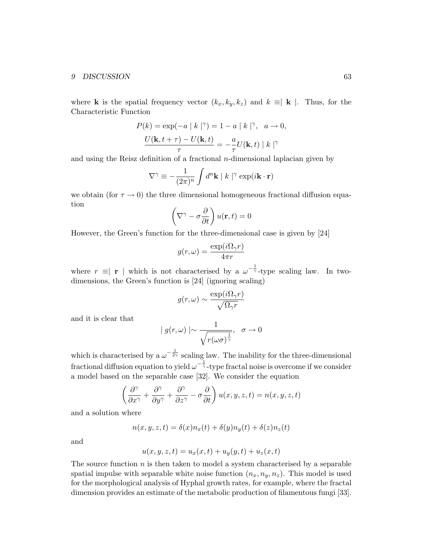#### 9 DISCUSSION 63

where **k** is the spatial frequency vector  $(k_x, k_y, k_z)$  and  $k \equiv |\mathbf{k}|$ . Thus, for the Characteristic Function

$$
P(k) = \exp(-a |k|^{\gamma}) = 1 - a |k|^{\gamma}, \quad a \to 0,
$$

$$
\frac{U(\mathbf{k}, t + \tau) - U(\mathbf{k}, t)}{\tau} = -\frac{a}{\tau} U(\mathbf{k}, t) |k|^{\gamma}
$$

and using the Reisz definition of a fractional  $n$ -dimensional laplacian given by

$$
\nabla^{\gamma} \equiv -\frac{1}{(2\pi)^n} \int d^n \mathbf{k} \mid k \mid^{\gamma} \exp(i\mathbf{k} \cdot \mathbf{r})
$$

we obtain (for  $\tau \to 0$ ) the three dimensional homogeneous fractional diffusion equation

$$
\left(\nabla^{\gamma} - \sigma \frac{\partial}{\partial t}\right)u(\mathbf{r}, t) = 0
$$

However, the Green's function for the three-dimensional case is given by [24]

$$
g(r,\omega) = \frac{\exp(i\Omega_{\gamma}r)}{4\pi r}
$$

where  $r \equiv |\mathbf{r}|$  which is not characterised by a  $\omega^{-\frac{1}{\gamma}}$ -type scaling law. In twodimensions, the Green's function is [24] (ignoring scaling)

$$
g(r,\omega) \sim \frac{\exp(i\Omega_\gamma r)}{\sqrt{\Omega_\gamma r}}
$$

and it is clear that

$$
| g(r, \omega) | \sim \frac{1}{\sqrt{r(\omega \sigma)^{\frac{1}{\gamma}}}}, \quad \sigma \to 0
$$

which is characterised by a  $\omega^{-\frac{1}{2\gamma}}$  scaling law. The inability for the three-dimensional fractional diffusion equation to yield  $\omega^{-\frac{1}{\gamma}}$ -type fractal noise is overcome if we consider a model based on the separable case [32]. We consider the equation

$$
\left(\frac{\partial^{\gamma}}{\partial x^{\gamma}} + \frac{\partial^{\gamma}}{\partial y^{\gamma}} + \frac{\partial^{\gamma}}{\partial z^{\gamma}} - \sigma \frac{\partial}{\partial t}\right) u(x, y, z, t) = n(x, y, z, t)
$$

and a solution where

$$
n(x, y, z, t) = \delta(x)n_x(t) + \delta(y)n_y(t) + \delta(z)n_z(t)
$$

and

$$
u(x, y, z, t) = u_x(x, t) + u_y(y, t) + u_z(x, t)
$$

The source function  $n$  is then taken to model a system characterised by a separable spatial impulse with separable white noise function  $(n_x, n_y, n_z)$ . This model is used for the morphological analysis of Hyphal growth rates, for example, where the fractal dimension provides an estimate of the metabolic production of filamentous fungi [33].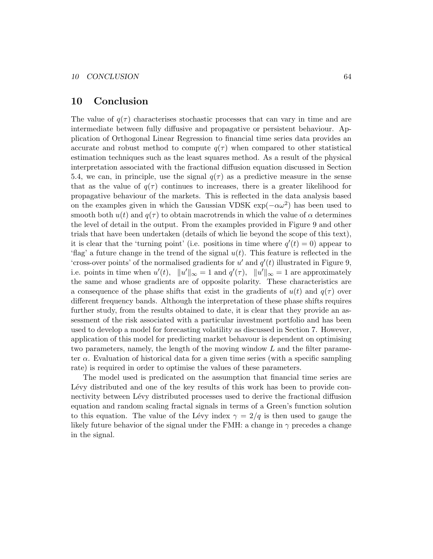# 10 Conclusion

The value of  $q(\tau)$  characterises stochastic processes that can vary in time and are intermediate between fully diffusive and propagative or persistent behaviour. Application of Orthogonal Linear Regression to financial time series data provides an accurate and robust method to compute  $q(\tau)$  when compared to other statistical estimation techniques such as the least squares method. As a result of the physical interpretation associated with the fractional diffusion equation discussed in Section 5.4, we can, in principle, use the signal  $q(\tau)$  as a predictive measure in the sense that as the value of  $q(\tau)$  continues to increases, there is a greater likelihood for propagative behaviour of the markets. This is reflected in the data analysis based on the examples given in which the Gaussian VDSK  $\exp(-\alpha \omega^2)$  has been used to smooth both  $u(t)$  and  $q(\tau)$  to obtain macrotrends in which the value of  $\alpha$  determines the level of detail in the output. From the examples provided in Figure 9 and other trials that have been undertaken (details of which lie beyond the scope of this text), it is clear that the 'turning point' (i.e. positions in time where  $q'(t) = 0$ ) appear to 'flag' a future change in the trend of the signal  $u(t)$ . This feature is reflected in the 'cross-over points' of the normalised gradients for  $u'$  and  $q'(t)$  illustrated in Figure 9, i.e. points in time when  $u'(t)$ ,  $||u'||_{\infty} = 1$  and  $q'(\tau)$ ,  $||u'||_{\infty} = 1$  are approximately the same and whose gradients are of opposite polarity. These characteristics are a consequence of the phase shifts that exist in the gradients of  $u(t)$  and  $q(\tau)$  over different frequency bands. Although the interpretation of these phase shifts requires further study, from the results obtained to date, it is clear that they provide an assessment of the risk associated with a particular investment portfolio and has been used to develop a model for forecasting volatility as discussed in Section 7. However, application of this model for predicting market behavour is dependent on optimising two parameters, namely, the length of the moving window L and the filter parameter  $\alpha$ . Evaluation of historical data for a given time series (with a specific sampling rate) is required in order to optimise the values of these parameters.

The model used is predicated on the assumption that financial time series are Lévy distributed and one of the key results of this work has been to provide connectivity between Lévy distributed processes used to derive the fractional diffusion equation and random scaling fractal signals in terms of a Green's function solution to this equation. The value of the Lévy index  $\gamma = 2/q$  is then used to gauge the likely future behavior of the signal under the FMH: a change in  $\gamma$  precedes a change in the signal.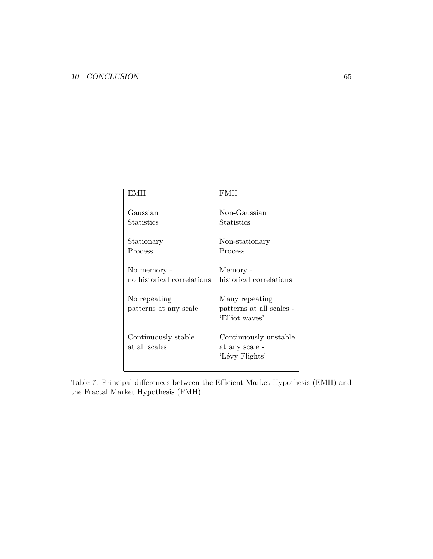| EMH                        | FMH                      |
|----------------------------|--------------------------|
|                            |                          |
| Gaussian                   | Non-Gaussian             |
| Statistics                 | Statistics               |
|                            |                          |
| Stationary                 | Non-stationary           |
| Process                    | Process                  |
|                            |                          |
| No memory -                | Memory -                 |
| no historical correlations | historical correlations  |
|                            |                          |
| No repeating               | Many repeating           |
| patterns at any scale      | patterns at all scales - |
|                            | 'Elliot waves'           |
|                            |                          |
| Continuously stable        | Continuously unstable    |
| at all scales              | at any scale -           |
|                            | 'Lévy Flights'           |
|                            |                          |

Table 7: Principal differences between the Efficient Market Hypothesis (EMH) and the Fractal Market Hypothesis (FMH).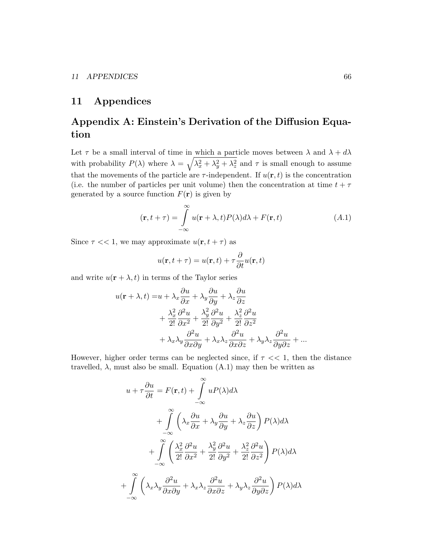# 11 Appendices

# Appendix A: Einstein's Derivation of the Diffusion Equation

Let  $\tau$  be a small interval of time in which a particle moves between  $\lambda$  and  $\lambda + d\lambda$ with probability  $P(\lambda)$  where  $\lambda = \sqrt{\lambda_x^2 + \lambda_y^2 + \lambda_z^2}$  and  $\tau$  is small enough to assume that the movements of the particle are  $\tau$ -independent. If  $u(\mathbf{r}, t)$  is the concentration (i.e. the number of particles per unit volume) then the concentration at time  $t + \tau$ generated by a source function  $F(\mathbf{r})$  is given by

$$
(\mathbf{r}, t + \tau) = \int_{-\infty}^{\infty} u(\mathbf{r} + \lambda, t) P(\lambda) d\lambda + F(\mathbf{r}, t)
$$
 (A.1)

Since  $\tau \ll 1$ , we may approximate  $u(\mathbf{r}, t + \tau)$  as

$$
u(\mathbf{r}, t + \tau) = u(\mathbf{r}, t) + \tau \frac{\partial}{\partial t} u(\mathbf{r}, t)
$$

and write  $u(\mathbf{r} + \lambda, t)$  in terms of the Taylor series

$$
u(\mathbf{r} + \lambda, t) = u + \lambda_x \frac{\partial u}{\partial x} + \lambda_y \frac{\partial u}{\partial y} + \lambda_z \frac{\partial u}{\partial z} + \frac{\lambda_x^2}{2!} \frac{\partial^2 u}{\partial x^2} + \frac{\lambda_y^2}{2!} \frac{\partial^2 u}{\partial y^2} + \frac{\lambda_z^2}{2!} \frac{\partial^2 u}{\partial z^2} + \lambda_x \lambda_y \frac{\partial^2 u}{\partial x \partial y} + \lambda_x \lambda_z \frac{\partial^2 u}{\partial x \partial z} + \lambda_y \lambda_z \frac{\partial^2 u}{\partial y \partial z} + \dots
$$

However, higher order terms can be neglected since, if  $\tau \ll 1$ , then the distance travelled,  $\lambda$ , must also be small. Equation (A.1) may then be written as

$$
u + \tau \frac{\partial u}{\partial t} = F(\mathbf{r}, t) + \int_{-\infty}^{\infty} u P(\lambda) d\lambda
$$
  
+ 
$$
\int_{-\infty}^{\infty} \left( \lambda_x \frac{\partial u}{\partial x} + \lambda_y \frac{\partial u}{\partial y} + \lambda_z \frac{\partial u}{\partial z} \right) P(\lambda) d\lambda
$$
  
+ 
$$
\int_{-\infty}^{\infty} \left( \frac{\lambda_x^2}{2!} \frac{\partial^2 u}{\partial x^2} + \frac{\lambda_y^2}{2!} \frac{\partial^2 u}{\partial y^2} + \frac{\lambda_z^2}{2!} \frac{\partial^2 u}{\partial z^2} \right) P(\lambda) d\lambda
$$
  
+ 
$$
\int_{-\infty}^{\infty} \left( \lambda_x \lambda_y \frac{\partial^2 u}{\partial x \partial y} + \lambda_x \lambda_z \frac{\partial^2 u}{\partial x \partial z} + \lambda_y \lambda_z \frac{\partial^2 u}{\partial y \partial z} \right) P(\lambda) d\lambda
$$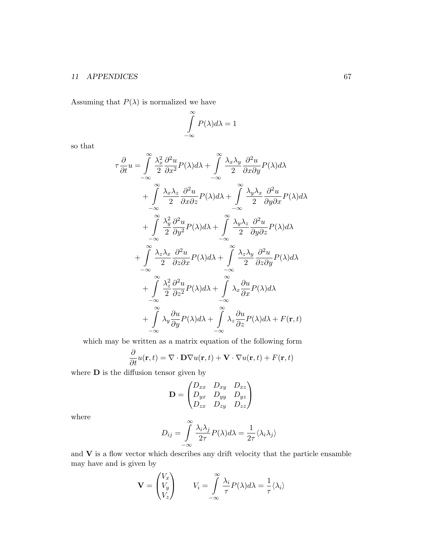## 11 APPENDICES 67

Assuming that  $P(\lambda)$  is normalized we have

$$
\int\limits_{-\infty}^{\infty} P(\lambda) d\lambda = 1
$$

so that

$$
\tau \frac{\partial}{\partial t} u = \int_{-\infty}^{\infty} \frac{\lambda_x^2}{2} \frac{\partial^2 u}{\partial x^2} P(\lambda) d\lambda + \int_{-\infty}^{\infty} \frac{\lambda_x \lambda_y}{2} \frac{\partial^2 u}{\partial x \partial y} P(\lambda) d\lambda \n+ \int_{-\infty}^{\infty} \frac{\lambda_x \lambda_z}{2} \frac{\partial^2 u}{\partial x \partial z} P(\lambda) d\lambda + \int_{-\infty}^{\infty} \frac{\lambda_y \lambda_x}{2} \frac{\partial^2 u}{\partial y \partial x} P(\lambda) d\lambda \n+ \int_{-\infty}^{\infty} \frac{\lambda_y^2}{2} \frac{\partial^2 u}{\partial y^2} P(\lambda) d\lambda + \int_{-\infty}^{\infty} \frac{\lambda_y \lambda_z}{2} \frac{\partial^2 u}{\partial y \partial z} P(\lambda) d\lambda \n+ \int_{-\infty}^{\infty} \frac{\lambda_z \lambda_x}{2} \frac{\partial^2 u}{\partial z \partial x} P(\lambda) d\lambda + \int_{-\infty}^{\infty} \frac{\lambda_z \lambda_y}{2} \frac{\partial^2 u}{\partial z \partial y} P(\lambda) d\lambda \n+ \int_{-\infty}^{\infty} \frac{\lambda_z^2}{2} \frac{\partial^2 u}{\partial z^2} P(\lambda) d\lambda + \int_{-\infty}^{\infty} \lambda_x \frac{\partial u}{\partial x} P(\lambda) d\lambda \n+ \int_{-\infty}^{\infty} \frac{\lambda_y^2}{2} \frac{\partial^2 u}{\partial y^2} P(\lambda) d\lambda + \int_{-\infty}^{\infty} \lambda_x \frac{\partial u}{\partial z} P(\lambda) d\lambda + F(\mathbf{r}, t)
$$

which may be written as a matrix equation of the following form

$$
\frac{\partial}{\partial t}u(\mathbf{r},t) = \nabla \cdot \mathbf{D}\nabla u(\mathbf{r},t) + \mathbf{V} \cdot \nabla u(\mathbf{r},t) + F(\mathbf{r},t)
$$

where  ${\bf D}$  is the diffusion tensor given by

$$
\mathbf{D} = \begin{pmatrix} D_{xx} & D_{xy} & D_{xz} \\ D_{yx} & D_{yy} & D_{yz} \\ D_{zx} & D_{zy} & D_{zz} \end{pmatrix}
$$

where

$$
D_{ij} = \int_{-\infty}^{\infty} \frac{\lambda_i \lambda_j}{2\tau} P(\lambda) d\lambda = \frac{1}{2\tau} \langle \lambda_i \lambda_j \rangle
$$

and  $V$  is a flow vector which describes any drift velocity that the particle ensamble may have and is given by

$$
\mathbf{V} = \begin{pmatrix} V_x \\ V_y \\ V_z \end{pmatrix} \qquad V_i = \int_{-\infty}^{\infty} \frac{\lambda_i}{\tau} P(\lambda) d\lambda = \frac{1}{\tau} \langle \lambda_i \rangle
$$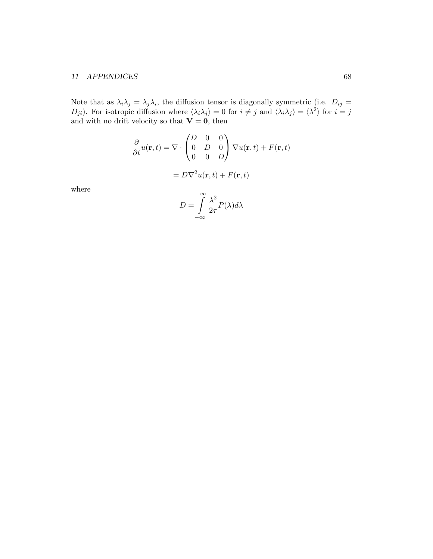where

Note that as  $\lambda_i \lambda_j = \lambda_j \lambda_i$ , the diffusion tensor is diagonally symmetric (i.e.  $D_{ij} =$  $D_{ji}$ ). For isotropic diffusion where  $\langle \lambda_i \lambda_j \rangle = 0$  for  $i \neq j$  and  $\langle \lambda_i \lambda_j \rangle = \langle \lambda^2 \rangle$  for  $i = j$ and with no drift velocity so that  $V = 0$ , then

$$
\frac{\partial}{\partial t}u(\mathbf{r},t) = \nabla \cdot \begin{pmatrix} D & 0 & 0 \\ 0 & D & 0 \\ 0 & 0 & D \end{pmatrix} \nabla u(\mathbf{r},t) + F(\mathbf{r},t)
$$

$$
= D\nabla^2 u(\mathbf{r},t) + F(\mathbf{r},t)
$$

$$
D = \int_{-\infty}^{\infty} \frac{\lambda^2}{2\tau} P(\lambda) d\lambda
$$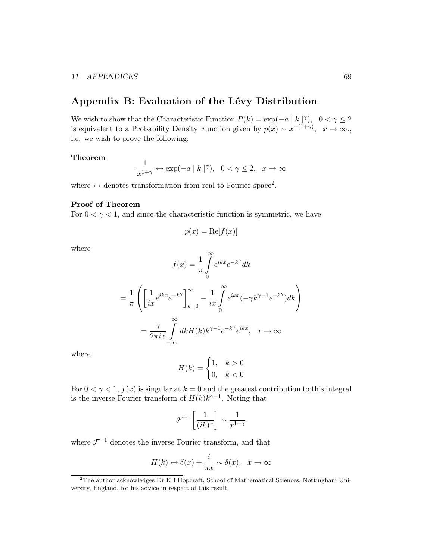# Appendix B: Evaluation of the Lévy Distribution

We wish to show that the Characteristic Function  $P(k) = \exp(-a |k|^\gamma)$ ,  $0 < \gamma \le 2$ is equivalent to a Probability Density Function given by  $p(x) \sim x^{-(1+\gamma)}$ ,  $x \to \infty$ . i.e. we wish to prove the following:

### Theorem

$$
\frac{1}{x^{1+\gamma}} \leftrightarrow \exp(-a \mid k \mid^{\gamma}), \ \ 0 < \gamma \le 2, \ \ x \to \infty
$$

where  $\leftrightarrow$  denotes transformation from real to Fourier space<sup>2</sup>.

### Proof of Theorem

For  $0 < \gamma < 1$ , and since the characteristic function is symmetric, we have

$$
p(x) = \text{Re}[f(x)]
$$

where

$$
f(x) = \frac{1}{\pi} \int_{0}^{\infty} e^{ikx} e^{-k^{\gamma}} dk
$$

$$
= \frac{1}{\pi} \left( \left[ \frac{1}{ix} e^{ikx} e^{-k^{\gamma}} \right]_{k=0}^{\infty} - \frac{1}{ix} \int_{0}^{\infty} e^{ikx} (-\gamma k^{\gamma-1} e^{-k^{\gamma}}) dk \right)
$$

$$
= \frac{\gamma}{2\pi ix} \int_{-\infty}^{\infty} dk H(k) k^{\gamma-1} e^{-k^{\gamma}} e^{ikx}, \quad x \to \infty
$$

where

$$
H(k) = \begin{cases} 1, & k > 0 \\ 0, & k < 0 \end{cases}
$$

For  $0 < \gamma < 1$ ,  $f(x)$  is singular at  $k = 0$  and the greatest contribution to this integral is the inverse Fourier transform of  $H(k)k^{\gamma-1}$ . Noting that

$$
\mathcal{F}^{-1}\left[\frac{1}{(ik)^{\gamma}}\right] \sim \frac{1}{x^{1-\gamma}}
$$

where  $\mathcal{F}^{-1}$  denotes the inverse Fourier transform, and that

$$
H(k) \leftrightarrow \delta(x) + \frac{i}{\pi x} \sim \delta(x), \quad x \to \infty
$$

<sup>2</sup>The author acknowledges Dr K I Hopcraft, School of Mathematical Sciences, Nottingham University, England, for his advice in respect of this result.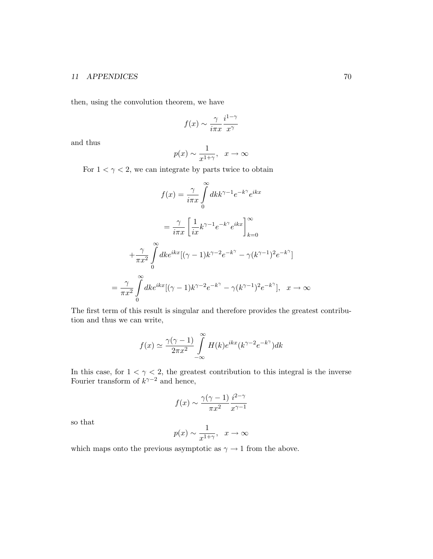then, using the convolution theorem, we have

$$
f(x) \sim \frac{\gamma}{i\pi x} \frac{i^{1-\gamma}}{x^{\gamma}}
$$

and thus

$$
p(x) \sim \frac{1}{x^{1+\gamma}}, \quad x \to \infty
$$

For  $1<\gamma<2,$  we can integrate by parts twice to obtain

$$
f(x) = \frac{\gamma}{i\pi x} \int_{0}^{\infty} dk k^{\gamma - 1} e^{-k^{\gamma}} e^{ikx}
$$

$$
= \frac{\gamma}{i\pi x} \left[ \frac{1}{i x} k^{\gamma - 1} e^{-k^{\gamma}} e^{ikx} \right]_{k=0}^{\infty}
$$

$$
+ \frac{\gamma}{\pi x^{2}} \int_{0}^{\infty} dk e^{ikx} [(\gamma - 1)k^{\gamma - 2} e^{-k^{\gamma}} - \gamma (k^{\gamma - 1})^{2} e^{-k^{\gamma}}]
$$

$$
= \frac{\gamma}{\pi x^{2}} \int_{0}^{\infty} dk e^{ikx} [(\gamma - 1)k^{\gamma - 2} e^{-k^{\gamma}} - \gamma (k^{\gamma - 1})^{2} e^{-k^{\gamma}}], \quad x \to \infty
$$

The first term of this result is singular and therefore provides the greatest contribution and thus we can write,

$$
f(x) \simeq \frac{\gamma(\gamma - 1)}{2\pi x^2} \int_{-\infty}^{\infty} H(k)e^{ikx} (k^{\gamma - 2}e^{-k^{\gamma}}) dk
$$

In this case, for  $1 < \gamma < 2$ , the greatest contribution to this integral is the inverse Fourier transform of  $k^{\gamma-2}$  and hence,

$$
f(x) \sim \frac{\gamma(\gamma - 1)}{\pi x^2} \frac{i^{2-\gamma}}{x^{\gamma - 1}}
$$

so that

$$
p(x) \sim \frac{1}{x^{1+\gamma}}, \quad x \to \infty
$$

which maps onto the previous asymptotic as  $\gamma \to 1$  from the above.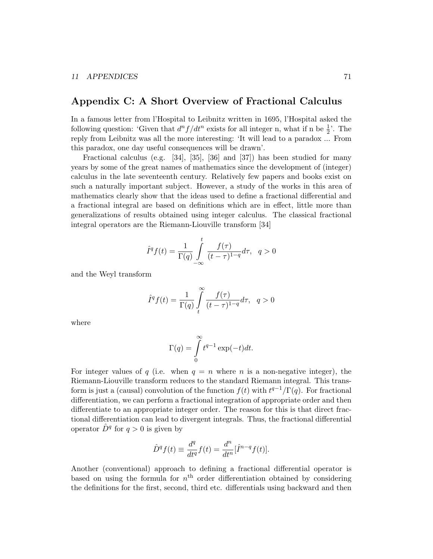## Appendix C: A Short Overview of Fractional Calculus

In a famous letter from l'Hospital to Leibnitz written in 1695, l'Hospital asked the following question: 'Given that  $d^n f/dt^n$  exists for all integer n, what if n be  $\frac{1}{2}$ '. The reply from Leibnitz was all the more interesting: 'It will lead to a paradox ... From this paradox, one day useful consequences will be drawn'.

Fractional calculus (e.g. [34], [35], [36] and [37]) has been studied for many years by some of the great names of mathematics since the development of (integer) calculus in the late seventeenth century. Relatively few papers and books exist on such a naturally important subject. However, a study of the works in this area of mathematics clearly show that the ideas used to define a fractional differential and a fractional integral are based on definitions which are in effect, little more than generalizations of results obtained using integer calculus. The classical fractional integral operators are the Riemann-Liouville transform [34]

$$
\hat{I}^q f(t) = \frac{1}{\Gamma(q)} \int\limits_{-\infty}^t \frac{f(\tau)}{(t-\tau)^{1-q}} d\tau, \quad q > 0
$$

and the Weyl transform

$$
\hat{I}^q f(t) = \frac{1}{\Gamma(q)} \int_{t}^{\infty} \frac{f(\tau)}{(t-\tau)^{1-q}} d\tau, \quad q > 0
$$

where

$$
\Gamma(q) = \int_{0}^{\infty} t^{q-1} \exp(-t) dt.
$$

For integer values of q (i.e. when  $q = n$  where n is a non-negative integer), the Riemann-Liouville transform reduces to the standard Riemann integral. This transform is just a (causal) convolution of the function  $f(t)$  with  $t^{q-1}/\Gamma(q)$ . For fractional differentiation, we can perform a fractional integration of appropriate order and then differentiate to an appropriate integer order. The reason for this is that direct fractional differentiation can lead to divergent integrals. Thus, the fractional differential operator  $\hat{D}^q$  for  $q > 0$  is given by

$$
\hat{D}^q f(t) \equiv \frac{d^q}{dt^q} f(t) = \frac{d^n}{dt^n} [\hat{I}^{n-q} f(t)].
$$

Another (conventional) approach to defining a fractional differential operator is based on using the formula for  $n<sup>th</sup>$  order differentiation obtained by considering the definitions for the first, second, third etc. differentials using backward and then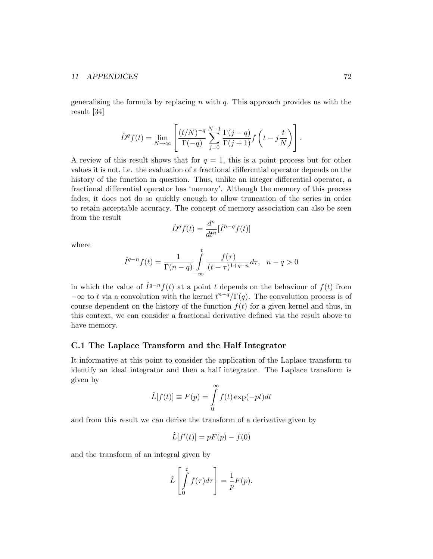generalising the formula by replacing n with  $q$ . This approach provides us with the result [34]

$$
\hat{D}^q f(t) = \lim_{N \to \infty} \left[ \frac{(t/N)^{-q}}{\Gamma(-q)} \sum_{j=0}^{N-1} \frac{\Gamma(j-q)}{\Gamma(j+1)} f\left(t - j\frac{t}{N}\right) \right].
$$

A review of this result shows that for  $q = 1$ , this is a point process but for other values it is not, i.e. the evaluation of a fractional differential operator depends on the history of the function in question. Thus, unlike an integer differential operator, a fractional differential operator has 'memory'. Although the memory of this process fades, it does not do so quickly enough to allow truncation of the series in order to retain acceptable accuracy. The concept of memory association can also be seen from the result

$$
\hat{D}^q f(t) = \frac{d^n}{dt^n} [\hat{I}^{n-q} f(t)]
$$

where

$$
\hat{I}^{q-n}f(t) = \frac{1}{\Gamma(n-q)}\int\limits_{-\infty}^t \frac{f(\tau)}{(t-\tau)^{1+q-n}}d\tau,\ \ n-q>0
$$

in which the value of  $\hat{I}^{q-n}f(t)$  at a point t depends on the behaviour of  $f(t)$  from  $-\infty$  to t via a convolution with the kernel  $t^{n-q}/\Gamma(q)$ . The convolution process is of course dependent on the history of the function  $f(t)$  for a given kernel and thus, in this context, we can consider a fractional derivative defined via the result above to have memory.

## C.1 The Laplace Transform and the Half Integrator

It informative at this point to consider the application of the Laplace transform to identify an ideal integrator and then a half integrator. The Laplace transform is given by

$$
\hat{L}[f(t)] \equiv F(p) = \int_{0}^{\infty} f(t) \exp(-pt) dt
$$

and from this result we can derive the transform of a derivative given by

$$
\hat{L}[f'(t)] = pF(p) - f(0)
$$

and the transform of an integral given by

$$
\hat{L}\left[\int\limits_{0}^{t}f(\tau)d\tau\right]=\frac{1}{p}F(p).
$$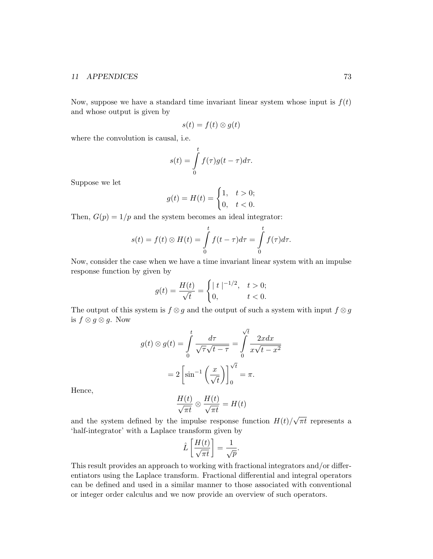Now, suppose we have a standard time invariant linear system whose input is  $f(t)$ and whose output is given by

$$
s(t) = f(t) \otimes g(t)
$$

where the convolution is causal, i.e.

$$
s(t) = \int_{0}^{t} f(\tau)g(t-\tau)d\tau.
$$

Suppose we let

$$
g(t) = H(t) = \begin{cases} 1, & t > 0; \\ 0, & t < 0. \end{cases}
$$

Then,  $G(p) = 1/p$  and the system becomes an ideal integrator:

$$
s(t) = f(t) \otimes H(t) = \int_{0}^{t} f(t - \tau) d\tau = \int_{0}^{t} f(\tau) d\tau.
$$

Now, consider the case when we have a time invariant linear system with an impulse response function by given by

$$
g(t) = \frac{H(t)}{\sqrt{t}} = \begin{cases} |t|^{-1/2}, & t > 0; \\ 0, & t < 0. \end{cases}
$$

The output of this system is  $f \otimes g$  and the output of such a system with input  $f \otimes g$ is  $f \otimes g \otimes g$ . Now

$$
g(t) \otimes g(t) = \int_0^t \frac{d\tau}{\sqrt{\tau}\sqrt{t-\tau}} = \int_0^{\sqrt{t}} \frac{2x dx}{x\sqrt{t-x^2}}
$$

$$
= 2\left[\sin^{-1}\left(\frac{x}{\sqrt{t}}\right)\right]_0^{\sqrt{t}} = \pi.
$$

Hence,

$$
\frac{H(t)}{\sqrt{\pi t}} \otimes \frac{H(t)}{\sqrt{\pi t}} = H(t)
$$

and the system defined by the impulse response function  $H(t)$ √  $\pi t$  represents a 'half-integrator' with a Laplace transform given by

$$
\hat{L}\left[\frac{H(t)}{\sqrt{\pi t}}\right] = \frac{1}{\sqrt{p}}.
$$

This result provides an approach to working with fractional integrators and/or differentiators using the Laplace transform. Fractional differential and integral operators can be defined and used in a similar manner to those associated with conventional or integer order calculus and we now provide an overview of such operators.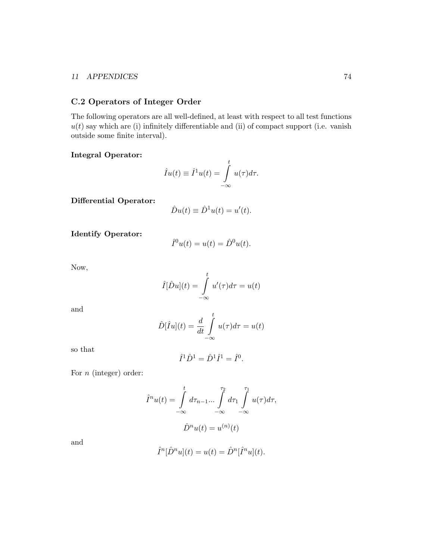## C.2 Operators of Integer Order

The following operators are all well-defined, at least with respect to all test functions  $u(t)$  say which are (i) infinitely differentiable and (ii) of compact support (i.e. vanish outside some finite interval).

## Integral Operator:

$$
\hat{I}u(t) \equiv \hat{I}^{1}u(t) = \int_{-\infty}^{t} u(\tau)d\tau.
$$

t

Differential Operator:

$$
\hat{D}u(t) \equiv \hat{D}^{1}u(t) = u'(t).
$$

Identify Operator:

$$
\hat{I}^0 u(t) = u(t) = \hat{D}^0 u(t).
$$

Now,

$$
\hat{I}[\hat{D}u](t) = \int_{-\infty}^{t} u'(\tau)d\tau = u(t)
$$

and

$$
\hat{D}[\hat{I}u](t) = \frac{d}{dt} \int_{-\infty}^{t} u(\tau) d\tau = u(t)
$$

so that

$$
\hat{I}^1 \hat{D}^1 = \hat{D}^1 \hat{I}^1 = \hat{I}^0.
$$

For n (integer) order:

$$
\hat{I}^n u(t) = \int_{-\infty}^t d\tau_{n-1} \dots \int_{-\infty}^{\tau_2} d\tau_1 \int_{-\infty}^{\tau_1} u(\tau) d\tau,
$$

$$
\hat{D}^n u(t) = u^{(n)}(t)
$$

and

$$
\hat{I}^n[\hat{D}^n u](t) = u(t) = \hat{D}^n[\hat{I}^n u](t).
$$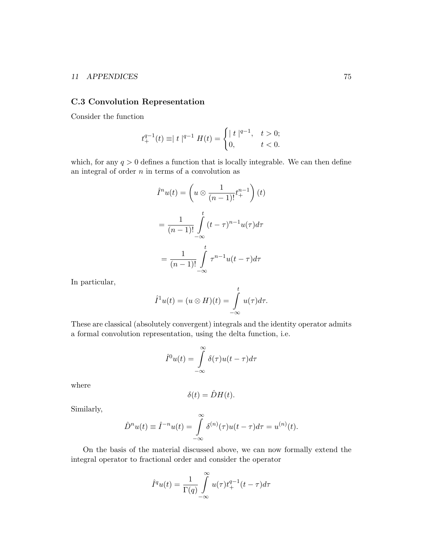## C.3 Convolution Representation

Consider the function

$$
t_{+}^{q-1}(t) \equiv |t|^{q-1} H(t) = \begin{cases} |t|^{q-1}, & t > 0; \\ 0, & t < 0. \end{cases}
$$

which, for any  $q > 0$  defines a function that is locally integrable. We can then define an integral of order  $n$  in terms of a convolution as

$$
\hat{I}^n u(t) = \left(u \otimes \frac{1}{(n-1)!} t_+^{n-1}\right)(t)
$$

$$
= \frac{1}{(n-1)!} \int_{-\infty}^t (t-\tau)^{n-1} u(\tau) d\tau
$$

$$
= \frac{1}{(n-1)!} \int_{-\infty}^t \tau^{n-1} u(t-\tau) d\tau
$$

In particular,

$$
\hat{I}^{1}u(t) = (u \otimes H)(t) = \int_{-\infty}^{t} u(\tau)d\tau.
$$

These are classical (absolutely convergent) integrals and the identity operator admits a formal convolution representation, using the delta function, i.e.

$$
\hat{I}^0 u(t) = \int_{-\infty}^{\infty} \delta(\tau) u(t - \tau) d\tau
$$

where

$$
\delta(t) = \hat{D}H(t).
$$

Similarly,

$$
\hat{D}^n u(t) \equiv \hat{I}^{-n} u(t) = \int_{-\infty}^{\infty} \delta^{(n)}(\tau) u(t - \tau) d\tau = u^{(n)}(t).
$$

On the basis of the material discussed above, we can now formally extend the integral operator to fractional order and consider the operator

$$
\hat{I}^{q}u(t) = \frac{1}{\Gamma(q)} \int_{-\infty}^{\infty} u(\tau) t_{+}^{q-1}(t-\tau) d\tau
$$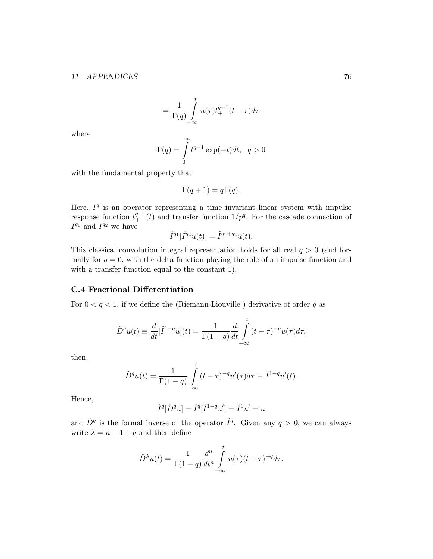$$
= \frac{1}{\Gamma(q)} \int\limits_{-\infty}^{t} u(\tau) t_+^{q-1}(t-\tau) d\tau
$$

where

$$
\Gamma(q) = \int_{0}^{\infty} t^{q-1} \exp(-t) dt, \quad q > 0
$$

with the fundamental property that

$$
\Gamma(q+1) = q\Gamma(q).
$$

Here,  $I<sup>q</sup>$  is an operator representing a time invariant linear system with impulse response function  $t^{q-1}_+(t)$  and transfer function  $1/p^q$ . For the cascade connection of  $I^{q_1}$  and  $I^{q_2}$  we have

$$
\hat{I}^{q_1}[\hat{I}^{q_2}u(t)] = \hat{I}^{q_1+q_2}u(t).
$$

This classical convolution integral representation holds for all real  $q > 0$  (and formally for  $q = 0$ , with the delta function playing the role of an impulse function and with a transfer function equal to the constant 1).

## C.4 Fractional Differentiation

For  $0 < q < 1$ , if we define the (Riemann-Liouville) derivative of order q as

$$
\hat{D}^q u(t) \equiv \frac{d}{dt} [\hat{I}^{1-q} u](t) = \frac{1}{\Gamma(1-q)} \frac{d}{dt} \int_{-\infty}^t (t-\tau)^{-q} u(\tau) d\tau,
$$

then,

$$
\hat{D}^q u(t) = \frac{1}{\Gamma(1-q)} \int\limits_{-\infty}^t (t-\tau)^{-q} u'(\tau) d\tau \equiv \hat{I}^{1-q} u'(t).
$$

Hence,

$$
\hat{I}^q[\hat{D}^q u] = \hat{I}^q[\hat{I}^{1-q} u'] = \hat{I}^1 u' = u
$$

and  $\hat{D}^q$  is the formal inverse of the operator  $\hat{I}^q$ . Given any  $q > 0$ , we can always write  $\lambda = n - 1 + q$  and then define

$$
\hat{D}^{\lambda}u(t) = \frac{1}{\Gamma(1-q)}\frac{d^n}{dt^n} \int\limits_{-\infty}^t u(\tau)(t-\tau)^{-q}d\tau.
$$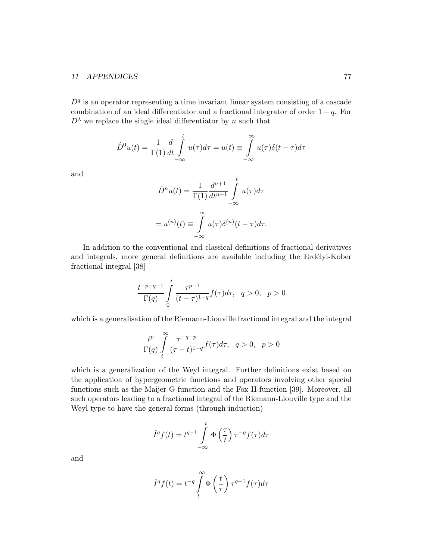$D<sup>q</sup>$  is an operator representing a time invariant linear system consisting of a cascade combination of an ideal differentiator and a fractional integrator of order  $1 - q$ . For  $D^{\lambda}$  we replace the single ideal differentiator by n such that

$$
\hat{D}^0 u(t) = \frac{1}{\Gamma(1)} \frac{d}{dt} \int_{-\infty}^t u(\tau) d\tau = u(t) \equiv \int_{-\infty}^{\infty} u(\tau) \delta(t - \tau) d\tau
$$

and

$$
\hat{D}^n u(t) = \frac{1}{\Gamma(1)} \frac{d^{n+1}}{dt^{n+1}} \int_{-\infty}^t u(\tau) d\tau
$$

$$
= u^{(n)}(t) \equiv \int_{-\infty}^{\infty} u(\tau) \delta^{(n)}(t - \tau) d\tau.
$$

In addition to the conventional and classical definitions of fractional derivatives and integrals, more general definitions are available including the Erdélyi-Kober fractional integral [38]

$$
\frac{t^{-p-q+1}}{\Gamma(q)}\int\limits_{0}^{t}\frac{\tau^{p-1}}{(t-\tau)^{1-q}}f(\tau)d\tau,\quad q>0,\quad p>0
$$

which is a generalisation of the Riemann-Liouville fractional integral and the integral

$$
\frac{t^p}{\Gamma(q)}\int\limits_t^\infty \frac{\tau^{-q-p}}{(\tau-t)^{1-q}}f(\tau)d\tau,\quad q>0,\quad p>0
$$

which is a generalization of the Weyl integral. Further definitions exist based on the application of hypergeometric functions and operators involving other special functions such as the Maijer G-function and the Fox H-function [39]. Moreover, all such operators leading to a fractional integral of the Riemann-Liouville type and the Weyl type to have the general forms (through induction)

$$
\hat{I}^q f(t) = t^{q-1} \int_{-\infty}^t \Phi\left(\frac{\tau}{t}\right) \tau^{-q} f(\tau) d\tau
$$

and

$$
\hat{I}^q f(t) = t^{-q} \int\limits_t^{\infty} \Phi\left(\frac{t}{\tau}\right) \tau^{q-1} f(\tau) d\tau
$$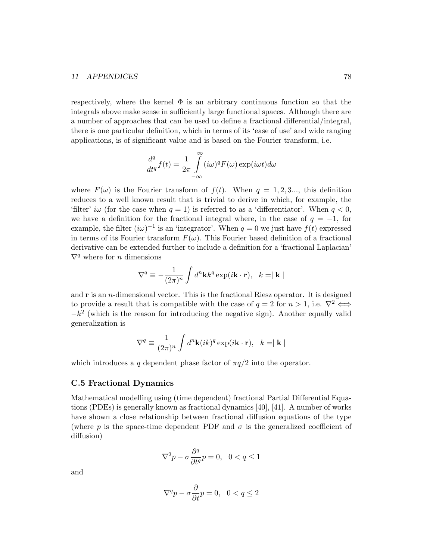respectively, where the kernel  $\Phi$  is an arbitrary continuous function so that the integrals above make sense in sufficiently large functional spaces. Although there are a number of approaches that can be used to define a fractional differential/integral, there is one particular definition, which in terms of its 'ease of use' and wide ranging applications, is of significant value and is based on the Fourier transform, i.e.

$$
\frac{d^q}{dt^q}f(t) = \frac{1}{2\pi} \int_{-\infty}^{\infty} (i\omega)^q F(\omega) \exp(i\omega t) d\omega
$$

where  $F(\omega)$  is the Fourier transform of  $f(t)$ . When  $q = 1, 2, 3...$ , this definition reduces to a well known result that is trivial to derive in which, for example, the 'filter'  $i\omega$  (for the case when  $q = 1$ ) is referred to as a 'differentiator'. When  $q < 0$ , we have a definition for the fractional integral where, in the case of  $q = -1$ , for example, the filter  $(i\omega)^{-1}$  is an 'integrator'. When  $q = 0$  we just have  $f(t)$  expressed in terms of its Fourier transform  $F(\omega)$ . This Fourier based definition of a fractional derivative can be extended further to include a definition for a 'fractional Laplacian'  $\nabla^q$  where for *n* dimensions

$$
\nabla^q \equiv -\frac{1}{(2\pi)^n} \int d^n \mathbf{k} k^q \exp(i\mathbf{k} \cdot \mathbf{r}), \quad k = |\mathbf{k}|
$$

and  $\bf{r}$  is an *n*-dimensional vector. This is the fractional Riesz operator. It is designed to provide a result that is compatible with the case of  $q = 2$  for  $n > 1$ , i.e.  $\nabla^2 \Leftrightarrow$  $-k<sup>2</sup>$  (which is the reason for introducing the negative sign). Another equally valid generalization is

$$
\nabla^{q} \equiv \frac{1}{(2\pi)^{n}} \int d^{n} \mathbf{k}(ik)^{q} \exp(i\mathbf{k} \cdot \mathbf{r}), \quad k = |\mathbf{k}|
$$

which introduces a q dependent phase factor of  $\pi q/2$  into the operator.

#### C.5 Fractional Dynamics

Mathematical modelling using (time dependent) fractional Partial Differential Equations (PDEs) is generally known as fractional dynamics [40], [41]. A number of works have shown a close relationship between fractional diffusion equations of the type (where p is the space-time dependent PDF and  $\sigma$  is the generalized coefficient of diffusion)

$$
\nabla^2 p - \sigma \frac{\partial^q}{\partial t^q} p = 0, \ \ 0 < q \le 1
$$

and

$$
\nabla^q p - \sigma \frac{\partial}{\partial t} p = 0, \ \ 0 < q \le 2
$$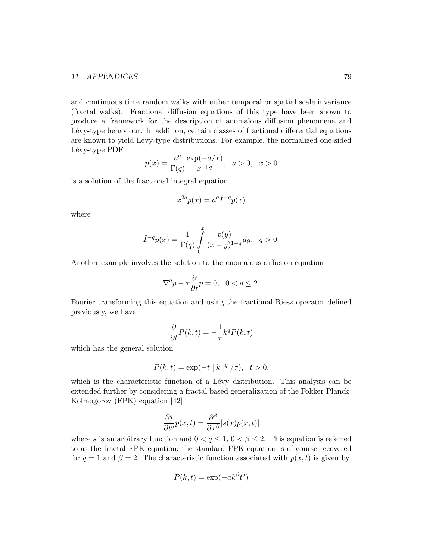and continuous time random walks with either temporal or spatial scale invariance (fractal walks). Fractional diffusion equations of this type have been shown to produce a framework for the description of anomalous diffusion phenomena and Lévy-type behaviour. In addition, certain classes of fractional differential equations are known to yield Lévy-type distributions. For example, the normalized one-sided Lévy-type PDF

$$
p(x) = \frac{a^q}{\Gamma(q)} \frac{\exp(-a/x)}{x^{1+q}}, \quad a > 0, \quad x > 0
$$

is a solution of the fractional integral equation

$$
x^{2q}p(x) = a^q \hat{I}^{-q}p(x)
$$

where

$$
\hat{I}^{-q}p(x) = \frac{1}{\Gamma(q)} \int_{0}^{x} \frac{p(y)}{(x-y)^{1-q}} dy, \quad q > 0.
$$

Another example involves the solution to the anomalous diffusion equation

$$
\nabla^q p - \tau \frac{\partial}{\partial t} p = 0, \ \ 0 < q \le 2.
$$

Fourier transforming this equation and using the fractional Riesz operator defined previously, we have

$$
\frac{\partial}{\partial t}P(k,t) = -\frac{1}{\tau}k^q P(k,t)
$$

which has the general solution

$$
P(k,t) = \exp(-t |k|^q / \tau), \ \ t > 0.
$$

which is the characteristic function of a Lévy distribution. This analysis can be extended further by considering a fractal based generalization of the Fokker-Planck-Kolmogorov (FPK) equation [42]

$$
\frac{\partial^q}{\partial t^q}p(x,t) = \frac{\partial^{\beta}}{\partial x^{\beta}}[s(x)p(x,t)]
$$

where s is an arbitrary function and  $0 < q \leq 1$ ,  $0 < \beta \leq 2$ . This equation is referred to as the fractal FPK equation; the standard FPK equation is of course recovered for  $q = 1$  and  $\beta = 2$ . The characteristic function associated with  $p(x, t)$  is given by

$$
P(k,t) = \exp(-ak^{\beta}t^{q})
$$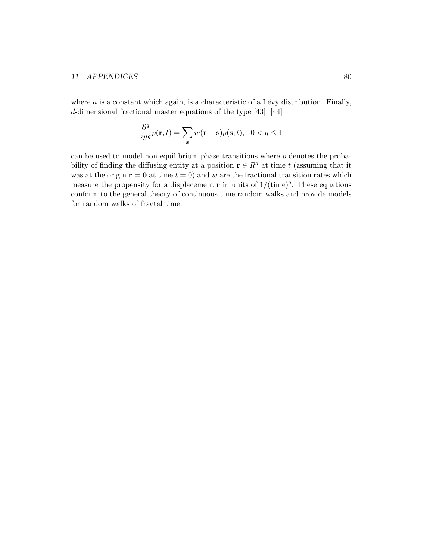where  $a$  is a constant which again, is a characteristic of a Lévy distribution. Finally, d-dimensional fractional master equations of the type [43], [44]

$$
\frac{\partial^q}{\partial t^q}p(\mathbf{r},t)=\sum_{\mathbf{s}}w(\mathbf{r}-\mathbf{s})p(\mathbf{s},t),\ \ 0
$$

can be used to model non-equilibrium phase transitions where  $p$  denotes the probability of finding the diffusing entity at a position  $\mathbf{r} \in \mathbb{R}^d$  at time t (assuming that it was at the origin  $\mathbf{r} = \mathbf{0}$  at time  $t = 0$ ) and w are the fractional transition rates which measure the propensity for a displacement **r** in units of  $1/(\text{time})^q$ . These equations conform to the general theory of continuous time random walks and provide models for random walks of fractal time.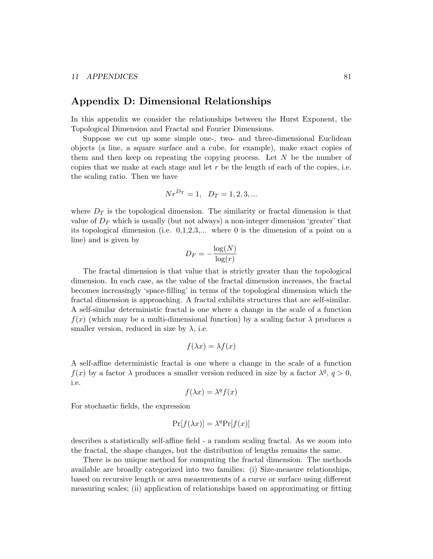## Appendix D: Dimensional Relationships

In this appendix we consider the relationships between the Hurst Exponent, the Topological Dimension and Fractal and Fourier Dimensions.

Suppose we cut up some simple one-, two- and three-dimensional Euclidean objects (a line, a square surface and a cube, for example), make exact copies of them and then keep on repeating the copying process. Let  $N$  be the number of copies that we make at each stage and let  $r$  be the length of each of the copies, i.e. the scaling ratio. Then we have

$$
Nr^{D_T} = 1, \ D_T = 1, 2, 3, \dots
$$

where  $D_T$  is the topological dimension. The similarity or fractal dimension is that value of  $D_F$  which is usually (but not always) a non-integer dimension 'greater' that its topological dimension (i.e. 0,1,2,3,... where 0 is the dimension of a point on a line) and is given by

$$
D_F = -\frac{\log(N)}{\log(r)}
$$

The fractal dimension is that value that is strictly greater than the topological dimension. In each case, as the value of the fractal dimension increases, the fractal becomes increasingly 'space-filling' in terms of the topological dimension which the fractal dimension is approaching. A fractal exhibits structures that are self-similar. A self-similar deterministic fractal is one where a change in the scale of a function  $f(x)$  (which may be a multi-dimensional function) by a scaling factor  $\lambda$  produces a smaller version, reduced in size by  $\lambda$ , i.e.

$$
f(\lambda x) = \lambda f(x)
$$

A self-affine deterministic fractal is one where a change in the scale of a function  $f(x)$  by a factor  $\lambda$  produces a smaller version reduced in size by a factor  $\lambda^q$ ,  $q > 0$ , i.e.

$$
f(\lambda x) = \lambda^q f(x)
$$

For stochastic fields, the expression

$$
\Pr[f(\lambda x)] = \lambda^q \Pr[f(x)]
$$

describes a statistically self-affine field - a random scaling fractal. As we zoom into the fractal, the shape changes, but the distribution of lengths remains the same.

There is no unique method for computing the fractal dimension. The methods available are broadly categorized into two families: (i) Size-measure relationships, based on recursive length or area measurements of a curve or surface using different measuring scales; (ii) application of relationships based on approximating or fitting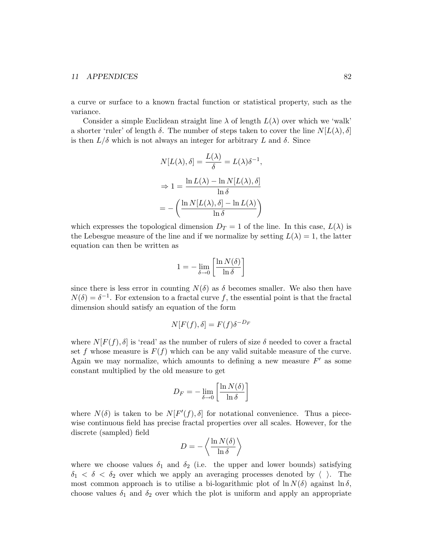a curve or surface to a known fractal function or statistical property, such as the variance.

Consider a simple Euclidean straight line  $\lambda$  of length  $L(\lambda)$  over which we 'walk' a shorter 'ruler' of length  $\delta$ . The number of steps taken to cover the line  $N[L(\lambda), \delta]$ is then  $L/\delta$  which is not always an integer for arbitrary L and  $\delta$ . Since

$$
N[L(\lambda), \delta] = \frac{L(\lambda)}{\delta} = L(\lambda)\delta^{-1},
$$

$$
\Rightarrow 1 = \frac{\ln L(\lambda) - \ln N[L(\lambda), \delta]}{\ln \delta}
$$

$$
= -\left(\frac{\ln N[L(\lambda), \delta] - \ln L(\lambda)}{\ln \delta}\right)
$$

which expresses the topological dimension  $D_T = 1$  of the line. In this case,  $L(\lambda)$  is the Lebesgue measure of the line and if we normalize by setting  $L(\lambda) = 1$ , the latter equation can then be written as

$$
1 = -\lim_{\delta \to 0} \left[ \frac{\ln N(\delta)}{\ln \delta} \right]
$$

since there is less error in counting  $N(\delta)$  as  $\delta$  becomes smaller. We also then have  $N(\delta) = \delta^{-1}$ . For extension to a fractal curve f, the essential point is that the fractal dimension should satisfy an equation of the form

$$
N[F(f), \delta] = F(f) \delta^{-D_F}
$$

where  $N[F(f), \delta]$  is 'read' as the number of rulers of size  $\delta$  needed to cover a fractal set f whose measure is  $F(f)$  which can be any valid suitable measure of the curve. Again we may normalize, which amounts to defining a new measure  $F'$  as some constant multiplied by the old measure to get

$$
D_F = -\lim_{\delta \to 0} \left[ \frac{\ln N(\delta)}{\ln \delta} \right]
$$

where  $N(\delta)$  is taken to be  $N[F'(f), \delta]$  for notational convenience. Thus a piecewise continuous field has precise fractal properties over all scales. However, for the discrete (sampled) field

$$
D = -\left\langle \frac{\ln N(\delta)}{\ln \delta} \right\rangle
$$

where we choose values  $\delta_1$  and  $\delta_2$  (i.e. the upper and lower bounds) satisfying  $\delta_1 < \delta < \delta_2$  over which we apply an averaging processes denoted by  $\langle \rangle$ . The most common approach is to utilise a bi-logarithmic plot of  $\ln N(\delta)$  against  $\ln \delta$ , choose values  $\delta_1$  and  $\delta_2$  over which the plot is uniform and apply an appropriate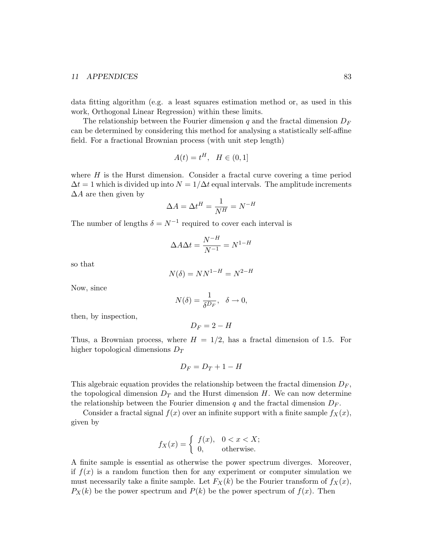data fitting algorithm (e.g. a least squares estimation method or, as used in this work, Orthogonal Linear Regression) within these limits.

The relationship between the Fourier dimension  $q$  and the fractal dimension  $D_F$ can be determined by considering this method for analysing a statistically self-affine field. For a fractional Brownian process (with unit step length)

$$
A(t) = t^H, \quad H \in (0, 1]
$$

where  $H$  is the Hurst dimension. Consider a fractal curve covering a time period  $\Delta t = 1$  which is divided up into  $N = 1/\Delta t$  equal intervals. The amplitude increments  $\Delta A$  are then given by

$$
\Delta A = \Delta t^H = \frac{1}{N^H} = N^{-H}
$$

The number of lengths  $\delta = N^{-1}$  required to cover each interval is

$$
\Delta A \Delta t = \frac{N^{-H}}{N^{-1}} = N^{1-H}
$$

so that

$$
N(\delta) = NN^{1-H} = N^{2-H}
$$

Now, since

$$
N(\delta) = \frac{1}{\delta^{D_F}}, \quad \delta \to 0,
$$

then, by inspection,

$$
D_F = 2 - H
$$

Thus, a Brownian process, where  $H = 1/2$ , has a fractal dimension of 1.5. For higher topological dimensions  $D_T$ 

$$
D_F = D_T + 1 - H
$$

This algebraic equation provides the relationship between the fractal dimension  $D_F$ , the topological dimension  $D_T$  and the Hurst dimension H. We can now determine the relationship between the Fourier dimension  $q$  and the fractal dimension  $D_F$ .

Consider a fractal signal  $f(x)$  over an infinite support with a finite sample  $f_X(x)$ , given by

$$
f_X(x) = \begin{cases} f(x), & 0 < x < X; \\ 0, & \text{otherwise.} \end{cases}
$$

A finite sample is essential as otherwise the power spectrum diverges. Moreover, if  $f(x)$  is a random function then for any experiment or computer simulation we must necessarily take a finite sample. Let  $F_X(k)$  be the Fourier transform of  $f_X(x)$ ,  $P_X(k)$  be the power spectrum and  $P(k)$  be the power spectrum of  $f(x)$ . Then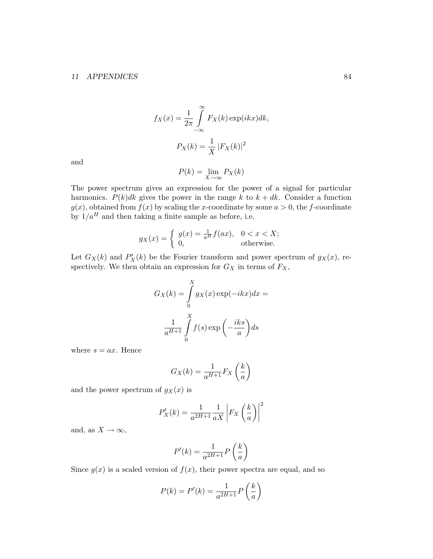$$
f_X(x) = \frac{1}{2\pi} \int_{-\infty}^{\infty} F_X(k) \exp(ikx) dk,
$$

$$
P_X(k) = \frac{1}{X} |F_X(k)|^2
$$

and

$$
P(k) = \lim_{X \to \infty} P_X(k)
$$

The power spectrum gives an expression for the power of a signal for particular harmonics.  $P(k)dk$  gives the power in the range k to  $k + dk$ . Consider a function  $g(x)$ , obtained from  $f(x)$  by scaling the x-coordinate by some  $a > 0$ , the f-coordinate by  $1/a^H$  and then taking a finite sample as before, i.e.

$$
g_X(x) = \begin{cases} g(x) = \frac{1}{a^H} f(ax), & 0 < x < X; \\ 0, & \text{otherwise.} \end{cases}
$$

Let  $G_X(k)$  and  $P'_X(k)$  be the Fourier transform and power spectrum of  $g_X(x)$ , respectively. We then obtain an expression for  $G_X$  in terms of  $F_X$ ,

$$
G_X(k) = \int_0^X g_X(x) \exp(-ikx) dx =
$$

$$
\frac{1}{a^{H+1}} \int_0^X f(s) \exp\left(-\frac{iks}{a}\right) ds
$$

where  $s = ax$ . Hence

$$
G_X(k) = \frac{1}{a^{H+1}} F_X\left(\frac{k}{a}\right)
$$

and the power spectrum of  $g_X(x)$  is

$$
P'_X(k) = \frac{1}{a^{2H+1}} \frac{1}{aX} \left| F_X\left(\frac{k}{a}\right) \right|^2
$$

and, as  $X \to \infty$ ,

$$
P'(k) = \frac{1}{a^{2H+1}} P\left(\frac{k}{a}\right)
$$

Since  $g(x)$  is a scaled version of  $f(x)$ , their power spectra are equal, and so

$$
P(k) = P'(k) = \frac{1}{a^{2H+1}} P\left(\frac{k}{a}\right)
$$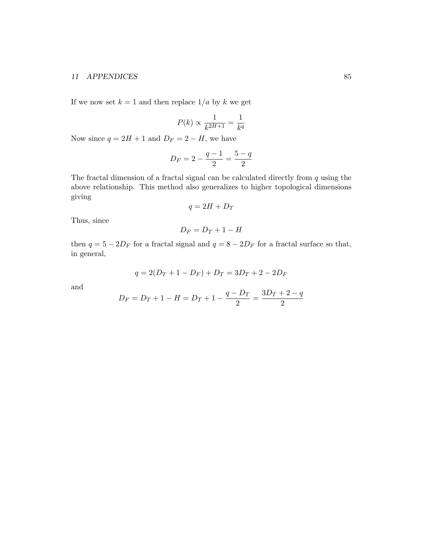If we now set  $k = 1$  and then replace  $1/a$  by k we get

$$
P(k) \propto \frac{1}{k^{2H+1}} = \frac{1}{k^q}
$$

Now since  $q = 2H + 1$  and  $D_F = 2 - H$ , we have

$$
D_F = 2 - \frac{q-1}{2} = \frac{5-q}{2}
$$

The fractal dimension of a fractal signal can be calculated directly from  $q$  using the above relationship. This method also generalizes to higher topological dimensions giving

$$
q = 2H + D_T
$$

Thus, since

$$
D_F = D_T + 1 - H
$$

then  $q = 5 - 2D_F$  for a fractal signal and  $q = 8 - 2D_F$  for a fractal surface so that, in general,

$$
q = 2(D_T + 1 - D_F) + D_T = 3D_T + 2 - 2D_F
$$

and

$$
D_F = D_T + 1 - H = D_T + 1 - \frac{q - D_T}{2} = \frac{3D_T + 2 - q}{2}
$$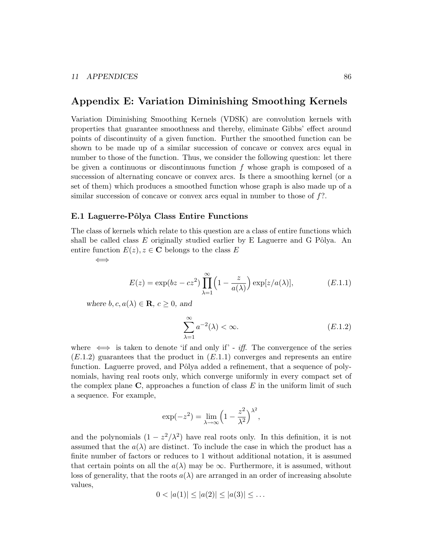## Appendix E: Variation Diminishing Smoothing Kernels

Variation Diminishing Smoothing Kernels (VDSK) are convolution kernels with properties that guarantee smoothness and thereby, eliminate Gibbs' effect around points of discontinuity of a given function. Further the smoothed function can be shown to be made up of a similar succession of concave or convex arcs equal in number to those of the function. Thus, we consider the following question: let there be given a continuous or discontinuous function  $f$  whose graph is composed of a succession of alternating concave or convex arcs. Is there a smoothing kernel (or a set of them) which produces a smoothed function whose graph is also made up of a similar succession of concave or convex arcs equal in number to those of f?.

#### E.1 Laguerre-Pôlya Class Entire Functions

The class of kernels which relate to this question are a class of entire functions which shall be called class  $E$  originally studied earlier by E Laguerre and G Pôlya. An entire function  $E(z)$ ,  $z \in \mathbb{C}$  belongs to the class E

⇐⇒

$$
E(z) = \exp(bz - cz^2) \prod_{\lambda=1}^{\infty} \left(1 - \frac{z}{a(\lambda)}\right) \exp[z/a(\lambda)], \qquad (E.1.1)
$$

where  $b, c, a(\lambda) \in \mathbf{R}, c \geq 0$ , and

$$
\sum_{\lambda=1}^{\infty} a^{-2}(\lambda) < \infty. \tag{E.1.2}
$$

where  $\iff$  is taken to denote 'if and only if' - iff. The convergence of the series  $(E.1.2)$  guarantees that the product in  $(E.1.1)$  converges and represents an entire function. Laguerre proved, and Pôlya added a refinement, that a sequence of polynomials, having real roots only, which converge uniformly in every compact set of the complex plane  $\bf{C}$ , approaches a function of class E in the uniform limit of such a sequence. For example,

$$
\exp(-z^2) = \lim_{\lambda \to \infty} \left(1 - \frac{z^2}{\lambda^2}\right)^{\lambda^2},
$$

and the polynomials  $(1 - z^2/\lambda^2)$  have real roots only. In this definition, it is not assumed that the  $a(\lambda)$  are distinct. To include the case in which the product has a finite number of factors or reduces to 1 without additional notation, it is assumed that certain points on all the  $a(\lambda)$  may be  $\infty$ . Furthermore, it is assumed, without loss of generality, that the roots  $a(\lambda)$  are arranged in an order of increasing absolute values,

$$
0 < |a(1)| \leq |a(2)| \leq |a(3)| \leq \dots
$$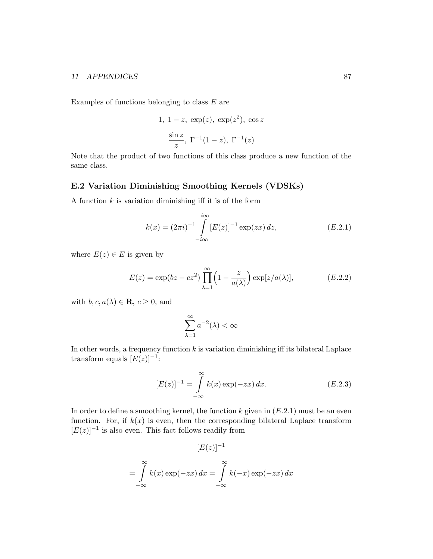Examples of functions belonging to class  $E$  are

1, 1 - z, exp(z), exp(z<sup>2</sup>), cos z  

$$
\frac{\sin z}{z}, \Gamma^{-1}(1-z), \Gamma^{-1}(z)
$$

Note that the product of two functions of this class produce a new function of the same class.

## E.2 Variation Diminishing Smoothing Kernels (VDSKs)

A function  $k$  is variation diminishing iff it is of the form

$$
k(x) = (2\pi i)^{-1} \int_{-i\infty}^{i\infty} [E(z)]^{-1} \exp(zx) dz,
$$
 (E.2.1)

where  $E(z) \in E$  is given by

$$
E(z) = \exp(bz - cz^2) \prod_{\lambda=1}^{\infty} \left(1 - \frac{z}{a(\lambda)}\right) \exp[z/a(\lambda)], \qquad (E.2.2)
$$

with  $b, c, a(\lambda) \in \mathbf{R}, c \geq 0$ , and

$$
\sum_{\lambda=1}^{\infty} a^{-2}(\lambda) < \infty
$$

In other words, a frequency function  $k$  is variation diminishing iff its bilateral Laplace transform equals  $[E(z)]^{-1}$ :

$$
[E(z)]^{-1} = \int_{-\infty}^{\infty} k(x) \exp(-zx) dx.
$$
 (E.2.3)

In order to define a smoothing kernel, the function  $k$  given in  $(E.2.1)$  must be an even function. For, if  $k(x)$  is even, then the corresponding bilateral Laplace transform  $[E(z)]^{-1}$  is also even. This fact follows readily from

$$
[E(z)]^{-1}
$$
  
= 
$$
\int_{-\infty}^{\infty} k(x) \exp(-zx) dx = \int_{-\infty}^{\infty} k(-x) \exp(-zx) dx
$$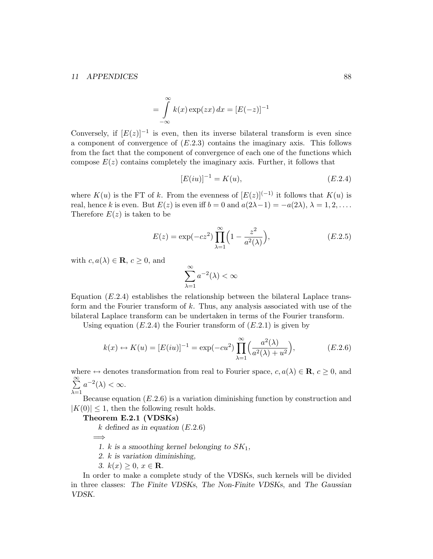$$
= \int_{-\infty}^{\infty} k(x) \exp(zx) dx = [E(-z)]^{-1}
$$

Conversely, if  $[E(z)]^{-1}$  is even, then its inverse bilateral transform is even since a component of convergence of  $(E.2.3)$  contains the imaginary axis. This follows from the fact that the component of convergence of each one of the functions which compose  $E(z)$  contains completely the imaginary axis. Further, it follows that

$$
[E(iu)]^{-1} = K(u), \t\t (E.2.4)
$$

where  $K(u)$  is the FT of k. From the evenness of  $[E(z)]^{(-1)}$  it follows that  $K(u)$  is real, hence k is even. But  $E(z)$  is even iff  $b = 0$  and  $a(2\lambda - 1) = -a(2\lambda), \lambda = 1, 2, \ldots$ . Therefore  $E(z)$  is taken to be

$$
E(z) = \exp(-cz^2) \prod_{\lambda=1}^{\infty} \left( 1 - \frac{z^2}{a^2(\lambda)} \right),
$$
 (E.2.5)

with  $c, a(\lambda) \in \mathbf{R}, c \geq 0$ , and

$$
\sum_{\lambda=1}^{\infty} a^{-2}(\lambda) < \infty
$$

Equation  $(E.2.4)$  establishes the relationship between the bilateral Laplace transform and the Fourier transform of  $k$ . Thus, any analysis associated with use of the bilateral Laplace transform can be undertaken in terms of the Fourier transform.

Using equation  $(E.2.4)$  the Fourier transform of  $(E.2.1)$  is given by

$$
k(x) \leftrightarrow K(u) = [E(iu)]^{-1} = \exp(-cu^2) \prod_{\lambda=1}^{\infty} \left( \frac{a^2(\lambda)}{a^2(\lambda) + u^2} \right),
$$
 (E.2.6)

where  $\leftrightarrow$  denotes transformation from real to Fourier space,  $c, a(\lambda) \in \mathbb{R}$ ,  $c \geq 0$ , and  $\sum_{i=1}^{\infty}$  $\lambda=1$  $a^{-2}(\lambda) < \infty$ .

Because equation  $(E.2.6)$  is a variation diminishing function by construction and  $|K(0)| \leq 1$ , then the following result holds.

Theorem E.2.1 (VDSKs) k defined as in equation  $(E.2.6)$ 

=⇒

1. k is a smoothing kernel belonging to  $SK_1$ ,

2. k is variation diminishing,

3.  $k(x) \ge 0, x \in \mathbf{R}$ .

In order to make a complete study of the VDSKs, such kernels will be divided in three classes: The Finite VDSKs, The Non-Finite VDSKs, and The Gaussian VDSK.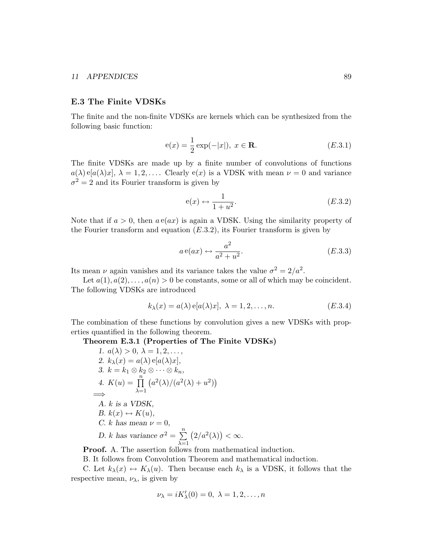## E.3 The Finite VDSKs

The finite and the non-finite VDSKs are kernels which can be synthesized from the following basic function:

$$
e(x) = \frac{1}{2} \exp(-|x|), \ x \in \mathbf{R}.
$$
 (E.3.1)

The finite VDSKs are made up by a finite number of convolutions of functions  $a(\lambda) e[a(\lambda)x], \lambda = 1, 2, \ldots$  Clearly  $e(x)$  is a VDSK with mean  $\nu = 0$  and variance  $\sigma^2 = 2$  and its Fourier transform is given by

$$
e(x) \leftrightarrow \frac{1}{1+u^2}.\tag{E.3.2}
$$

Note that if  $a > 0$ , then  $a e(ax)$  is again a VDSK. Using the similarity property of the Fourier transform and equation  $(E.3.2)$ , its Fourier transform is given by

$$
a e(ax) \leftrightarrow \frac{a^2}{a^2 + u^2}.
$$
 (E.3.3)

Its mean  $\nu$  again vanishes and its variance takes the value  $\sigma^2 = 2/a^2$ .

Let  $a(1), a(2), \ldots, a(n) > 0$  be constants, some or all of which may be coincident. The following VDSKs are introduced

$$
k_{\lambda}(x) = a(\lambda) e[a(\lambda)x], \lambda = 1, 2, \dots, n.
$$
 (E.3.4)

The combination of these functions by convolution gives a new VDSKs with properties quantified in the following theorem.

## Theorem E.3.1 (Properties of The Finite VDSKs)

1. 
$$
a(\lambda) > 0, \lambda = 1, 2, \ldots,
$$
  
\n2.  $k_{\lambda}(x) = a(\lambda) e[a(\lambda)x],$   
\n3.  $k = k_1 \otimes k_2 \otimes \cdots \otimes k_n,$   
\n4.  $K(u) = \prod_{\lambda=1}^{n} (a^2(\lambda)/(a^2(\lambda) + u^2))$   
\n $\implies$   
\nA.  $k$  is a VDSK,  
\nB.  $k(x) \leftrightarrow K(u),$   
\nC.  $k$  has mean  $\nu = 0,$   
\nD.  $k$  has variance  $\sigma^2 = \sum_{\lambda=1}^{n} (2/a^2(\lambda)) < \infty.$ 

**Proof.** A. The assertion follows from mathematical induction.

B. It follows from Convolution Theorem and mathematical induction.

C. Let  $k_{\lambda}(x) \leftrightarrow K_{\lambda}(u)$ . Then because each  $k_{\lambda}$  is a VDSK, it follows that the respective mean,  $\nu_{\lambda}$ , is given by

$$
\nu_{\lambda} = iK'_{\lambda}(0) = 0, \ \lambda = 1, 2, \dots, n
$$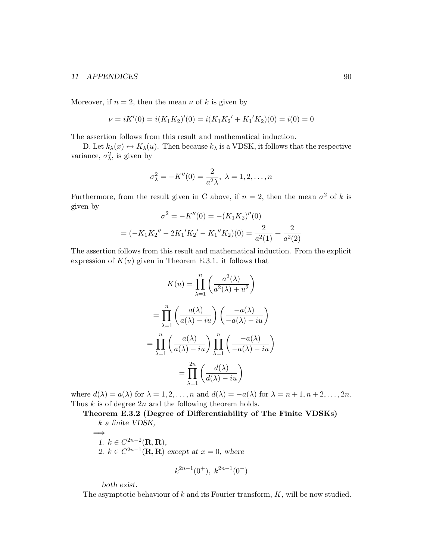Moreover, if  $n = 2$ , then the mean  $\nu$  of k is given by

$$
\nu = iK'(0) = i(K_1K_2)'(0) = i(K_1K_2' + K_1'K_2)(0) = i(0) = 0
$$

The assertion follows from this result and mathematical induction.

D. Let  $k_{\lambda}(x) \leftrightarrow K_{\lambda}(u)$ . Then because  $k_{\lambda}$  is a VDSK, it follows that the respective variance,  $\sigma_{\lambda}^2$ , is given by

$$
\sigma_{\lambda}^2 = -K''(0) = \frac{2}{a^2\lambda}, \ \lambda = 1, 2, \dots, n
$$

Furthermore, from the result given in C above, if  $n = 2$ , then the mean  $\sigma^2$  of k is given by

$$
\sigma^2 = -K''(0) = -(K_1K_2)''(0)
$$

$$
= (-K_1K_2'' - 2K_1'K_2' - K_1''K_2)(0) = \frac{2}{a^2(1)} + \frac{2}{a^2(2)}
$$

The assertion follows from this result and mathematical induction. From the explicit expression of  $K(u)$  given in Theorem E.3.1. it follows that

$$
K(u) = \prod_{\lambda=1}^{n} \left( \frac{a^2(\lambda)}{a^2(\lambda) + u^2} \right)
$$

$$
= \prod_{\lambda=1}^{n} \left( \frac{a(\lambda)}{a(\lambda) - iu} \right) \left( \frac{-a(\lambda)}{-a(\lambda) - iu} \right)
$$

$$
= \prod_{\lambda=1}^{n} \left( \frac{a(\lambda)}{a(\lambda) - iu} \right) \prod_{\lambda=1}^{n} \left( \frac{-a(\lambda)}{-a(\lambda) - iu} \right)
$$

$$
= \prod_{\lambda=1}^{2n} \left( \frac{d(\lambda)}{d(\lambda) - iu} \right)
$$

where  $d(\lambda) = a(\lambda)$  for  $\lambda = 1, 2, ..., n$  and  $d(\lambda) = -a(\lambda)$  for  $\lambda = n + 1, n + 2, ..., 2n$ . Thus  $k$  is of degree  $2n$  and the following theorem holds.

Theorem E.3.2 (Degree of Differentiability of The Finite VDSKs)

k a finite VDSK, =⇒ 1.  $k \in C^{2n-2}(\mathbf{R}, \mathbf{R}),$ 2.  $k \in C^{2n-1}(\mathbf{R}, \mathbf{R})$  except at  $x = 0$ , where

$$
k^{2n-1}(0^+), k^{2n-1}(0^-)
$$

both exist.

The asymptotic behaviour of  $k$  and its Fourier transform,  $K$ , will be now studied.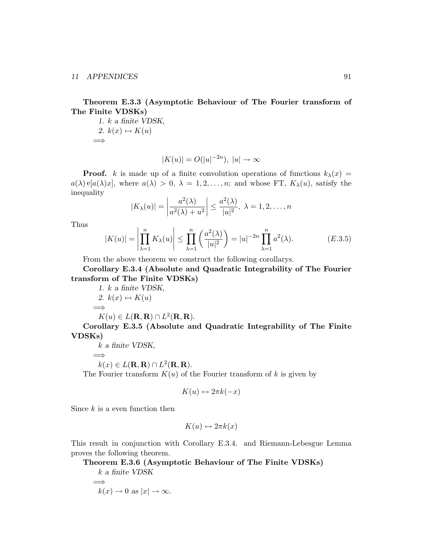Theorem E.3.3 (Asymptotic Behaviour of The Fourier transform of The Finite VDSKs)

1. k a finite VDSK, 2.  $k(x) \leftrightarrow K(u)$ =⇒

$$
|K(u)| = O(|u|^{-2n}), |u| \to \infty
$$

**Proof.** k is made up of a finite convolution operations of functions  $k_{\lambda}(x)$  =  $a(\lambda) e[a(\lambda)x]$ , where  $a(\lambda) > 0$ ,  $\lambda = 1, 2, ..., n$ ; and whose FT,  $K_{\lambda}(u)$ , satisfy the inequality

$$
|K_{\lambda}(u)| = \left|\frac{a^2(\lambda)}{a^2(\lambda) + u^2}\right| \le \frac{a^2(\lambda)}{|u|^2}, \ \lambda = 1, 2, \dots, n
$$

Thus

$$
|K(u)| = \left| \prod_{\lambda=1}^{n} K_{\lambda}(u) \right| \le \prod_{\lambda=1}^{n} \left( \frac{a^2(\lambda)}{|u|^2} \right) = |u|^{-2n} \prod_{\lambda=1}^{n} a^2(\lambda). \tag{E.3.5}
$$

From the above theorem we construct the following corollarys.

Corollary E.3.4 (Absolute and Quadratic Integrability of The Fourier transform of The Finite VDSKs)

1. k a finite VDSK, 2.  $k(x) \leftrightarrow K(u)$ =⇒  $K(u) \in L(\mathbf{R}, \mathbf{R}) \cap L^2(\mathbf{R}, \mathbf{R}).$ 

Corollary E.3.5 (Absolute and Quadratic Integrability of The Finite VDSKs)

k a finite VDSK,

=⇒  $k(x) \in L(\mathbf{R}, \mathbf{R}) \cap L^2(\mathbf{R}, \mathbf{R}).$ 

The Fourier transform  $K(u)$  of the Fourier transform of k is given by

$$
K(u) \leftrightarrow 2\pi k(-x)
$$

Since  $k$  is a even function then

$$
K(u) \leftrightarrow 2\pi k(x)
$$

This result in conjunction with Corollary E.3.4. and Riemann-Lebesgue Lemma proves the following theorem.

Theorem E.3.6 (Asymptotic Behaviour of The Finite VDSKs) k a finite VDSK =⇒

 $k(x) \to 0$  as  $|x| \to \infty$ .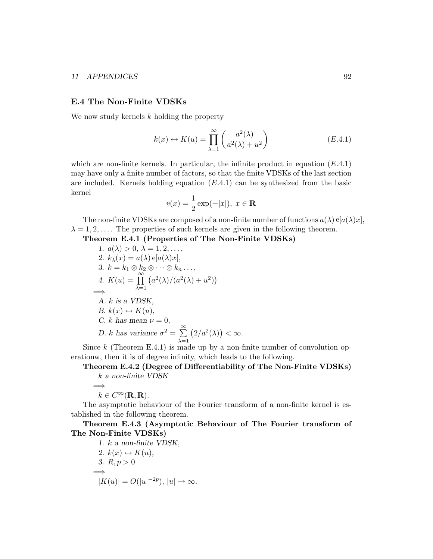## E.4 The Non-Finite VDSKs

We now study kernels  $k$  holding the property

$$
k(x) \leftrightarrow K(u) = \prod_{\lambda=1}^{\infty} \left( \frac{a^2(\lambda)}{a^2(\lambda) + u^2} \right)
$$
 (E.4.1)

which are non-finite kernels. In particular, the infinite product in equation  $(E.4.1)$ may have only a finite number of factors, so that the finite VDSKs of the last section are included. Kernels holding equation  $(E.4.1)$  can be synthesized from the basic kernel

$$
e(x) = \frac{1}{2} \exp(-|x|), x \in \mathbf{R}
$$

The non-finite VDSKs are composed of a non-finite number of functions  $a(\lambda) e[a(\lambda)x]$ ,  $\lambda = 1, 2, \ldots$ . The properties of such kernels are given in the following theorem.

Theorem E.4.1 (Properties of The Non-Finite VDSKs)

1. 
$$
a(\lambda) > 0, \lambda = 1, 2, \ldots,
$$
  
\n2.  $k_{\lambda}(x) = a(\lambda) e[a(\lambda)x],$   
\n3.  $k = k_1 \otimes k_2 \otimes \cdots \otimes k_n \ldots,$   
\n4.  $K(u) = \prod_{\lambda=1}^{\infty} (a^2(\lambda)/(a^2(\lambda) + u^2))$   
\n $\implies$   
\nA.  $k$  is a VDSK,  
\nB.  $k(x) \leftrightarrow K(u),$   
\nC.  $k$  has mean  $\nu = 0,$   
\nD.  $k$  has variance  $\sigma^2 = \sum_{\lambda=1}^{\infty} (2/a^2(\lambda)) < \infty.$ 

Since k (Theorem E.4.1) is made up by a non-finite number of convolution operationw, then it is of degree infinity, which leads to the following.

## Theorem E.4.2 (Degree of Differentiability of The Non-Finite VDSKs) k a non-finite VDSK

$$
\Longrightarrow
$$

 $k \in C^{\infty}(\mathbf{R}, \mathbf{R}).$ 

The asymptotic behaviour of the Fourier transform of a non-finite kernel is established in the following theorem.

Theorem E.4.3 (Asymptotic Behaviour of The Fourier transform of The Non-Finite VDSKs)

1. k a non-finite VDSK, 2.  $k(x) \leftrightarrow K(u)$ , 3.  $R, p > 0$ =⇒  $|K(u)| = O(|u|^{-2p}), |u| \to \infty.$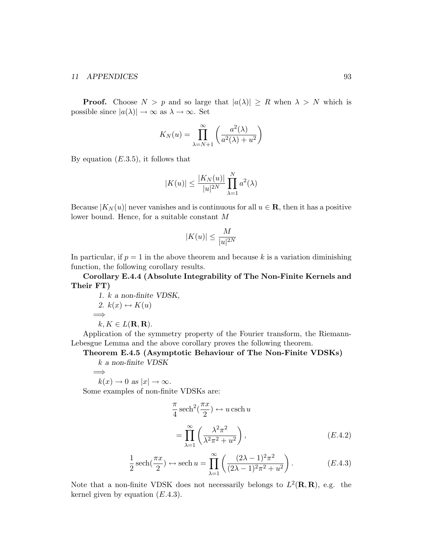**Proof.** Choose  $N > p$  and so large that  $|a(\lambda)| \geq R$  when  $\lambda > N$  which is possible since  $|a(\lambda)| \to \infty$  as  $\lambda \to \infty$ . Set

$$
K_N(u) = \prod_{\lambda=N+1}^{\infty} \left( \frac{a^2(\lambda)}{a^2(\lambda) + u^2} \right)
$$

By equation  $(E.3.5)$ , it follows that

$$
|K(u)| \le \frac{|K_N(u)|}{|u|^{2N}} \prod_{\lambda=1}^N a^2(\lambda)
$$

Because  $|K_N(u)|$  never vanishes and is continuous for all  $u \in \mathbf{R}$ , then it has a positive lower bound. Hence, for a suitable constant M

$$
|K(u)| \le \frac{M}{|u|^{2N}}
$$

In particular, if  $p = 1$  in the above theorem and because k is a variation diminishing function, the following corollary results.

Corollary E.4.4 (Absolute Integrability of The Non-Finite Kernels and Their FT)

1. 
$$
k
$$
 a non-finite VDSK,  
\n2.  $k(x) \leftrightarrow K(u)$   
\n $\Longrightarrow$   
\n $k, K \in L(\mathbf{R}, \mathbf{R}).$ 

Application of the symmetry property of the Fourier transform, the Riemann-Lebesgue Lemma and the above corollary proves the following theorem.

## Theorem E.4.5 (Asymptotic Behaviour of The Non-Finite VDSKs)

k a non-finite VDSK

$$
\Longrightarrow \n k(x) \to 0 \text{ as } |x| \to \infty.
$$

Some examples of non-finite VDSKs are:

$$
\frac{\pi}{4} \operatorname{sech}^{2}(\frac{\pi x}{2}) \leftrightarrow u \operatorname{csch} u
$$

$$
= \prod_{\lambda=1}^{\infty} \left( \frac{\lambda^{2} \pi^{2}}{\lambda^{2} \pi^{2} + u^{2}} \right), \qquad (E.4.2)
$$

$$
\frac{1}{2}\operatorname{sech}\left(\frac{\pi x}{2}\right) \leftrightarrow \operatorname{sech} u = \prod_{\lambda=1}^{\infty} \left( \frac{(2\lambda - 1)^2 \pi^2}{(2\lambda - 1)^2 \pi^2 + u^2} \right). \tag{E.4.3}
$$

Note that a non-finite VDSK does not necessarily belongs to  $L^2(\mathbf{R}, \mathbf{R})$ , e.g. the kernel given by equation  $(E.4.3)$ .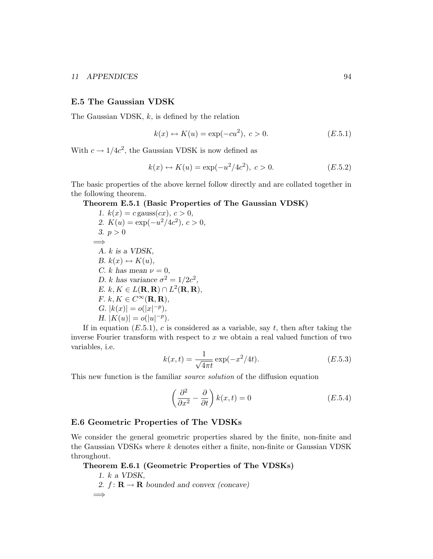## E.5 The Gaussian VDSK

The Gaussian VDSK,  $k$ , is defined by the relation

$$
k(x) \leftrightarrow K(u) = \exp(-cu^2), c > 0.
$$
 (E.5.1)

With  $c \to 1/4c^2$ , the Gaussian VDSK is now defined as

$$
k(x) \leftrightarrow K(u) = \exp(-u^2/4c^2), \ c > 0.
$$
 (E.5.2)

The basic properties of the above kernel follow directly and are collated together in the following theorem.

### Theorem E.5.1 (Basic Properties of The Gaussian VDSK)

1.  $k(x) = c$  gauss $(cx), c > 0,$ 2.  $K(u) = \exp(-u^2/4c^2), c > 0,$ 3.  $p > 0$ =⇒ A. k is a VDSK, B.  $k(x) \leftrightarrow K(u)$ , C. k has mean  $\nu = 0$ , D. k has variance  $\sigma^2 = 1/2c^2$ , E.  $k, K \in L(\mathbf{R}, \mathbf{R}) \cap L^2(\mathbf{R}, \mathbf{R}),$ F.  $k, K \in C^{\infty}(\mathbf{R}, \mathbf{R}),$ G.  $|k(x)| = o(|x|^{-p}),$ H.  $|K(u)| = o(|u|^{-p}).$ 

If in equation  $(E.5.1)$ , c is considered as a variable, say t, then after taking the inverse Fourier transform with respect to  $x$  we obtain a real valued function of two variables, i.e.

$$
k(x,t) = \frac{1}{\sqrt{4\pi t}} \exp(-x^2/4t).
$$
 (E.5.3)

This new function is the familiar *source solution* of the diffusion equation

$$
\left(\frac{\partial^2}{\partial x^2} - \frac{\partial}{\partial t}\right) k(x, t) = 0
$$
\n(E.5.4)

#### E.6 Geometric Properties of The VDSKs

We consider the general geometric properties shared by the finite, non-finite and the Gaussian VDSKs where k denotes either a finite, non-finite or Gaussian VDSK throughout.

```
Theorem E.6.1 (Geometric Properties of The VDSKs)
    1. k a VDSK,
    2. f: \mathbf{R} \to \mathbf{R} bounded and convex (concave)
  =⇒
```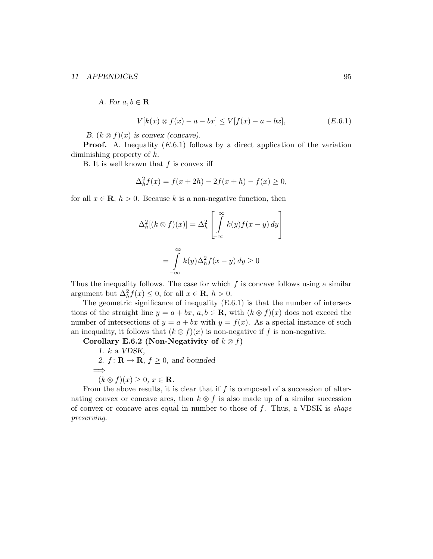A. For  $a, b \in \mathbf{R}$ 

$$
V[k(x) \otimes f(x) - a - bx] \le V[f(x) - a - bx],
$$
 (E.6.1)

B.  $(k \otimes f)(x)$  is convex (concave).

**Proof.** A. Inequality  $(E.6.1)$  follows by a direct application of the variation diminishing property of k.

B. It is well known that  $f$  is convex iff

$$
\Delta_h^2 f(x) = f(x + 2h) - 2f(x + h) - f(x) \ge 0,
$$

for all  $x \in \mathbf{R}$ ,  $h > 0$ . Because k is a non-negative function, then

$$
\Delta_h^2[(k \otimes f)(x)] = \Delta_h^2 \left[ \int_{-\infty}^{\infty} k(y) f(x - y) dy \right]
$$

$$
= \int_{-\infty}^{\infty} k(y) \Delta_h^2 f(x - y) dy \ge 0
$$

Thus the inequality follows. The case for which  $f$  is concave follows using a similar argument but  $\Delta_h^2 f(x) \leq 0$ , for all  $x \in \mathbf{R}$ ,  $h > 0$ .

The geometric significance of inequality (E.6.1) is that the number of intersections of the straight line  $y = a + bx$ ,  $a, b \in \mathbb{R}$ , with  $(k \otimes f)(x)$  does not exceed the number of intersections of  $y = a + bx$  with  $y = f(x)$ . As a special instance of such an inequality, it follows that  $(k \otimes f)(x)$  is non-negative if f is non-negative.

Corollary E.6.2 (Non-Negativity of  $k \otimes f$ )

1. k a VDSK, 2.  $f: \mathbf{R} \to \mathbf{R}$ ,  $f \geq 0$ , and bounded =⇒  $(k \otimes f)(x) \geq 0, x \in \mathbf{R}$ .

From the above results, it is clear that if  $f$  is composed of a succession of alternating convex or concave arcs, then  $k \otimes f$  is also made up of a similar succession of convex or concave arcs equal in number to those of  $f$ . Thus, a VDSK is shape preserving.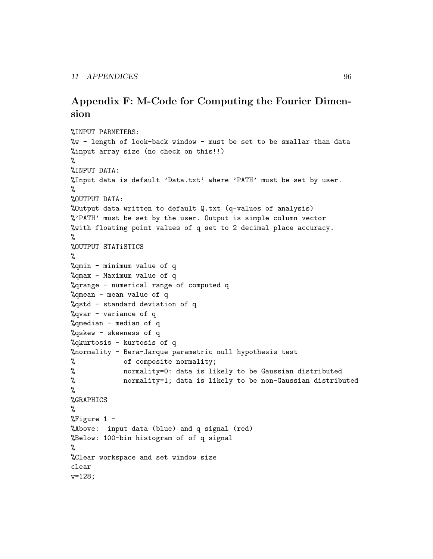# Appendix F: M-Code for Computing the Fourier Dimension

```
%INPUT PARMETERS:
%w - length of look-back window - must be set to be smallar than data
%input array size (no check on this!!)
%
%INPUT DATA:
%Input data is default 'Data.txt' where 'PATH' must be set by user.
%
%OUTPUT DATA:
%Output data written to default Q.txt (q-values of analysis)
%'PATH' must be set by the user. Output is simple column vector
%with floating point values of q set to 2 decimal place accuracy.
%
%OUTPUT STATiSTICS
%
%qmin - minimum value of q
%qmax - Maximum value of q
%qrange - numerical range of computed q
%qmean - mean value of q
%qstd - standard deviation of q
%qvar - variance of q
%qmedian - median of q
%qskew - skewness of q
%qkurtosis - kurtosis of q
%normality - Bera-Jarque parametric null hypothesis test
% of composite normality;
% normality=0: data is likely to be Gaussian distributed
% normality=1; data is likely to be non-Gaussian distributed
%
%GRAPHICS
%
%Figure 1 -
%Above: input data (blue) and q signal (red)
%Below: 100-bin histogram of of q signal
%
%Clear workspace and set window size
clear
w=128;
```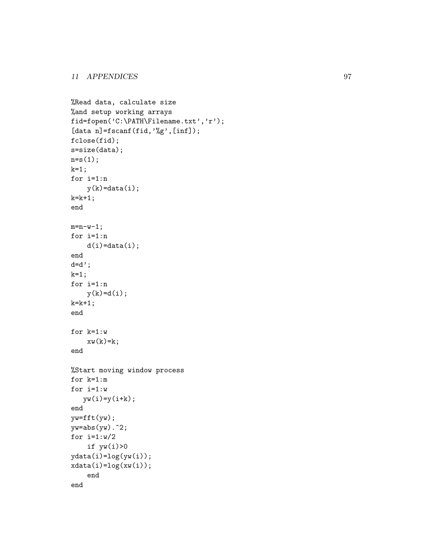```
%Read data, calculate size
%and setup working arrays
fid=fopen('C:\PATH\Filename.txt','r');
[data n]=fscanf(fid,'%g',[inf]);
fclose(fid);
s=size(data);
n=s(1);
k=1;for i=1:n
    y(k)=data(i);k=k+1;end
m=n-w-1;
for i=1:n
    d(i)=data(i);
end
d=d';
k=1;for i=1:n
    y(k)=d(i);k=k+1;end
for k=1:w
    xw(k)=k;end
%Start moving window process
for k=1:m
for i=1:w
   yw(i)=y(i+k);end
yw=fft(yw);
yw = abs(yw).<sup>2</sup>;
for i=1:w/2if yw(i)>0ydata(i)=log(yw(i));
xdata(i)=log(xw(i));end
end
```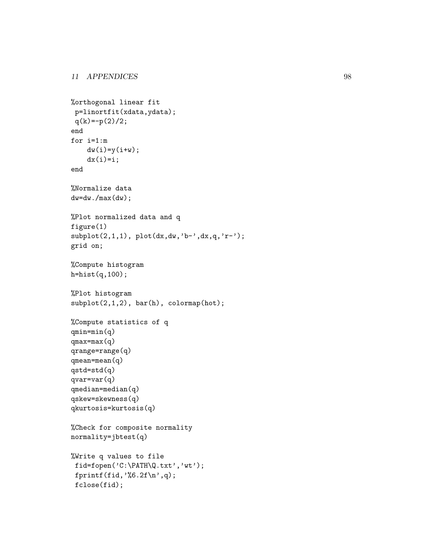```
%orthogonal linear fit
p=linortfit(xdata,ydata);
q(k)=-p(2)/2;end
for i=1:m
    dw(i)=y(i+w);dx(i)=i;end
%Normalize data
dw=dw./max(dw);
%Plot normalized data and q
figure(1)
subplot(2,1,1), plot(dx, dw,'b-'', dx,q,'r-');grid on;
%Compute histogram
h=hist(q,100);
%Plot histogram
subplot(2,1,2), bar(h), colormap(hot);
%Compute statistics of q
qmin=min(q)
qmax=max(q)
qrange=range(q)
qmean=mean(q)
qstd=std(q)
qvar=var(q)
qmedian=median(q)
qskew=skewness(q)
qkurtosis=kurtosis(q)
%Check for composite normality
normality=jbtest(q)
%Write q values to file
fid=fopen('C:\PATH\Q.txt','wt');
fprintf(fid,\sqrt[9]{6.2f \n\cdot q};
 fclose(fid);
```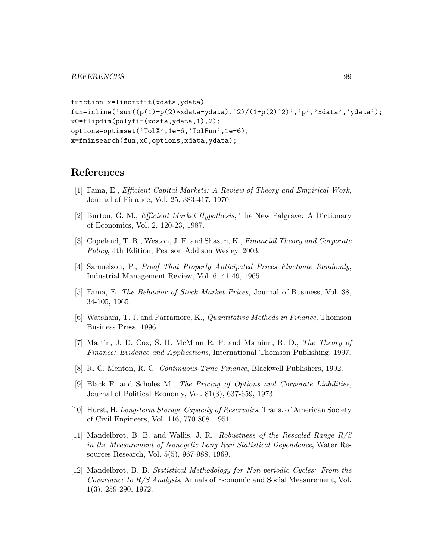```
function x=linortfit(xdata,ydata)
fun=inline('sum((p(1)+p(2)*xdata-ydata).^2)/(1+p(2)^2)','p','xdata','ydata');
x0=flipdim(polyfit(xdata,ydata,1),2);
options=optimset('TolX',1e-6,'TolFun',1e-6);
x=fminsearch(fun,x0,options,xdata,ydata);
```
## References

- [1] Fama, E., Efficient Capital Markets: A Review of Theory and Empirical Work, Journal of Finance, Vol. 25, 383-417, 1970.
- [2] Burton, G. M., Efficient Market Hypothesis, The New Palgrave: A Dictionary of Economics, Vol. 2, 120-23, 1987.
- [3] Copeland, T. R., Weston, J. F. and Shastri, K., Financial Theory and Corporate Policy, 4th Edition, Pearson Addison Wesley, 2003.
- [4] Samuelson, P., Proof That Properly Anticipated Prices Fluctuate Randomly, Industrial Management Review, Vol. 6, 41-49, 1965.
- [5] Fama, E. The Behavior of Stock Market Prices, Journal of Business, Vol. 38, 34-105, 1965.
- [6] Watsham, T. J. and Parramore, K., Quantitative Methods in Finance, Thomson Business Press, 1996.
- [7] Martin, J. D. Cox, S. H. McMinn R. F. and Maminn, R. D., The Theory of Finance: Evidence and Applications, International Thomson Publishing, 1997.
- [8] R. C. Menton, R. C. Continuous-Time Finance, Blackwell Publishers, 1992.
- [9] Black F. and Scholes M., The Pricing of Options and Corporate Liabilities, Journal of Political Economy, Vol. 81(3), 637-659, 1973.
- [10] Hurst, H. Long-term Storage Capacity of Reservoirs, Trans. of American Society of Civil Engineers, Vol. 116, 770-808, 1951.
- [11] Mandelbrot, B. B. and Wallis, J. R., Robustness of the Rescaled Range R/S in the Measurement of Noncyclic Long Run Statistical Dependence, Water Resources Research, Vol. 5(5), 967-988, 1969.
- [12] Mandelbrot, B. B, Statistical Methodology for Non-periodic Cycles: From the Covariance to R/S Analysis, Annals of Economic and Social Measurement, Vol. 1(3), 259-290, 1972.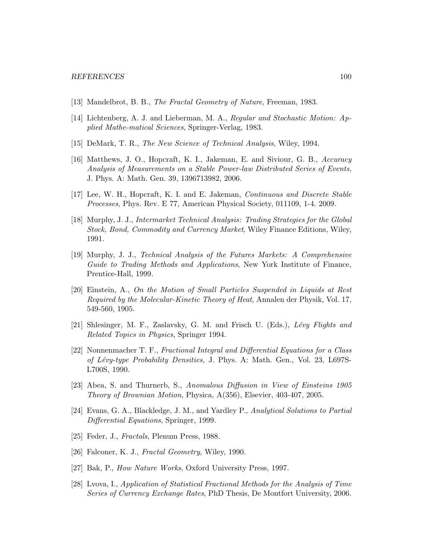- [13] Mandelbrot, B. B., The Fractal Geometry of Nature, Freeman, 1983.
- [14] Lichtenberg, A. J. and Lieberman, M. A., Regular and Stochastic Motion: Applied Mathe-matical Sciences, Springer-Verlag, 1983.
- [15] DeMark, T. R., The New Science of Technical Analysis, Wiley, 1994.
- [16] Matthews, J. O., Hopcraft, K. I., Jakeman, E. and Siviour, G. B., Accuracy Analysis of Measurements on a Stable Power-law Distributed Series of Events, J. Phys. A: Math. Gen. 39, 1396713982, 2006.
- [17] Lee, W. H., Hopcraft, K. I. and E. Jakeman, Continuous and Discrete Stable Processes, Phys. Rev. E 77, American Physical Society, 011109, 1-4. 2009.
- [18] Murphy, J. J., Intermarket Technical Analysis: Trading Strategies for the Global Stock, Bond, Commodity and Currency Market, Wiley Finance Editions, Wiley, 1991.
- [19] Murphy, J. J., Technical Analysis of the Futures Markets: A Comprehensive Guide to Trading Methods and Applications, New York Institute of Finance, Prentice-Hall, 1999.
- [20] Einstein, A., On the Motion of Small Particles Suspended in Liquids at Rest Required by the Molecular-Kinetic Theory of Heat, Annalen der Physik, Vol. 17, 549-560, 1905.
- [21] Shlesinger, M. F., Zaslavsky, G. M. and Frisch U. (Eds.),  $Lévy$  Flights and Related Topics in Physics, Springer 1994.
- [22] Nonnenmacher T. F., Fractional Integral and Differential Equations for a Class of Lévy-type Probability Densities, J. Phys. A: Math. Gen., Vol. 23, L697S-L700S, 1990.
- [23] Abea, S. and Thurnerb, S., Anomalous Diffusion in View of Einsteins 1905 Theory of Brownian Motion, Physica, A(356), Elsevier, 403-407, 2005.
- [24] Evans, G. A., Blackledge, J. M., and Yardley P., Analytical Solutions to Partial Differential Equations, Springer, 1999.
- [25] Feder, J., Fractals, Plenum Press, 1988.
- [26] Falconer, K. J., Fractal Geometry, Wiley, 1990.
- [27] Bak, P., How Nature Works, Oxford University Press, 1997.
- [28] Lvova, I., Application of Statistical Fractional Methods for the Analysis of Time Series of Currency Exchange Rates, PhD Thesis, De Montfort University, 2006.